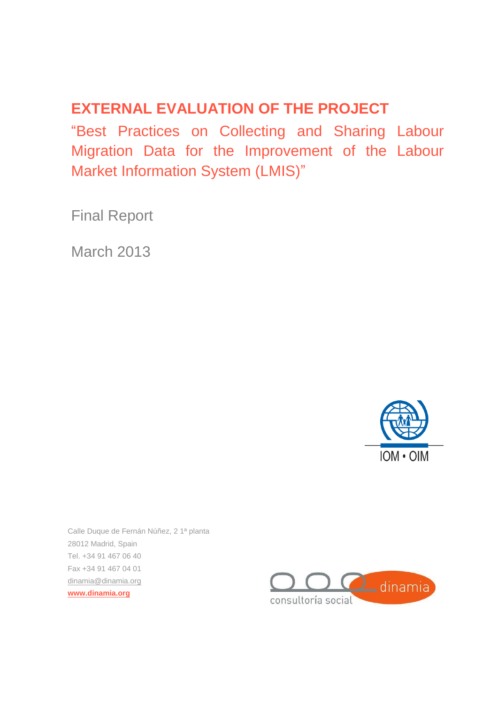# **EXTERNAL EVALUATION OF THE PROJECT**

"Best Practices on Collecting and Sharing Labour Migration Data for the Improvement of the Labour Market Information System (LMIS)"

Final Report

March 2013



Calle Duque de Fernán Núñez, 2 1ª planta 28012 Madrid, Spain Tel. +34 91 467 06 40 Fax +34 91 467 04 01 [dinamia@dinamia.org](mailto:dinamia@dinamia.org) **[www.dinamia.org](http://www.dinamia.org/)**

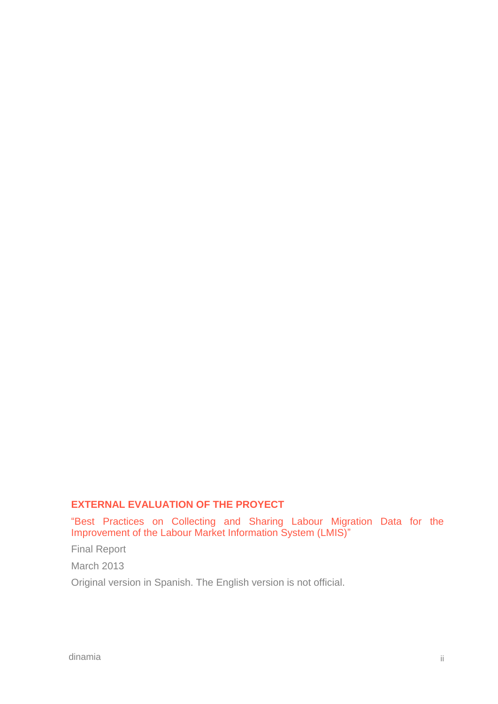#### **EXTERNAL EVALUATION OF THE PROYECT**

"Best Practices on Collecting and Sharing Labour Migration Data for the Improvement of the Labour Market Information System (LMIS)"

Final Report

March 2013

Original version in Spanish. The English version is not official.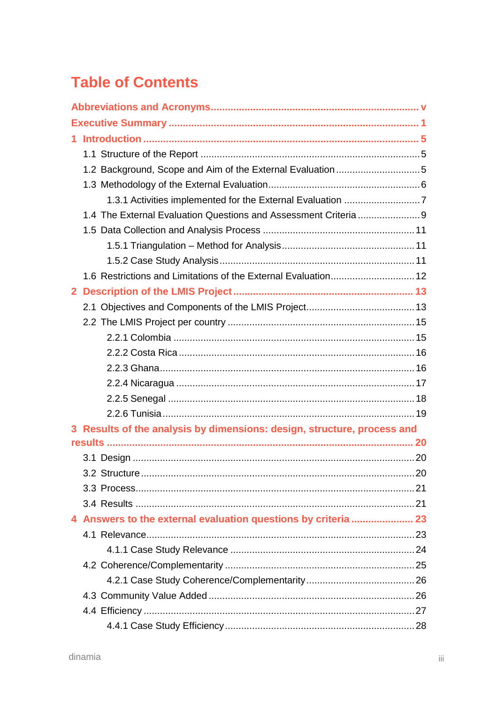# **Table of Contents**

| 2 <sup>1</sup> |                                                                         |  |  |
|----------------|-------------------------------------------------------------------------|--|--|
|                |                                                                         |  |  |
|                |                                                                         |  |  |
|                |                                                                         |  |  |
|                |                                                                         |  |  |
|                |                                                                         |  |  |
|                |                                                                         |  |  |
|                |                                                                         |  |  |
|                |                                                                         |  |  |
|                | 3 Results of the analysis by dimensions: design, structure, process and |  |  |
|                |                                                                         |  |  |
|                |                                                                         |  |  |
|                |                                                                         |  |  |
|                |                                                                         |  |  |
|                |                                                                         |  |  |
|                | 4 Answers to the external evaluation questions by criteria  23          |  |  |
|                |                                                                         |  |  |
|                |                                                                         |  |  |
|                |                                                                         |  |  |
|                |                                                                         |  |  |
|                |                                                                         |  |  |
|                |                                                                         |  |  |
|                |                                                                         |  |  |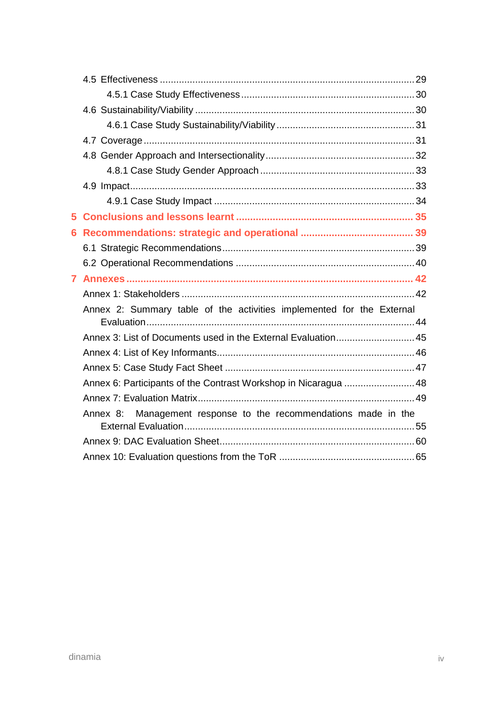| 5.           |                                                                       |  |
|--------------|-----------------------------------------------------------------------|--|
| 6            |                                                                       |  |
|              |                                                                       |  |
|              |                                                                       |  |
| $\mathbf{7}$ |                                                                       |  |
|              |                                                                       |  |
|              | Annex 2: Summary table of the activities implemented for the External |  |
|              | Annex 3: List of Documents used in the External Evaluation45          |  |
|              |                                                                       |  |
|              |                                                                       |  |
|              | Annex 6: Participants of the Contrast Workshop in Nicaragua 48        |  |
|              |                                                                       |  |
|              | Annex 8: Management response to the recommendations made in the       |  |
|              |                                                                       |  |
|              |                                                                       |  |
|              |                                                                       |  |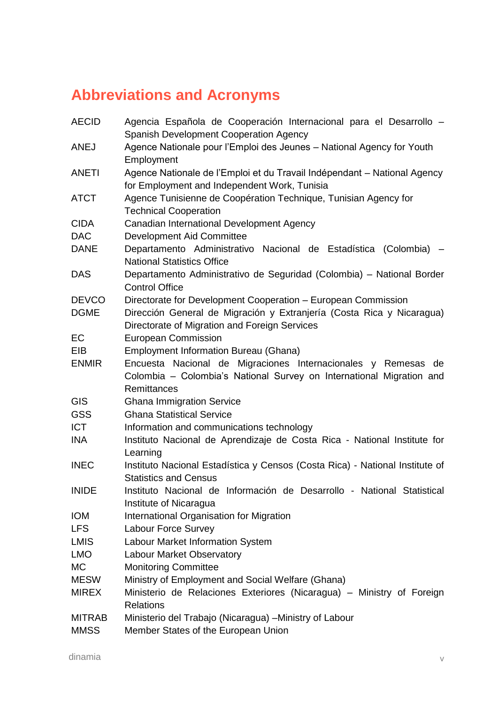# <span id="page-4-0"></span>**Abbreviations and Acronyms**

| <b>AECID</b>  | Agencia Española de Cooperación Internacional para el Desarrollo -<br><b>Spanish Development Cooperation Agency</b> |
|---------------|---------------------------------------------------------------------------------------------------------------------|
| <b>ANEJ</b>   | Agence Nationale pour l'Emploi des Jeunes - National Agency for Youth                                               |
|               | Employment                                                                                                          |
| <b>ANETI</b>  | Agence Nationale de l'Emploi et du Travail Indépendant – National Agency                                            |
|               | for Employment and Independent Work, Tunisia                                                                        |
| <b>ATCT</b>   | Agence Tunisienne de Coopération Technique, Tunisian Agency for                                                     |
|               | <b>Technical Cooperation</b>                                                                                        |
| <b>CIDA</b>   | Canadian International Development Agency                                                                           |
| <b>DAC</b>    | <b>Development Aid Committee</b>                                                                                    |
| <b>DANE</b>   | Departamento Administrativo Nacional de Estadística (Colombia)<br><b>National Statistics Office</b>                 |
| <b>DAS</b>    | Departamento Administrativo de Seguridad (Colombia) - National Border                                               |
|               | <b>Control Office</b>                                                                                               |
| <b>DEVCO</b>  | Directorate for Development Cooperation - European Commission                                                       |
| <b>DGME</b>   | Dirección General de Migración y Extranjería (Costa Rica y Nicaragua)                                               |
|               | Directorate of Migration and Foreign Services                                                                       |
| EC            | <b>European Commission</b>                                                                                          |
| <b>EIB</b>    | <b>Employment Information Bureau (Ghana)</b>                                                                        |
| <b>ENMIR</b>  | Encuesta Nacional de Migraciones Internacionales y Remesas de                                                       |
|               | Colombia - Colombia's National Survey on International Migration and                                                |
|               | Remittances                                                                                                         |
| <b>GIS</b>    | <b>Ghana Immigration Service</b>                                                                                    |
| <b>GSS</b>    | <b>Ghana Statistical Service</b>                                                                                    |
| <b>ICT</b>    | Information and communications technology                                                                           |
| <b>INA</b>    | Instituto Nacional de Aprendizaje de Costa Rica - National Institute for                                            |
|               | Learning                                                                                                            |
| <b>INEC</b>   | Instituto Nacional Estadística y Censos (Costa Rica) - National Institute of                                        |
|               | <b>Statistics and Census</b>                                                                                        |
| <b>INIDE</b>  | Instituto Nacional de Información de Desarrollo - National Statistical                                              |
|               | Institute of Nicaragua                                                                                              |
| <b>IOM</b>    | International Organisation for Migration                                                                            |
| <b>LFS</b>    | <b>Labour Force Survey</b>                                                                                          |
| <b>LMIS</b>   | Labour Market Information System                                                                                    |
| <b>LMO</b>    | Labour Market Observatory                                                                                           |
| MC            | <b>Monitoring Committee</b>                                                                                         |
| <b>MESW</b>   | Ministry of Employment and Social Welfare (Ghana)                                                                   |
| <b>MIREX</b>  | Ministerio de Relaciones Exteriores (Nicaragua) - Ministry of Foreign                                               |
|               | <b>Relations</b>                                                                                                    |
| <b>MITRAB</b> | Ministerio del Trabajo (Nicaragua) - Ministry of Labour                                                             |
| <b>MMSS</b>   | Member States of the European Union                                                                                 |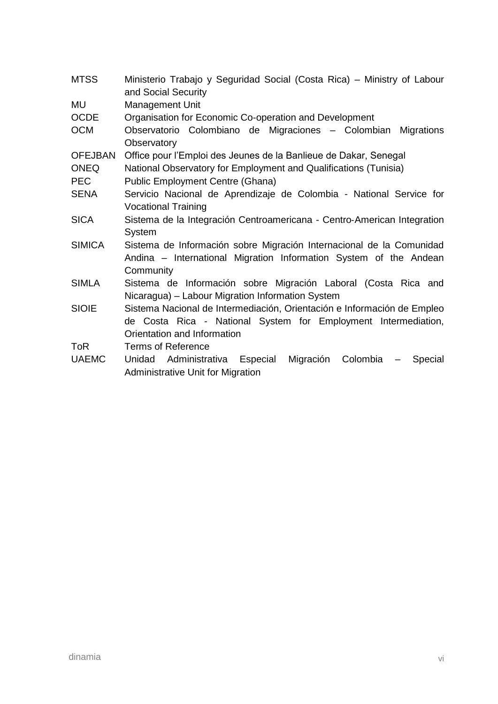| <b>MTSS</b>    | Ministerio Trabajo y Seguridad Social (Costa Rica) - Ministry of Labour<br>and Social Security |  |  |  |
|----------------|------------------------------------------------------------------------------------------------|--|--|--|
| MU             | Management Unit                                                                                |  |  |  |
| <b>OCDE</b>    | Organisation for Economic Co-operation and Development                                         |  |  |  |
| <b>OCM</b>     | Observatorio Colombiano de Migraciones - Colombian<br>Migrations                               |  |  |  |
|                | Observatory                                                                                    |  |  |  |
| <b>OFEJBAN</b> | Office pour l'Emploi des Jeunes de la Banlieue de Dakar, Senegal                               |  |  |  |
| <b>ONEQ</b>    | National Observatory for Employment and Qualifications (Tunisia)                               |  |  |  |
| <b>PEC</b>     | <b>Public Employment Centre (Ghana)</b>                                                        |  |  |  |
| <b>SENA</b>    | Servicio Nacional de Aprendizaje de Colombia - National Service for                            |  |  |  |
|                | <b>Vocational Training</b>                                                                     |  |  |  |
| <b>SICA</b>    | Sistema de la Integración Centroamericana - Centro-American Integration                        |  |  |  |
|                | System                                                                                         |  |  |  |
| <b>SIMICA</b>  | Sistema de Información sobre Migración Internacional de la Comunidad                           |  |  |  |
|                | Andina – International Migration Information System of the Andean                              |  |  |  |
|                | Community                                                                                      |  |  |  |
| <b>SIMLA</b>   | Sistema de Información sobre Migración Laboral (Costa Rica and                                 |  |  |  |
|                | Nicaragua) - Labour Migration Information System                                               |  |  |  |
| <b>SIOIE</b>   | Sistema Nacional de Intermediación, Orientación e Información de Empleo                        |  |  |  |
|                | de Costa Rica - National System for Employment Intermediation,                                 |  |  |  |
|                | Orientation and Information                                                                    |  |  |  |
| <b>ToR</b>     | <b>Terms of Reference</b>                                                                      |  |  |  |
| <b>UAEMC</b>   | Migración Colombia<br>Administrativa Especial<br>Unidad<br>Special<br>$\overline{\phantom{m}}$ |  |  |  |
|                | <b>Administrative Unit for Migration</b>                                                       |  |  |  |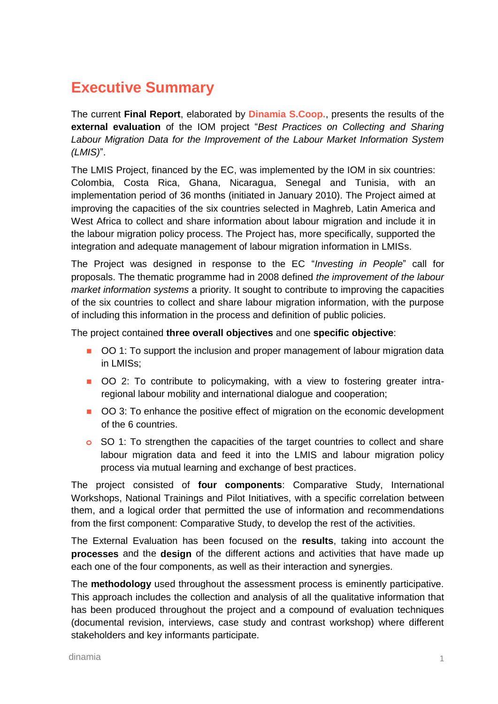# <span id="page-6-0"></span>**Executive Summary**

The current **Final Report**, elaborated by **Dinamia S.Coop.**, presents the results of the **external evaluation** of the IOM project "*Best Practices on Collecting and Sharing Labour Migration Data for the Improvement of the Labour Market Information System (LMIS)*".

The LMIS Project, financed by the EC, was implemented by the IOM in six countries: Colombia, Costa Rica, Ghana, Nicaragua, Senegal and Tunisia, with an implementation period of 36 months (initiated in January 2010). The Project aimed at improving the capacities of the six countries selected in Maghreb, Latin America and West Africa to collect and share information about labour migration and include it in the labour migration policy process. The Project has, more specifically, supported the integration and adequate management of labour migration information in LMISs.

The Project was designed in response to the EC "*Investing in People*" call for proposals. The thematic programme had in 2008 defined *the improvement of the labour market information systems* a priority. It sought to contribute to improving the capacities of the six countries to collect and share labour migration information, with the purpose of including this information in the process and definition of public policies.

The project contained **three overall objectives** and one **specific objective**:

- OO 1: To support the inclusion and proper management of labour migration data in LMISs;
- OO 2: To contribute to policymaking, with a view to fostering greater intraregional labour mobility and international dialogue and cooperation;
- OO 3: To enhance the positive effect of migration on the economic development of the 6 countries.
- **o** SO 1: To strengthen the capacities of the target countries to collect and share labour migration data and feed it into the LMIS and labour migration policy process via mutual learning and exchange of best practices.

The project consisted of **four components**: Comparative Study, International Workshops, National Trainings and Pilot Initiatives, with a specific correlation between them, and a logical order that permitted the use of information and recommendations from the first component: Comparative Study, to develop the rest of the activities.

The External Evaluation has been focused on the **results**, taking into account the **processes** and the **design** of the different actions and activities that have made up each one of the four components, as well as their interaction and synergies.

The **methodology** used throughout the assessment process is eminently participative. This approach includes the collection and analysis of all the qualitative information that has been produced throughout the project and a compound of evaluation techniques (documental revision, interviews, case study and contrast workshop) where different stakeholders and key informants participate.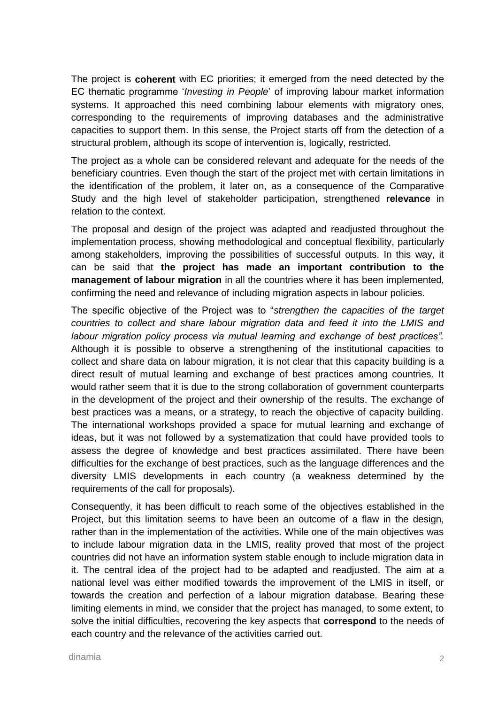The project is **coherent** with EC priorities; it emerged from the need detected by the EC thematic programme '*Investing in People*' of improving labour market information systems. It approached this need combining labour elements with migratory ones, corresponding to the requirements of improving databases and the administrative capacities to support them. In this sense, the Project starts off from the detection of a structural problem, although its scope of intervention is, logically, restricted.

The project as a whole can be considered relevant and adequate for the needs of the beneficiary countries. Even though the start of the project met with certain limitations in the identification of the problem, it later on, as a consequence of the Comparative Study and the high level of stakeholder participation, strengthened **relevance** in relation to the context.

The proposal and design of the project was adapted and readjusted throughout the implementation process, showing methodological and conceptual flexibility, particularly among stakeholders, improving the possibilities of successful outputs. In this way, it can be said that **the project has made an important contribution to the management of labour migration** in all the countries where it has been implemented, confirming the need and relevance of including migration aspects in labour policies.

The specific objective of the Project was to "*strengthen the capacities of the target countries to collect and share labour migration data and feed it into the LMIS and labour migration policy process via mutual learning and exchange of best practices".*  Although it is possible to observe a strengthening of the institutional capacities to collect and share data on labour migration, it is not clear that this capacity building is a direct result of mutual learning and exchange of best practices among countries. It would rather seem that it is due to the strong collaboration of government counterparts in the development of the project and their ownership of the results. The exchange of best practices was a means, or a strategy, to reach the objective of capacity building. The international workshops provided a space for mutual learning and exchange of ideas, but it was not followed by a systematization that could have provided tools to assess the degree of knowledge and best practices assimilated. There have been difficulties for the exchange of best practices, such as the language differences and the diversity LMIS developments in each country (a weakness determined by the requirements of the call for proposals).

Consequently, it has been difficult to reach some of the objectives established in the Project, but this limitation seems to have been an outcome of a flaw in the design, rather than in the implementation of the activities. While one of the main objectives was to include labour migration data in the LMIS, reality proved that most of the project countries did not have an information system stable enough to include migration data in it. The central idea of the project had to be adapted and readjusted. The aim at a national level was either modified towards the improvement of the LMIS in itself, or towards the creation and perfection of a labour migration database. Bearing these limiting elements in mind, we consider that the project has managed, to some extent, to solve the initial difficulties, recovering the key aspects that **correspond** to the needs of each country and the relevance of the activities carried out.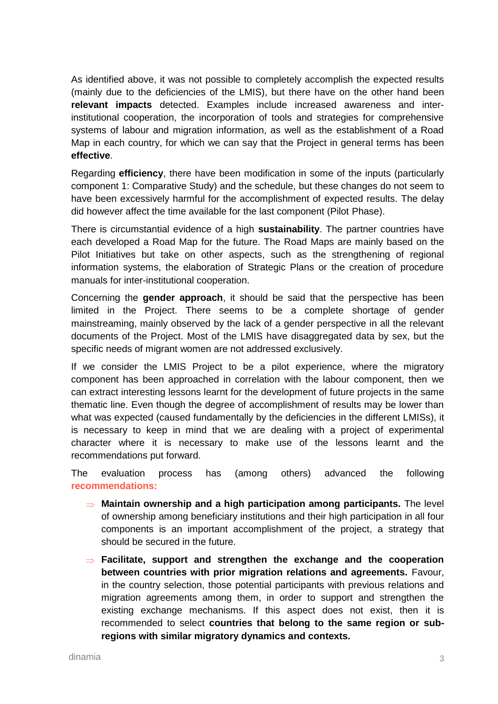As identified above, it was not possible to completely accomplish the expected results (mainly due to the deficiencies of the LMIS), but there have on the other hand been **relevant impacts** detected. Examples include increased awareness and interinstitutional cooperation, the incorporation of tools and strategies for comprehensive systems of labour and migration information, as well as the establishment of a Road Map in each country, for which we can say that the Project in general terms has been **effective**.

Regarding **efficiency**, there have been modification in some of the inputs (particularly component 1: Comparative Study) and the schedule, but these changes do not seem to have been excessively harmful for the accomplishment of expected results. The delay did however affect the time available for the last component (Pilot Phase).

There is circumstantial evidence of a high **sustainability**. The partner countries have each developed a Road Map for the future. The Road Maps are mainly based on the Pilot Initiatives but take on other aspects, such as the strengthening of regional information systems, the elaboration of Strategic Plans or the creation of procedure manuals for inter-institutional cooperation.

Concerning the **gender approach**, it should be said that the perspective has been limited in the Project. There seems to be a complete shortage of gender mainstreaming, mainly observed by the lack of a gender perspective in all the relevant documents of the Project. Most of the LMIS have disaggregated data by sex, but the specific needs of migrant women are not addressed exclusively.

If we consider the LMIS Project to be a pilot experience, where the migratory component has been approached in correlation with the labour component, then we can extract interesting lessons learnt for the development of future projects in the same thematic line. Even though the degree of accomplishment of results may be lower than what was expected (caused fundamentally by the deficiencies in the different LMISs), it is necessary to keep in mind that we are dealing with a project of experimental character where it is necessary to make use of the lessons learnt and the recommendations put forward.

The evaluation process has (among others) advanced the following **recommendations:** 

- $\Rightarrow$  **Maintain ownership and a high participation among participants.** The level of ownership among beneficiary institutions and their high participation in all four components is an important accomplishment of the project, a strategy that should be secured in the future.
- **Facilitate, support and strengthen the exchange and the cooperation between countries with prior migration relations and agreements.** Favour, in the country selection, those potential participants with previous relations and migration agreements among them, in order to support and strengthen the existing exchange mechanisms. If this aspect does not exist, then it is recommended to select **countries that belong to the same region or subregions with similar migratory dynamics and contexts.**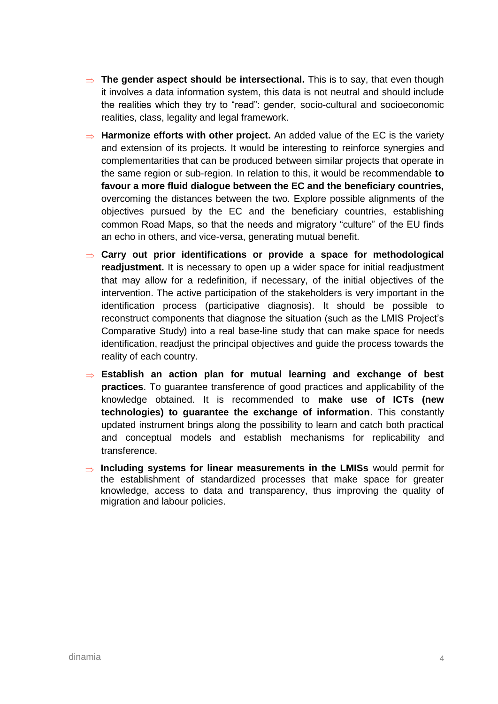- **⇒ The gender aspect should be intersectional.** This is to say, that even though it involves a data information system, this data is not neutral and should include the realities which they try to "read": gender, socio-cultural and socioeconomic realities, class, legality and legal framework.
- $\Rightarrow$  **Harmonize efforts with other project.** An added value of the EC is the variety and extension of its projects. It would be interesting to reinforce synergies and complementarities that can be produced between similar projects that operate in the same region or sub-region. In relation to this, it would be recommendable **to favour a more fluid dialogue between the EC and the beneficiary countries,** overcoming the distances between the two. Explore possible alignments of the objectives pursued by the EC and the beneficiary countries, establishing common Road Maps, so that the needs and migratory "culture" of the EU finds an echo in others, and vice-versa, generating mutual benefit.
- **Carry out prior identifications or provide a space for methodological readjustment.** It is necessary to open up a wider space for initial readjustment that may allow for a redefinition, if necessary, of the initial objectives of the intervention. The active participation of the stakeholders is very important in the identification process (participative diagnosis). It should be possible to reconstruct components that diagnose the situation (such as the LMIS Project's Comparative Study) into a real base-line study that can make space for needs identification, readjust the principal objectives and guide the process towards the reality of each country.
- **Establish an action plan for mutual learning and exchange of best practices**. To guarantee transference of good practices and applicability of the knowledge obtained. It is recommended to **make use of ICTs (new technologies) to guarantee the exchange of information**. This constantly updated instrument brings along the possibility to learn and catch both practical and conceptual models and establish mechanisms for replicability and transference.
- $\Rightarrow$  **Including systems for linear measurements in the LMISs** would permit for the establishment of standardized processes that make space for greater knowledge, access to data and transparency, thus improving the quality of migration and labour policies.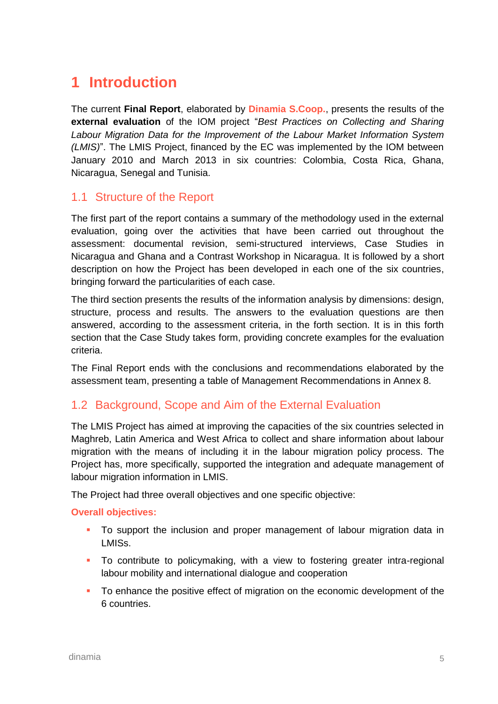# <span id="page-10-0"></span>**1 Introduction**

The current **Final Report**, elaborated by **Dinamia S.Coop.**, presents the results of the **external evaluation** of the IOM project "*Best Practices on Collecting and Sharing Labour Migration Data for the Improvement of the Labour Market Information System (LMIS)*". The LMIS Project, financed by the EC was implemented by the IOM between January 2010 and March 2013 in six countries: Colombia, Costa Rica, Ghana, Nicaragua, Senegal and Tunisia.

#### <span id="page-10-1"></span>1.1 Structure of the Report

The first part of the report contains a summary of the methodology used in the external evaluation, going over the activities that have been carried out throughout the assessment: documental revision, semi-structured interviews, Case Studies in Nicaragua and Ghana and a Contrast Workshop in Nicaragua. It is followed by a short description on how the Project has been developed in each one of the six countries, bringing forward the particularities of each case.

The third section presents the results of the information analysis by dimensions: design, structure, process and results. The answers to the evaluation questions are then answered, according to the assessment criteria, in the forth section. It is in this forth section that the Case Study takes form, providing concrete examples for the evaluation criteria.

The Final Report ends with the conclusions and recommendations elaborated by the assessment team, presenting a table of Management Recommendations in Annex 8.

### <span id="page-10-2"></span>1.2 Background, Scope and Aim of the External Evaluation

The LMIS Project has aimed at improving the capacities of the six countries selected in Maghreb, Latin America and West Africa to collect and share information about labour migration with the means of including it in the labour migration policy process. The Project has, more specifically, supported the integration and adequate management of labour migration information in LMIS.

The Project had three overall objectives and one specific objective:

#### **Overall objectives:**

- To support the inclusion and proper management of labour migration data in LMISs.
- **To contribute to policymaking, with a view to fostering greater intra-regional** labour mobility and international dialogue and cooperation
- To enhance the positive effect of migration on the economic development of the 6 countries.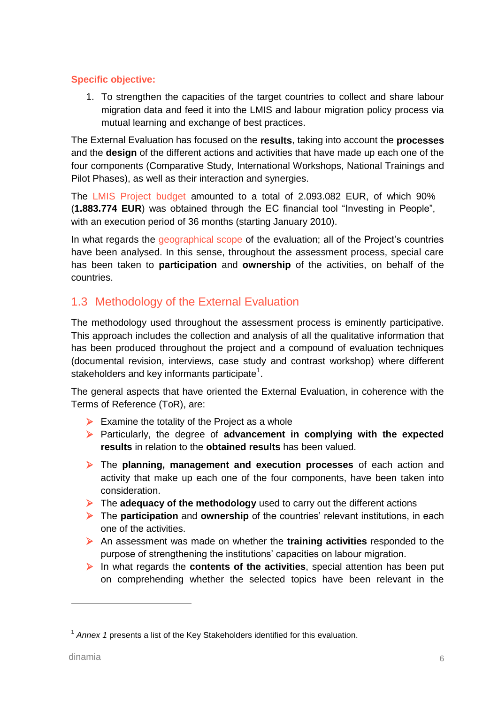#### **Specific objective:**

1. To strengthen the capacities of the target countries to collect and share labour migration data and feed it into the LMIS and labour migration policy process via mutual learning and exchange of best practices.

The External Evaluation has focused on the **results**, taking into account the **processes** and the **design** of the different actions and activities that have made up each one of the four components (Comparative Study, International Workshops, National Trainings and Pilot Phases), as well as their interaction and synergies.

The LMIS Project budget amounted to a total of 2.093.082 EUR, of which 90% (**1.883.774 EUR**) was obtained through the EC financial tool "Investing in People", with an execution period of 36 months (starting January 2010).

In what regards the geographical scope of the evaluation; all of the Project's countries have been analysed. In this sense, throughout the assessment process, special care has been taken to **participation** and **ownership** of the activities, on behalf of the countries.

### <span id="page-11-0"></span>1.3 Methodology of the External Evaluation

The methodology used throughout the assessment process is eminently participative. This approach includes the collection and analysis of all the qualitative information that has been produced throughout the project and a compound of evaluation techniques (documental revision, interviews, case study and contrast workshop) where different stakeholders and key informants participate $^1$ .

The general aspects that have oriented the External Evaluation, in coherence with the Terms of Reference (ToR), are:

- $\triangleright$  Examine the totality of the Project as a whole
- Particularly, the degree of **advancement in complying with the expected results** in relation to the **obtained results** has been valued.
- The **planning, management and execution processes** of each action and activity that make up each one of the four components, have been taken into consideration.
- The **adequacy of the methodology** used to carry out the different actions
- The **participation** and **ownership** of the countries' relevant institutions, in each one of the activities.
- An assessment was made on whether the **training activities** responded to the purpose of strengthening the institutions' capacities on labour migration.
- In what regards the **contents of the activities**, special attention has been put on comprehending whether the selected topics have been relevant in the

<sup>&</sup>lt;sup>1</sup> Annex 1 presents a list of the Key Stakeholders identified for this evaluation.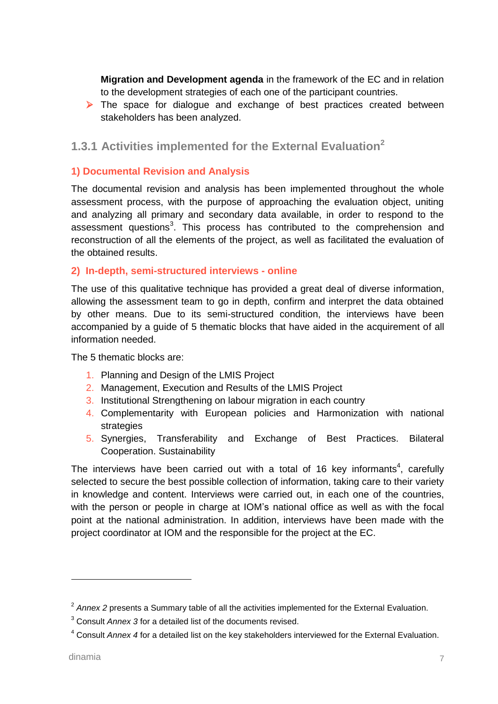**Migration and Development agenda** in the framework of the EC and in relation to the development strategies of each one of the participant countries.

 $\triangleright$  The space for dialogue and exchange of best practices created between stakeholders has been analyzed.

#### <span id="page-12-0"></span>**1.3.1 Activities implemented for the External Evaluation<sup>2</sup>**

#### **1) Documental Revision and Analysis**

The documental revision and analysis has been implemented throughout the whole assessment process, with the purpose of approaching the evaluation object, uniting and analyzing all primary and secondary data available, in order to respond to the assessment questions<sup>3</sup>. This process has contributed to the comprehension and reconstruction of all the elements of the project, as well as facilitated the evaluation of the obtained results.

#### **2) In-depth, semi-structured interviews - online**

The use of this qualitative technique has provided a great deal of diverse information, allowing the assessment team to go in depth, confirm and interpret the data obtained by other means. Due to its semi-structured condition, the interviews have been accompanied by a guide of 5 thematic blocks that have aided in the acquirement of all information needed.

The 5 thematic blocks are:

- 1. Planning and Design of the LMIS Project
- 2. Management, Execution and Results of the LMIS Project
- 3. Institutional Strengthening on labour migration in each country
- 4. Complementarity with European policies and Harmonization with national strategies
- 5. Synergies, Transferability and Exchange of Best Practices. Bilateral Cooperation. Sustainability

The interviews have been carried out with a total of 16 key informants<sup>4</sup>, carefully selected to secure the best possible collection of information, taking care to their variety in knowledge and content. Interviews were carried out, in each one of the countries, with the person or people in charge at IOM's national office as well as with the focal point at the national administration. In addition, interviews have been made with the project coordinator at IOM and the responsible for the project at the EC.

<sup>&</sup>lt;sup>2</sup> Annex 2 presents a Summary table of all the activities implemented for the External Evaluation.

<sup>3</sup> Consult *Annex 3* for a detailed list of the documents revised.

<sup>4</sup> Consult *Annex 4* for a detailed list on the key stakeholders interviewed for the External Evaluation.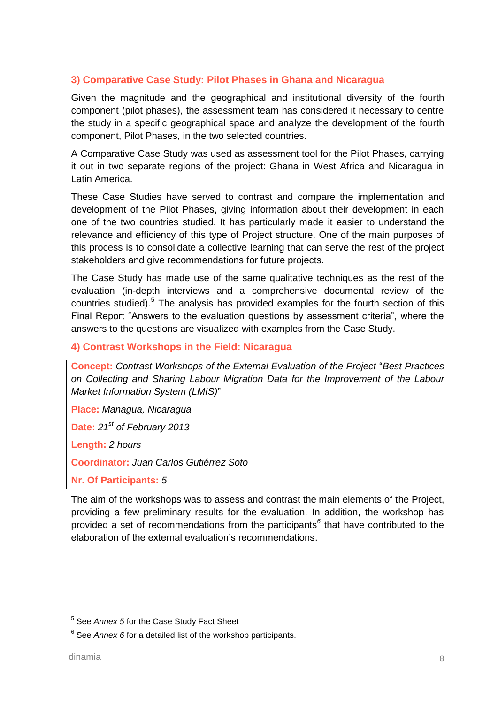#### **3) Comparative Case Study: Pilot Phases in Ghana and Nicaragua**

Given the magnitude and the geographical and institutional diversity of the fourth component (pilot phases), the assessment team has considered it necessary to centre the study in a specific geographical space and analyze the development of the fourth component, Pilot Phases, in the two selected countries.

A Comparative Case Study was used as assessment tool for the Pilot Phases, carrying it out in two separate regions of the project: Ghana in West Africa and Nicaragua in Latin America.

These Case Studies have served to contrast and compare the implementation and development of the Pilot Phases, giving information about their development in each one of the two countries studied. It has particularly made it easier to understand the relevance and efficiency of this type of Project structure. One of the main purposes of this process is to consolidate a collective learning that can serve the rest of the project stakeholders and give recommendations for future projects.

The Case Study has made use of the same qualitative techniques as the rest of the evaluation (in-depth interviews and a comprehensive documental review of the countries studied).<sup>5</sup> The analysis has provided examples for the fourth section of this Final Report "Answers to the evaluation questions by assessment criteria", where the answers to the questions are visualized with examples from the Case Study.

#### **4) Contrast Workshops in the Field: Nicaragua**

**Concept:** *Contrast Workshops of the External Evaluation of the Project* "*Best Practices on Collecting and Sharing Labour Migration Data for the Improvement of the Labour Market Information System (LMIS)*"

**Place:** *Managua, Nicaragua*

**Date:** *21st of February 2013*

**Length:** *2 hours*

**Coordinator:** *Juan Carlos Gutiérrez Soto*

**Nr. Of Participants:** *5*

The aim of the workshops was to assess and contrast the main elements of the Project, providing a few preliminary results for the evaluation. In addition, the workshop has provided a set of recommendations from the participants*<sup>6</sup>* that have contributed to the elaboration of the external evaluation's recommendations.

<sup>5</sup> See *Annex 5* for the Case Study Fact Sheet

<sup>&</sup>lt;sup>6</sup> See *Annex 6* for a detailed list of the workshop participants.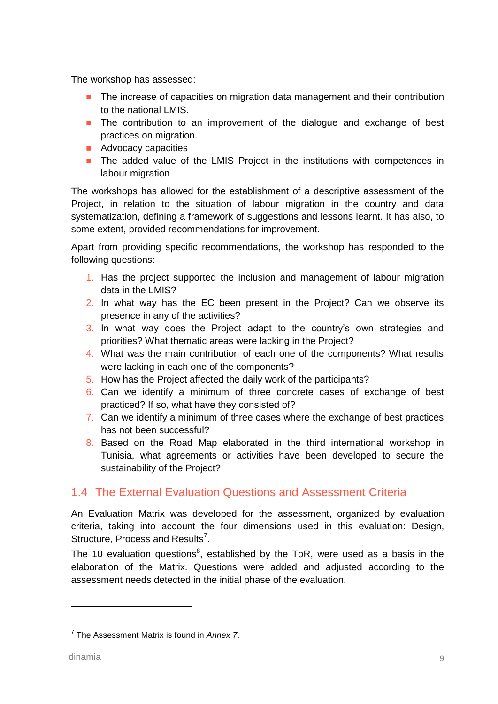The workshop has assessed:

- **The increase of capacities on migration data management and their contribution** to the national LMIS.
- **The contribution to an improvement of the dialogue and exchange of best** practices on migration.
- **Advocacy capacities**
- **The added value of the LMIS Project in the institutions with competences in** labour migration

The workshops has allowed for the establishment of a descriptive assessment of the Project, in relation to the situation of labour migration in the country and data systematization, defining a framework of suggestions and lessons learnt. It has also, to some extent, provided recommendations for improvement.

Apart from providing specific recommendations, the workshop has responded to the following questions:

- 1. Has the project supported the inclusion and management of labour migration data in the LMIS?
- 2. In what way has the EC been present in the Project? Can we observe its presence in any of the activities?
- 3. In what way does the Project adapt to the country's own strategies and priorities? What thematic areas were lacking in the Project?
- 4. What was the main contribution of each one of the components? What results were lacking in each one of the components?
- 5. How has the Project affected the daily work of the participants?
- 6. Can we identify a minimum of three concrete cases of exchange of best practiced? If so, what have they consisted of?
- 7. Can we identify a minimum of three cases where the exchange of best practices has not been successful?
- 8. Based on the Road Map elaborated in the third international workshop in Tunisia, what agreements or activities have been developed to secure the sustainability of the Project?

### <span id="page-14-0"></span>1.4 The External Evaluation Questions and Assessment Criteria

An Evaluation Matrix was developed for the assessment, organized by evaluation criteria, taking into account the four dimensions used in this evaluation: Design, Structure, Process and Results<sup>7</sup>.

The 10 evaluation questions<sup>8</sup>, established by the ToR, were used as a basis in the elaboration of the Matrix. Questions were added and adjusted according to the assessment needs detected in the initial phase of the evaluation.

<sup>7</sup> The Assessment Matrix is found in *Annex 7*.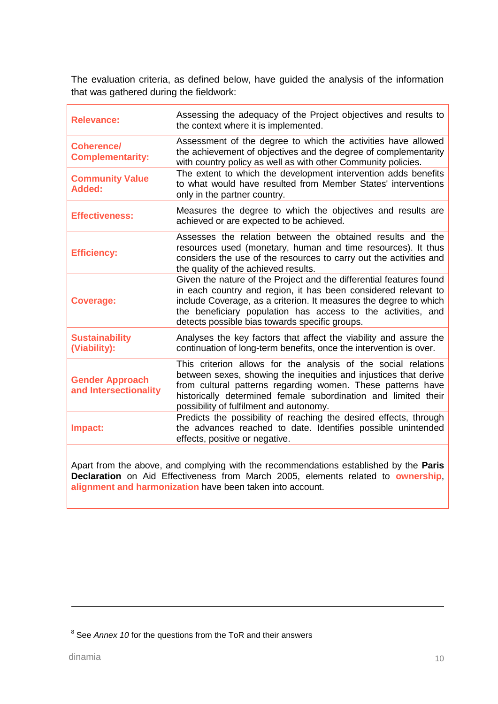The evaluation criteria, as defined below, have guided the analysis of the information that was gathered during the fieldwork:

| <b>Relevance:</b>                               | Assessing the adequacy of the Project objectives and results to<br>the context where it is implemented.                                                                                                                                                                                                                      |
|-------------------------------------------------|------------------------------------------------------------------------------------------------------------------------------------------------------------------------------------------------------------------------------------------------------------------------------------------------------------------------------|
| <b>Coherence/</b><br><b>Complementarity:</b>    | Assessment of the degree to which the activities have allowed<br>the achievement of objectives and the degree of complementarity<br>with country policy as well as with other Community policies.                                                                                                                            |
| <b>Community Value</b><br>Added:                | The extent to which the development intervention adds benefits<br>to what would have resulted from Member States' interventions<br>only in the partner country.                                                                                                                                                              |
| <b>Effectiveness:</b>                           | Measures the degree to which the objectives and results are<br>achieved or are expected to be achieved.                                                                                                                                                                                                                      |
| <b>Efficiency:</b>                              | Assesses the relation between the obtained results and the<br>resources used (monetary, human and time resources). It thus<br>considers the use of the resources to carry out the activities and<br>the quality of the achieved results.                                                                                     |
| <b>Coverage:</b>                                | Given the nature of the Project and the differential features found<br>in each country and region, it has been considered relevant to<br>include Coverage, as a criterion. It measures the degree to which<br>the beneficiary population has access to the activities, and<br>detects possible bias towards specific groups. |
| <b>Sustainability</b><br>(Viability):           | Analyses the key factors that affect the viability and assure the<br>continuation of long-term benefits, once the intervention is over.                                                                                                                                                                                      |
| <b>Gender Approach</b><br>and Intersectionality | This criterion allows for the analysis of the social relations<br>between sexes, showing the inequities and injustices that derive<br>from cultural patterns regarding women. These patterns have<br>historically determined female subordination and limited their<br>possibility of fulfilment and autonomy.               |
| Impact:                                         | Predicts the possibility of reaching the desired effects, through<br>the advances reached to date. Identifies possible unintended<br>effects, positive or negative.                                                                                                                                                          |
|                                                 |                                                                                                                                                                                                                                                                                                                              |

Apart from the above, and complying with the recommendations established by the **Paris Declaration** on Aid Effectiveness from March 2005, elements related to **ownership**, **alignment and harmonization** have been taken into account.

<sup>&</sup>lt;sup>8</sup> See *Annex 10* for the questions from the ToR and their answers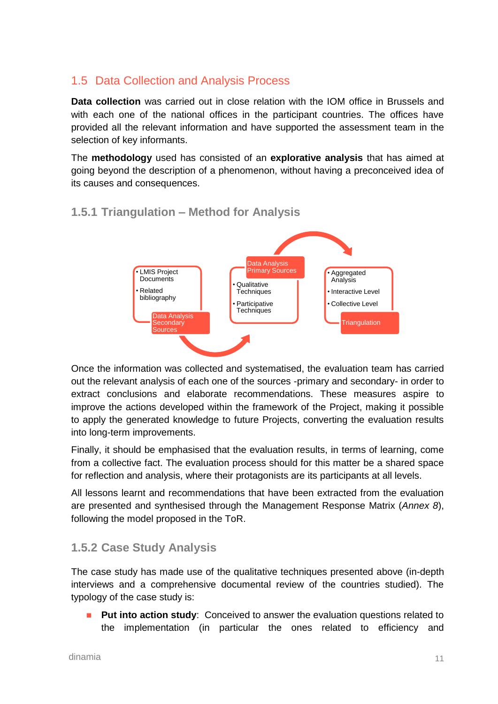### <span id="page-16-0"></span>1.5 Data Collection and Analysis Process

**Data collection** was carried out in close relation with the IOM office in Brussels and with each one of the national offices in the participant countries. The offices have provided all the relevant information and have supported the assessment team in the selection of key informants.

The **methodology** used has consisted of an **explorative analysis** that has aimed at going beyond the description of a phenomenon, without having a preconceived idea of its causes and consequences.



### <span id="page-16-1"></span>**1.5.1 Triangulation – Method for Analysis**

Once the information was collected and systematised, the evaluation team has carried out the relevant analysis of each one of the sources -primary and secondary- in order to extract conclusions and elaborate recommendations. These measures aspire to improve the actions developed within the framework of the Project, making it possible to apply the generated knowledge to future Projects, converting the evaluation results into long-term improvements.

Finally, it should be emphasised that the evaluation results, in terms of learning, come from a collective fact. The evaluation process should for this matter be a shared space for reflection and analysis, where their protagonists are its participants at all levels.

All lessons learnt and recommendations that have been extracted from the evaluation are presented and synthesised through the Management Response Matrix (*Annex 8*), following the model proposed in the ToR.

### <span id="page-16-2"></span>**1.5.2 Case Study Analysis**

The case study has made use of the qualitative techniques presented above (in-depth interviews and a comprehensive documental review of the countries studied). The typology of the case study is:

**Put into action study**: Conceived to answer the evaluation questions related to the implementation (in particular the ones related to efficiency and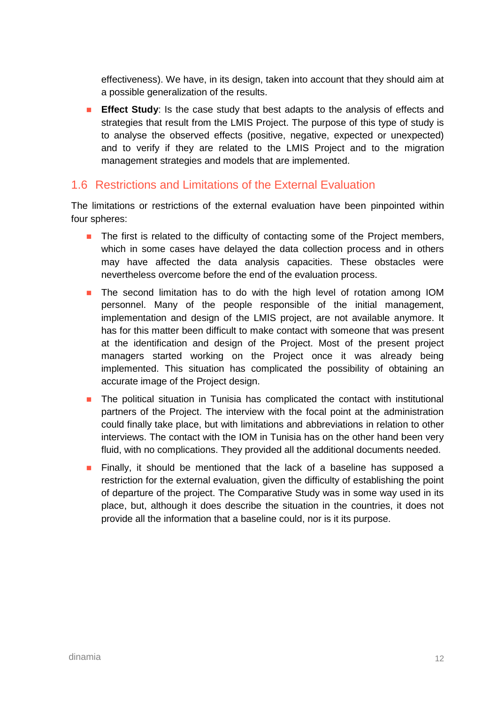effectiveness). We have, in its design, taken into account that they should aim at a possible generalization of the results.

**Effect Study**: Is the case study that best adapts to the analysis of effects and strategies that result from the LMIS Project. The purpose of this type of study is to analyse the observed effects (positive, negative, expected or unexpected) and to verify if they are related to the LMIS Project and to the migration management strategies and models that are implemented.

#### <span id="page-17-0"></span>1.6 Restrictions and Limitations of the External Evaluation

The limitations or restrictions of the external evaluation have been pinpointed within four spheres:

- **The first is related to the difficulty of contacting some of the Project members,** which in some cases have delayed the data collection process and in others may have affected the data analysis capacities. These obstacles were nevertheless overcome before the end of the evaluation process.
- **The second limitation has to do with the high level of rotation among IOM** personnel. Many of the people responsible of the initial management, implementation and design of the LMIS project, are not available anymore. It has for this matter been difficult to make contact with someone that was present at the identification and design of the Project. Most of the present project managers started working on the Project once it was already being implemented. This situation has complicated the possibility of obtaining an accurate image of the Project design.
- **The political situation in Tunisia has complicated the contact with institutional** partners of the Project. The interview with the focal point at the administration could finally take place, but with limitations and abbreviations in relation to other interviews. The contact with the IOM in Tunisia has on the other hand been very fluid, with no complications. They provided all the additional documents needed.
- **Finally, it should be mentioned that the lack of a baseline has supposed a** restriction for the external evaluation, given the difficulty of establishing the point of departure of the project. The Comparative Study was in some way used in its place, but, although it does describe the situation in the countries, it does not provide all the information that a baseline could, nor is it its purpose.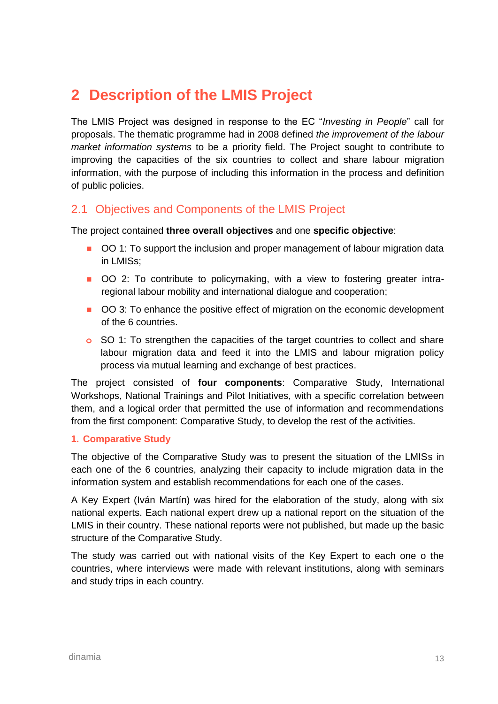## <span id="page-18-0"></span>**2 Description of the LMIS Project**

The LMIS Project was designed in response to the EC "*Investing in People*" call for proposals. The thematic programme had in 2008 defined *the improvement of the labour market information systems* to be a priority field. The Project sought to contribute to improving the capacities of the six countries to collect and share labour migration information, with the purpose of including this information in the process and definition of public policies.

#### <span id="page-18-1"></span>2.1 Objectives and Components of the LMIS Project

The project contained **three overall objectives** and one **specific objective**:

- OO 1: To support the inclusion and proper management of labour migration data in LMISs;
- OO 2: To contribute to policymaking, with a view to fostering greater intraregional labour mobility and international dialogue and cooperation;
- OO 3: To enhance the positive effect of migration on the economic development of the 6 countries.
- **o** SO 1: To strengthen the capacities of the target countries to collect and share labour migration data and feed it into the LMIS and labour migration policy process via mutual learning and exchange of best practices.

The project consisted of **four components**: Comparative Study, International Workshops, National Trainings and Pilot Initiatives, with a specific correlation between them, and a logical order that permitted the use of information and recommendations from the first component: Comparative Study, to develop the rest of the activities.

#### **1. Comparative Study**

The objective of the Comparative Study was to present the situation of the LMISs in each one of the 6 countries, analyzing their capacity to include migration data in the information system and establish recommendations for each one of the cases.

A Key Expert (Iván Martín) was hired for the elaboration of the study, along with six national experts. Each national expert drew up a national report on the situation of the LMIS in their country. These national reports were not published, but made up the basic structure of the Comparative Study.

The study was carried out with national visits of the Key Expert to each one o the countries, where interviews were made with relevant institutions, along with seminars and study trips in each country.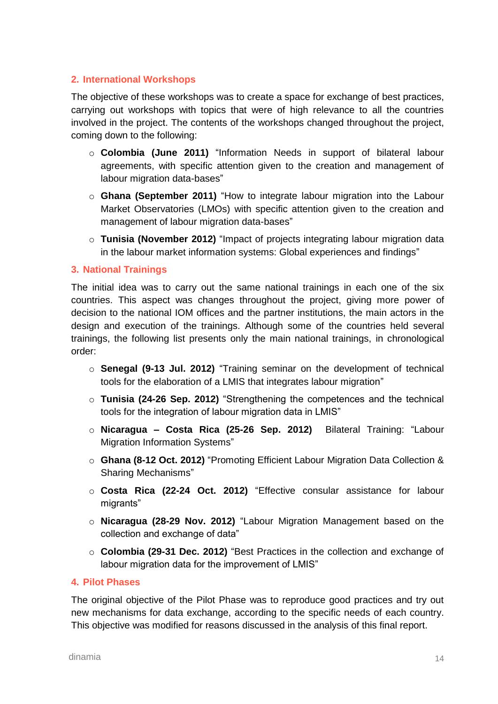#### **2. International Workshops**

The objective of these workshops was to create a space for exchange of best practices, carrying out workshops with topics that were of high relevance to all the countries involved in the project. The contents of the workshops changed throughout the project, coming down to the following:

- o **Colombia (June 2011)** "Information Needs in support of bilateral labour agreements, with specific attention given to the creation and management of labour migration data-bases"
- o **Ghana (September 2011)** "How to integrate labour migration into the Labour Market Observatories (LMOs) with specific attention given to the creation and management of labour migration data-bases"
- o **Tunisia (November 2012)** "Impact of projects integrating labour migration data in the labour market information systems: Global experiences and findings"

#### **3. National Trainings**

The initial idea was to carry out the same national trainings in each one of the six countries. This aspect was changes throughout the project, giving more power of decision to the national IOM offices and the partner institutions, the main actors in the design and execution of the trainings. Although some of the countries held several trainings, the following list presents only the main national trainings, in chronological order:

- o **Senegal (9-13 Jul. 2012)** "Training seminar on the development of technical tools for the elaboration of a LMIS that integrates labour migration"
- o **Tunisia (24-26 Sep. 2012)** "Strengthening the competences and the technical tools for the integration of labour migration data in LMIS"
- o **Nicaragua – Costa Rica (25-26 Sep. 2012)** Bilateral Training: "Labour Migration Information Systems"
- o **Ghana (8-12 Oct. 2012)** "Promoting Efficient Labour Migration Data Collection & Sharing Mechanisms"
- o **Costa Rica (22-24 Oct. 2012)** "Effective consular assistance for labour migrants"
- o **Nicaragua (28-29 Nov. 2012)** "Labour Migration Management based on the collection and exchange of data"
- o **Colombia (29-31 Dec. 2012)** "Best Practices in the collection and exchange of labour migration data for the improvement of LMIS"

#### **4. Pilot Phases**

The original objective of the Pilot Phase was to reproduce good practices and try out new mechanisms for data exchange, according to the specific needs of each country. This objective was modified for reasons discussed in the analysis of this final report.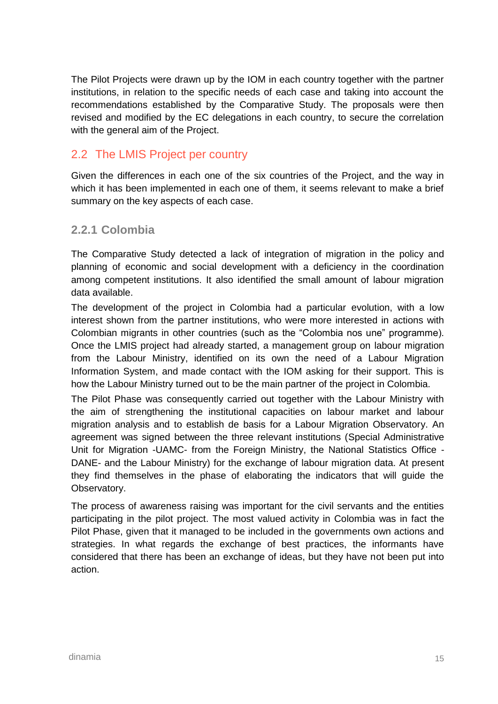The Pilot Projects were drawn up by the IOM in each country together with the partner institutions, in relation to the specific needs of each case and taking into account the recommendations established by the Comparative Study. The proposals were then revised and modified by the EC delegations in each country, to secure the correlation with the general aim of the Project.

### <span id="page-20-0"></span>2.2 The LMIS Project per country

Given the differences in each one of the six countries of the Project, and the way in which it has been implemented in each one of them, it seems relevant to make a brief summary on the key aspects of each case.

#### <span id="page-20-1"></span>**2.2.1 Colombia**

The Comparative Study detected a lack of integration of migration in the policy and planning of economic and social development with a deficiency in the coordination among competent institutions. It also identified the small amount of labour migration data available.

The development of the project in Colombia had a particular evolution, with a low interest shown from the partner institutions, who were more interested in actions with Colombian migrants in other countries (such as the "Colombia nos une" programme). Once the LMIS project had already started, a management group on labour migration from the Labour Ministry, identified on its own the need of a Labour Migration Information System, and made contact with the IOM asking for their support. This is how the Labour Ministry turned out to be the main partner of the project in Colombia.

The Pilot Phase was consequently carried out together with the Labour Ministry with the aim of strengthening the institutional capacities on labour market and labour migration analysis and to establish de basis for a Labour Migration Observatory. An agreement was signed between the three relevant institutions (Special Administrative Unit for Migration -UAMC- from the Foreign Ministry, the National Statistics Office - DANE- and the Labour Ministry) for the exchange of labour migration data. At present they find themselves in the phase of elaborating the indicators that will guide the Observatory.

The process of awareness raising was important for the civil servants and the entities participating in the pilot project. The most valued activity in Colombia was in fact the Pilot Phase, given that it managed to be included in the governments own actions and strategies. In what regards the exchange of best practices, the informants have considered that there has been an exchange of ideas, but they have not been put into action.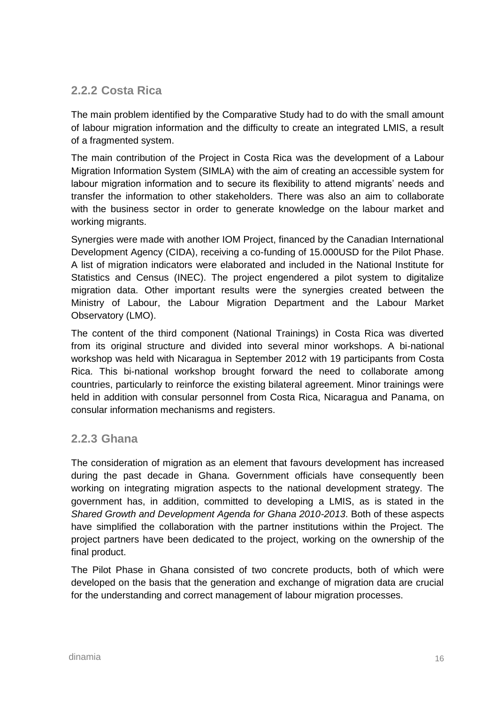### <span id="page-21-0"></span>**2.2.2 Costa Rica**

The main problem identified by the Comparative Study had to do with the small amount of labour migration information and the difficulty to create an integrated LMIS, a result of a fragmented system.

The main contribution of the Project in Costa Rica was the development of a Labour Migration Information System (SIMLA) with the aim of creating an accessible system for labour migration information and to secure its flexibility to attend migrants' needs and transfer the information to other stakeholders. There was also an aim to collaborate with the business sector in order to generate knowledge on the labour market and working migrants.

Synergies were made with another IOM Project, financed by the Canadian International Development Agency (CIDA), receiving a co-funding of 15.000USD for the Pilot Phase. A list of migration indicators were elaborated and included in the National Institute for Statistics and Census (INEC). The project engendered a pilot system to digitalize migration data. Other important results were the synergies created between the Ministry of Labour, the Labour Migration Department and the Labour Market Observatory (LMO).

The content of the third component (National Trainings) in Costa Rica was diverted from its original structure and divided into several minor workshops. A bi-national workshop was held with Nicaragua in September 2012 with 19 participants from Costa Rica. This bi-national workshop brought forward the need to collaborate among countries, particularly to reinforce the existing bilateral agreement. Minor trainings were held in addition with consular personnel from Costa Rica, Nicaragua and Panama, on consular information mechanisms and registers.

#### <span id="page-21-1"></span>**2.2.3 Ghana**

The consideration of migration as an element that favours development has increased during the past decade in Ghana. Government officials have consequently been working on integrating migration aspects to the national development strategy. The government has, in addition, committed to developing a LMIS, as is stated in the *Shared Growth and Development Agenda for Ghana 2010-2013*. Both of these aspects have simplified the collaboration with the partner institutions within the Project. The project partners have been dedicated to the project, working on the ownership of the final product.

The Pilot Phase in Ghana consisted of two concrete products, both of which were developed on the basis that the generation and exchange of migration data are crucial for the understanding and correct management of labour migration processes.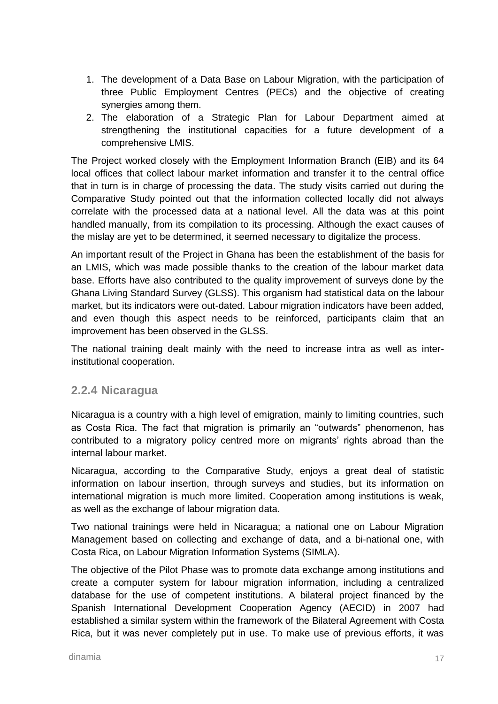- 1. The development of a Data Base on Labour Migration, with the participation of three Public Employment Centres (PECs) and the objective of creating synergies among them.
- 2. The elaboration of a Strategic Plan for Labour Department aimed at strengthening the institutional capacities for a future development of a comprehensive LMIS.

The Project worked closely with the Employment Information Branch (EIB) and its 64 local offices that collect labour market information and transfer it to the central office that in turn is in charge of processing the data. The study visits carried out during the Comparative Study pointed out that the information collected locally did not always correlate with the processed data at a national level. All the data was at this point handled manually, from its compilation to its processing. Although the exact causes of the mislay are yet to be determined, it seemed necessary to digitalize the process.

An important result of the Project in Ghana has been the establishment of the basis for an LMIS, which was made possible thanks to the creation of the labour market data base. Efforts have also contributed to the quality improvement of surveys done by the Ghana Living Standard Survey (GLSS). This organism had statistical data on the labour market, but its indicators were out-dated. Labour migration indicators have been added, and even though this aspect needs to be reinforced, participants claim that an improvement has been observed in the GLSS.

The national training dealt mainly with the need to increase intra as well as interinstitutional cooperation.

#### <span id="page-22-0"></span>**2.2.4 Nicaragua**

Nicaragua is a country with a high level of emigration, mainly to limiting countries, such as Costa Rica. The fact that migration is primarily an "outwards" phenomenon, has contributed to a migratory policy centred more on migrants' rights abroad than the internal labour market.

Nicaragua, according to the Comparative Study, enjoys a great deal of statistic information on labour insertion, through surveys and studies, but its information on international migration is much more limited. Cooperation among institutions is weak, as well as the exchange of labour migration data.

Two national trainings were held in Nicaragua; a national one on Labour Migration Management based on collecting and exchange of data, and a bi-national one, with Costa Rica, on Labour Migration Information Systems (SIMLA).

The objective of the Pilot Phase was to promote data exchange among institutions and create a computer system for labour migration information, including a centralized database for the use of competent institutions. A bilateral project financed by the Spanish International Development Cooperation Agency (AECID) in 2007 had established a similar system within the framework of the Bilateral Agreement with Costa Rica, but it was never completely put in use. To make use of previous efforts, it was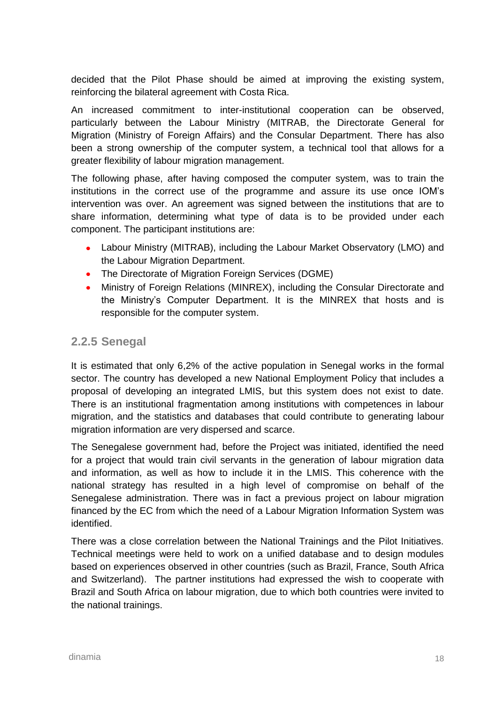decided that the Pilot Phase should be aimed at improving the existing system, reinforcing the bilateral agreement with Costa Rica.

An increased commitment to inter-institutional cooperation can be observed, particularly between the Labour Ministry (MITRAB, the Directorate General for Migration (Ministry of Foreign Affairs) and the Consular Department. There has also been a strong ownership of the computer system, a technical tool that allows for a greater flexibility of labour migration management.

The following phase, after having composed the computer system, was to train the institutions in the correct use of the programme and assure its use once IOM's intervention was over. An agreement was signed between the institutions that are to share information, determining what type of data is to be provided under each component. The participant institutions are:

- Labour Ministry (MITRAB), including the Labour Market Observatory (LMO) and the Labour Migration Department.
- The Directorate of Migration Foreign Services (DGME)
- Ministry of Foreign Relations (MINREX), including the Consular Directorate and the Ministry's Computer Department. It is the MINREX that hosts and is responsible for the computer system.

#### <span id="page-23-0"></span>**2.2.5 Senegal**

It is estimated that only 6,2% of the active population in Senegal works in the formal sector. The country has developed a new National Employment Policy that includes a proposal of developing an integrated LMIS, but this system does not exist to date. There is an institutional fragmentation among institutions with competences in labour migration, and the statistics and databases that could contribute to generating labour migration information are very dispersed and scarce.

The Senegalese government had, before the Project was initiated, identified the need for a project that would train civil servants in the generation of labour migration data and information, as well as how to include it in the LMIS. This coherence with the national strategy has resulted in a high level of compromise on behalf of the Senegalese administration. There was in fact a previous project on labour migration financed by the EC from which the need of a Labour Migration Information System was identified.

There was a close correlation between the National Trainings and the Pilot Initiatives. Technical meetings were held to work on a unified database and to design modules based on experiences observed in other countries (such as Brazil, France, South Africa and Switzerland). The partner institutions had expressed the wish to cooperate with Brazil and South Africa on labour migration, due to which both countries were invited to the national trainings.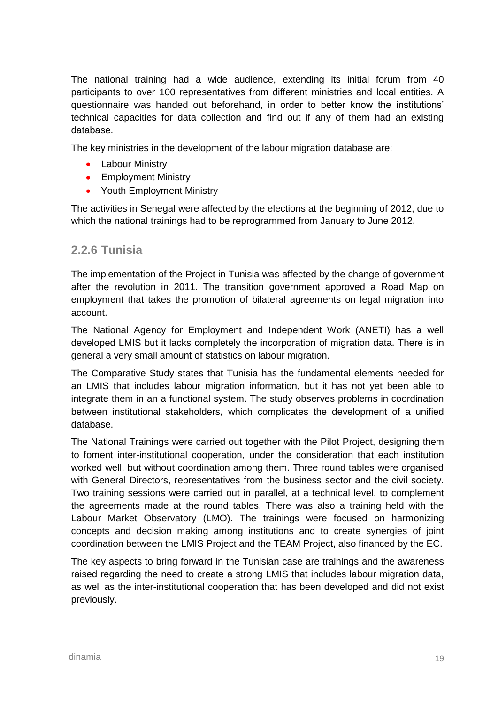The national training had a wide audience, extending its initial forum from 40 participants to over 100 representatives from different ministries and local entities. A questionnaire was handed out beforehand, in order to better know the institutions' technical capacities for data collection and find out if any of them had an existing database.

The key ministries in the development of the labour migration database are:

- Labour Ministry
- Employment Ministry
- Youth Employment Ministry

The activities in Senegal were affected by the elections at the beginning of 2012, due to which the national trainings had to be reprogrammed from January to June 2012.

#### <span id="page-24-0"></span>**2.2.6 Tunisia**

The implementation of the Project in Tunisia was affected by the change of government after the revolution in 2011. The transition government approved a Road Map on employment that takes the promotion of bilateral agreements on legal migration into account.

The National Agency for Employment and Independent Work (ANETI) has a well developed LMIS but it lacks completely the incorporation of migration data. There is in general a very small amount of statistics on labour migration.

The Comparative Study states that Tunisia has the fundamental elements needed for an LMIS that includes labour migration information, but it has not yet been able to integrate them in an a functional system. The study observes problems in coordination between institutional stakeholders, which complicates the development of a unified database.

The National Trainings were carried out together with the Pilot Project, designing them to foment inter-institutional cooperation, under the consideration that each institution worked well, but without coordination among them. Three round tables were organised with General Directors, representatives from the business sector and the civil society. Two training sessions were carried out in parallel, at a technical level, to complement the agreements made at the round tables. There was also a training held with the Labour Market Observatory (LMO). The trainings were focused on harmonizing concepts and decision making among institutions and to create synergies of joint coordination between the LMIS Project and the TEAM Project, also financed by the EC.

The key aspects to bring forward in the Tunisian case are trainings and the awareness raised regarding the need to create a strong LMIS that includes labour migration data, as well as the inter-institutional cooperation that has been developed and did not exist previously.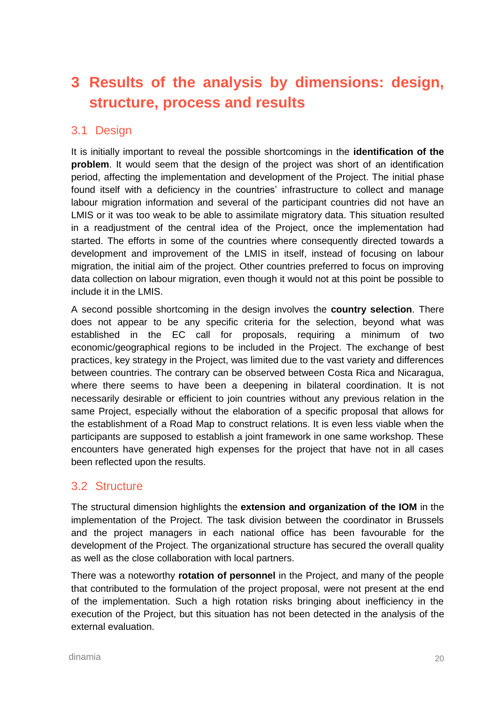# <span id="page-25-0"></span>**3 Results of the analysis by dimensions: design, structure, process and results**

### <span id="page-25-1"></span>3.1 Design

It is initially important to reveal the possible shortcomings in the **identification of the problem**. It would seem that the design of the project was short of an identification period, affecting the implementation and development of the Project. The initial phase found itself with a deficiency in the countries' infrastructure to collect and manage labour migration information and several of the participant countries did not have an LMIS or it was too weak to be able to assimilate migratory data. This situation resulted in a readjustment of the central idea of the Project, once the implementation had started. The efforts in some of the countries where consequently directed towards a development and improvement of the LMIS in itself, instead of focusing on labour migration, the initial aim of the project. Other countries preferred to focus on improving data collection on labour migration, even though it would not at this point be possible to include it in the LMIS.

A second possible shortcoming in the design involves the **country selection**. There does not appear to be any specific criteria for the selection, beyond what was established in the EC call for proposals, requiring a minimum of two economic/geographical regions to be included in the Project. The exchange of best practices, key strategy in the Project, was limited due to the vast variety and differences between countries. The contrary can be observed between Costa Rica and Nicaragua, where there seems to have been a deepening in bilateral coordination. It is not necessarily desirable or efficient to join countries without any previous relation in the same Project, especially without the elaboration of a specific proposal that allows for the establishment of a Road Map to construct relations. It is even less viable when the participants are supposed to establish a joint framework in one same workshop. These encounters have generated high expenses for the project that have not in all cases been reflected upon the results.

#### <span id="page-25-2"></span>3.2 Structure

The structural dimension highlights the **extension and organization of the IOM** in the implementation of the Project. The task division between the coordinator in Brussels and the project managers in each national office has been favourable for the development of the Project. The organizational structure has secured the overall quality as well as the close collaboration with local partners.

There was a noteworthy **rotation of personnel** in the Project, and many of the people that contributed to the formulation of the project proposal, were not present at the end of the implementation. Such a high rotation risks bringing about inefficiency in the execution of the Project, but this situation has not been detected in the analysis of the external evaluation.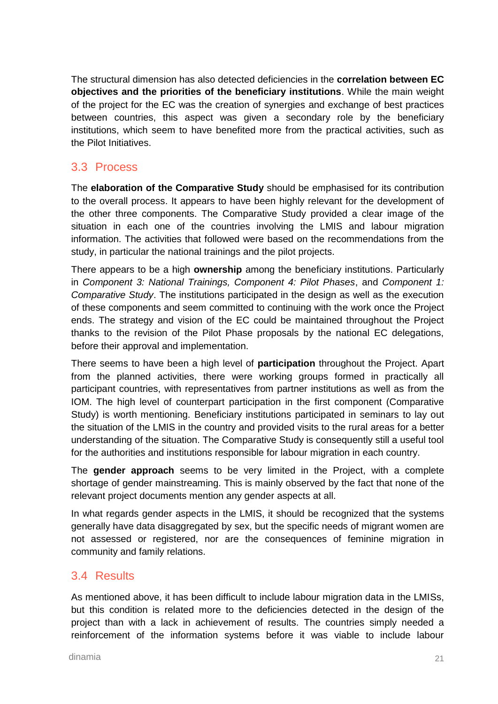The structural dimension has also detected deficiencies in the **correlation between EC objectives and the priorities of the beneficiary institutions**. While the main weight of the project for the EC was the creation of synergies and exchange of best practices between countries, this aspect was given a secondary role by the beneficiary institutions, which seem to have benefited more from the practical activities, such as the Pilot Initiatives.

#### <span id="page-26-0"></span>3.3 Process

The **elaboration of the Comparative Study** should be emphasised for its contribution to the overall process. It appears to have been highly relevant for the development of the other three components. The Comparative Study provided a clear image of the situation in each one of the countries involving the LMIS and labour migration information. The activities that followed were based on the recommendations from the study, in particular the national trainings and the pilot projects.

There appears to be a high **ownership** among the beneficiary institutions. Particularly in *Component 3: National Trainings, Component 4: Pilot Phases*, and *Component 1: Comparative Study*. The institutions participated in the design as well as the execution of these components and seem committed to continuing with the work once the Project ends. The strategy and vision of the EC could be maintained throughout the Project thanks to the revision of the Pilot Phase proposals by the national EC delegations, before their approval and implementation.

There seems to have been a high level of **participation** throughout the Project. Apart from the planned activities, there were working groups formed in practically all participant countries, with representatives from partner institutions as well as from the IOM. The high level of counterpart participation in the first component (Comparative Study) is worth mentioning. Beneficiary institutions participated in seminars to lay out the situation of the LMIS in the country and provided visits to the rural areas for a better understanding of the situation. The Comparative Study is consequently still a useful tool for the authorities and institutions responsible for labour migration in each country.

The **gender approach** seems to be very limited in the Project, with a complete shortage of gender mainstreaming. This is mainly observed by the fact that none of the relevant project documents mention any gender aspects at all.

In what regards gender aspects in the LMIS, it should be recognized that the systems generally have data disaggregated by sex, but the specific needs of migrant women are not assessed or registered, nor are the consequences of feminine migration in community and family relations.

#### <span id="page-26-1"></span>3.4 Results

As mentioned above, it has been difficult to include labour migration data in the LMISs, but this condition is related more to the deficiencies detected in the design of the project than with a lack in achievement of results. The countries simply needed a reinforcement of the information systems before it was viable to include labour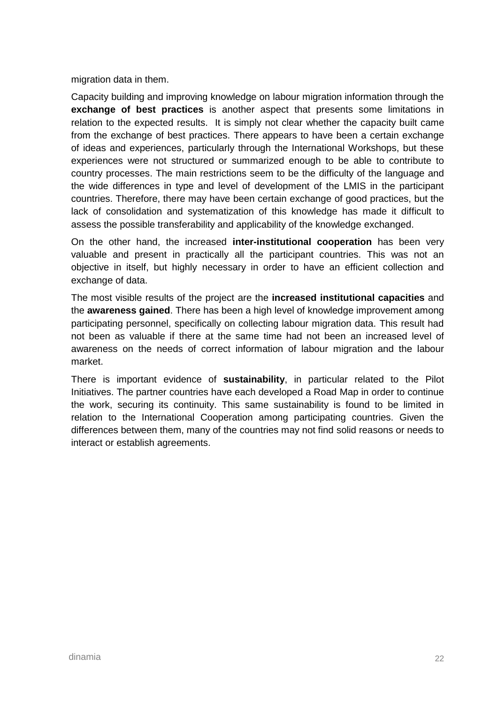migration data in them.

Capacity building and improving knowledge on labour migration information through the **exchange of best practices** is another aspect that presents some limitations in relation to the expected results. It is simply not clear whether the capacity built came from the exchange of best practices. There appears to have been a certain exchange of ideas and experiences, particularly through the International Workshops, but these experiences were not structured or summarized enough to be able to contribute to country processes. The main restrictions seem to be the difficulty of the language and the wide differences in type and level of development of the LMIS in the participant countries. Therefore, there may have been certain exchange of good practices, but the lack of consolidation and systematization of this knowledge has made it difficult to assess the possible transferability and applicability of the knowledge exchanged.

On the other hand, the increased **inter-institutional cooperation** has been very valuable and present in practically all the participant countries. This was not an objective in itself, but highly necessary in order to have an efficient collection and exchange of data.

The most visible results of the project are the **increased institutional capacities** and the **awareness gained**. There has been a high level of knowledge improvement among participating personnel, specifically on collecting labour migration data. This result had not been as valuable if there at the same time had not been an increased level of awareness on the needs of correct information of labour migration and the labour market.

There is important evidence of **sustainability**, in particular related to the Pilot Initiatives. The partner countries have each developed a Road Map in order to continue the work, securing its continuity. This same sustainability is found to be limited in relation to the International Cooperation among participating countries. Given the differences between them, many of the countries may not find solid reasons or needs to interact or establish agreements.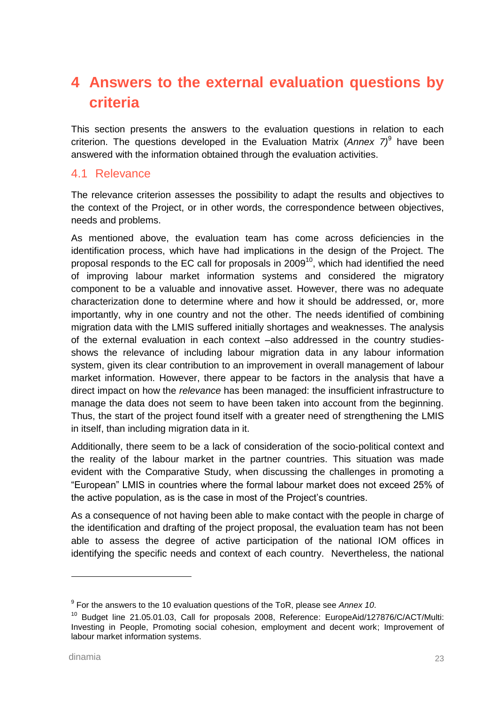# <span id="page-28-0"></span>**4 Answers to the external evaluation questions by criteria**

This section presents the answers to the evaluation questions in relation to each criterion. The questions developed in the Evaluation Matrix (*Annex 7)*<sup>9</sup> have been answered with the information obtained through the evaluation activities.

#### <span id="page-28-1"></span>4.1 Relevance

The relevance criterion assesses the possibility to adapt the results and objectives to the context of the Project, or in other words, the correspondence between objectives, needs and problems.

As mentioned above, the evaluation team has come across deficiencies in the identification process, which have had implications in the design of the Project. The proposal responds to the EC call for proposals in 2009<sup>10</sup>, which had identified the need of improving labour market information systems and considered the migratory component to be a valuable and innovative asset. However, there was no adequate characterization done to determine where and how it should be addressed, or, more importantly, why in one country and not the other. The needs identified of combining migration data with the LMIS suffered initially shortages and weaknesses. The analysis of the external evaluation in each context –also addressed in the country studiesshows the relevance of including labour migration data in any labour information system, given its clear contribution to an improvement in overall management of labour market information. However, there appear to be factors in the analysis that have a direct impact on how the *relevance* has been managed: the insufficient infrastructure to manage the data does not seem to have been taken into account from the beginning. Thus, the start of the project found itself with a greater need of strengthening the LMIS in itself, than including migration data in it.

Additionally, there seem to be a lack of consideration of the socio-political context and the reality of the labour market in the partner countries. This situation was made evident with the Comparative Study, when discussing the challenges in promoting a "European" LMIS in countries where the formal labour market does not exceed 25% of the active population, as is the case in most of the Project's countries.

As a consequence of not having been able to make contact with the people in charge of the identification and drafting of the project proposal, the evaluation team has not been able to assess the degree of active participation of the national IOM offices in identifying the specific needs and context of each country. Nevertheless, the national

<sup>9</sup> For the answers to the 10 evaluation questions of the ToR, please see *Annex 10*.

<sup>&</sup>lt;sup>10</sup> Budget line 21.05.01.03, Call for proposals 2008, Reference: EuropeAid/127876/C/ACT/Multi: Investing in People, Promoting social cohesion, employment and decent work; Improvement of labour market information systems.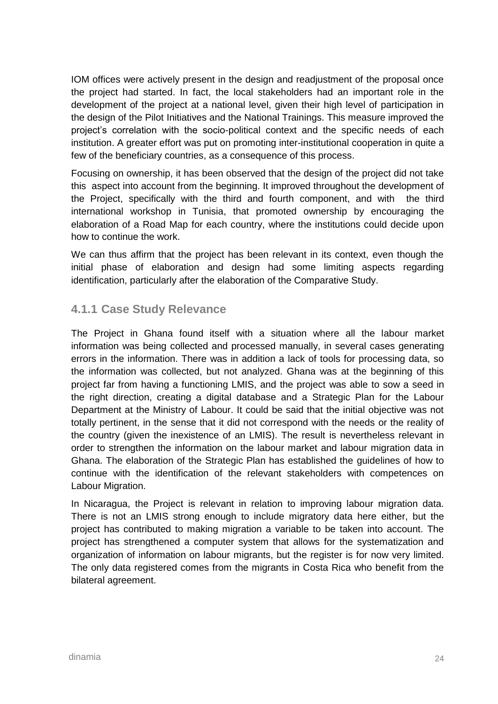IOM offices were actively present in the design and readjustment of the proposal once the project had started. In fact, the local stakeholders had an important role in the development of the project at a national level, given their high level of participation in the design of the Pilot Initiatives and the National Trainings. This measure improved the project's correlation with the socio-political context and the specific needs of each institution. A greater effort was put on promoting inter-institutional cooperation in quite a few of the beneficiary countries, as a consequence of this process.

Focusing on ownership, it has been observed that the design of the project did not take this aspect into account from the beginning. It improved throughout the development of the Project, specifically with the third and fourth component, and with the third international workshop in Tunisia, that promoted ownership by encouraging the elaboration of a Road Map for each country, where the institutions could decide upon how to continue the work.

We can thus affirm that the project has been relevant in its context, even though the initial phase of elaboration and design had some limiting aspects regarding identification, particularly after the elaboration of the Comparative Study.

#### <span id="page-29-0"></span>**4.1.1 Case Study Relevance**

The Project in Ghana found itself with a situation where all the labour market information was being collected and processed manually, in several cases generating errors in the information. There was in addition a lack of tools for processing data, so the information was collected, but not analyzed. Ghana was at the beginning of this project far from having a functioning LMIS, and the project was able to sow a seed in the right direction, creating a digital database and a Strategic Plan for the Labour Department at the Ministry of Labour. It could be said that the initial objective was not totally pertinent, in the sense that it did not correspond with the needs or the reality of the country (given the inexistence of an LMIS). The result is nevertheless relevant in order to strengthen the information on the labour market and labour migration data in Ghana. The elaboration of the Strategic Plan has established the guidelines of how to continue with the identification of the relevant stakeholders with competences on Labour Migration.

In Nicaragua, the Project is relevant in relation to improving labour migration data. There is not an LMIS strong enough to include migratory data here either, but the project has contributed to making migration a variable to be taken into account. The project has strengthened a computer system that allows for the systematization and organization of information on labour migrants, but the register is for now very limited. The only data registered comes from the migrants in Costa Rica who benefit from the bilateral agreement.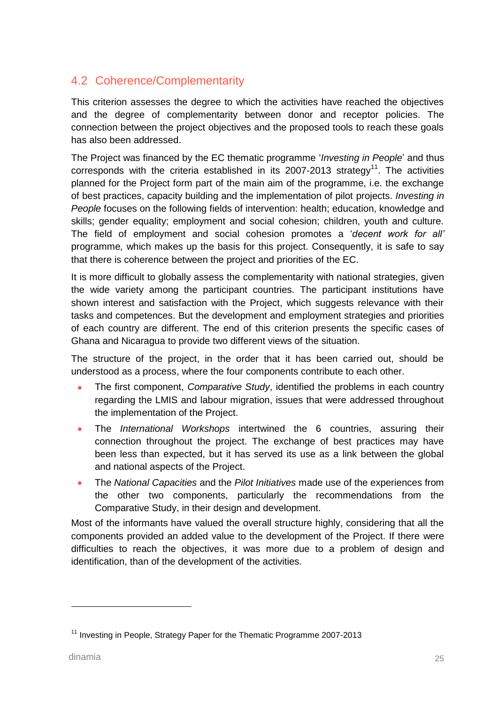### <span id="page-30-0"></span>4.2 Coherence/Complementarity

This criterion assesses the degree to which the activities have reached the objectives and the degree of complementarity between donor and receptor policies. The connection between the project objectives and the proposed tools to reach these goals has also been addressed.

The Project was financed by the EC thematic programme '*Investing in People*' and thus corresponds with the criteria established in its 2007-2013 strategy<sup>11</sup>. The activities planned for the Project form part of the main aim of the programme, i.e. the exchange of best practices, capacity building and the implementation of pilot projects. *Investing in People* focuses on the following fields of intervention: health; education, knowledge and skills; gender equality; employment and social cohesion; children, youth and culture. The field of employment and social cohesion promotes a '*decent work for all'*  programme*,* which makes up the basis for this project. Consequently, it is safe to say that there is coherence between the project and priorities of the EC.

It is more difficult to globally assess the complementarity with national strategies, given the wide variety among the participant countries. The participant institutions have shown interest and satisfaction with the Project, which suggests relevance with their tasks and competences. But the development and employment strategies and priorities of each country are different. The end of this criterion presents the specific cases of Ghana and Nicaragua to provide two different views of the situation.

The structure of the project, in the order that it has been carried out, should be understood as a process, where the four components contribute to each other.

- The first component, *Comparative Study*, identified the problems in each country regarding the LMIS and labour migration, issues that were addressed throughout the implementation of the Project.
- The *International Workshops* intertwined the 6 countries, assuring their  $\bullet$ connection throughout the project. The exchange of best practices may have been less than expected, but it has served its use as a link between the global and national aspects of the Project.
- The *National Capacities* and the *Pilot Initiatives* made use of the experiences from  $\bullet$ the other two components, particularly the recommendations from the Comparative Study, in their design and development.

Most of the informants have valued the overall structure highly, considering that all the components provided an added value to the development of the Project. If there were difficulties to reach the objectives, it was more due to a problem of design and identification, than of the development of the activities.

<sup>&</sup>lt;sup>11</sup> Investing in People, Strategy Paper for the Thematic Programme 2007-2013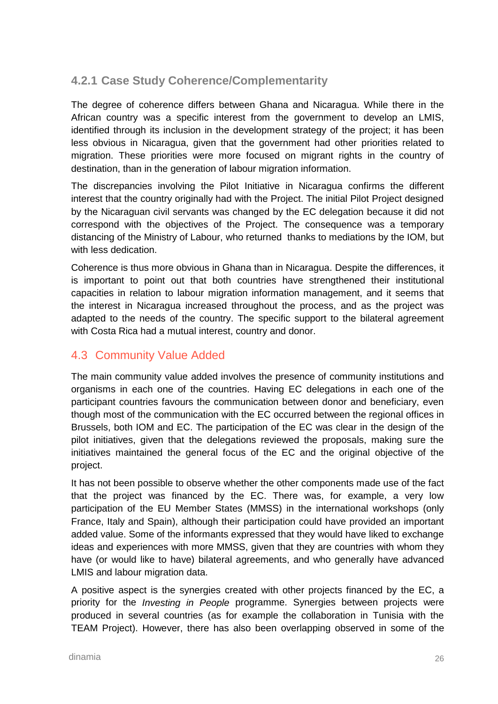### <span id="page-31-0"></span>**4.2.1 Case Study Coherence/Complementarity**

The degree of coherence differs between Ghana and Nicaragua. While there in the African country was a specific interest from the government to develop an LMIS, identified through its inclusion in the development strategy of the project; it has been less obvious in Nicaragua, given that the government had other priorities related to migration. These priorities were more focused on migrant rights in the country of destination, than in the generation of labour migration information.

The discrepancies involving the Pilot Initiative in Nicaragua confirms the different interest that the country originally had with the Project. The initial Pilot Project designed by the Nicaraguan civil servants was changed by the EC delegation because it did not correspond with the objectives of the Project. The consequence was a temporary distancing of the Ministry of Labour, who returned thanks to mediations by the IOM, but with less dedication.

Coherence is thus more obvious in Ghana than in Nicaragua. Despite the differences, it is important to point out that both countries have strengthened their institutional capacities in relation to labour migration information management, and it seems that the interest in Nicaragua increased throughout the process, and as the project was adapted to the needs of the country. The specific support to the bilateral agreement with Costa Rica had a mutual interest, country and donor.

#### <span id="page-31-1"></span>4.3 Community Value Added

The main community value added involves the presence of community institutions and organisms in each one of the countries. Having EC delegations in each one of the participant countries favours the communication between donor and beneficiary, even though most of the communication with the EC occurred between the regional offices in Brussels, both IOM and EC. The participation of the EC was clear in the design of the pilot initiatives, given that the delegations reviewed the proposals, making sure the initiatives maintained the general focus of the EC and the original objective of the project.

It has not been possible to observe whether the other components made use of the fact that the project was financed by the EC. There was, for example, a very low participation of the EU Member States (MMSS) in the international workshops (only France, Italy and Spain), although their participation could have provided an important added value. Some of the informants expressed that they would have liked to exchange ideas and experiences with more MMSS, given that they are countries with whom they have (or would like to have) bilateral agreements, and who generally have advanced LMIS and labour migration data.

A positive aspect is the synergies created with other projects financed by the EC, a priority for the *Investing in People* programme. Synergies between projects were produced in several countries (as for example the collaboration in Tunisia with the TEAM Project). However, there has also been overlapping observed in some of the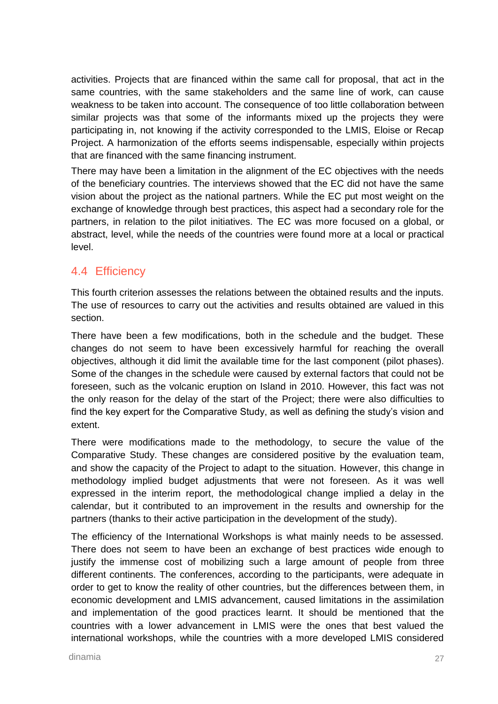activities. Projects that are financed within the same call for proposal, that act in the same countries, with the same stakeholders and the same line of work, can cause weakness to be taken into account. The consequence of too little collaboration between similar projects was that some of the informants mixed up the projects they were participating in, not knowing if the activity corresponded to the LMIS, Eloise or Recap Project. A harmonization of the efforts seems indispensable, especially within projects that are financed with the same financing instrument.

There may have been a limitation in the alignment of the EC objectives with the needs of the beneficiary countries. The interviews showed that the EC did not have the same vision about the project as the national partners. While the EC put most weight on the exchange of knowledge through best practices, this aspect had a secondary role for the partners, in relation to the pilot initiatives. The EC was more focused on a global, or abstract, level, while the needs of the countries were found more at a local or practical level.

#### <span id="page-32-0"></span>4.4 Efficiency

This fourth criterion assesses the relations between the obtained results and the inputs. The use of resources to carry out the activities and results obtained are valued in this section.

There have been a few modifications, both in the schedule and the budget. These changes do not seem to have been excessively harmful for reaching the overall objectives, although it did limit the available time for the last component (pilot phases). Some of the changes in the schedule were caused by external factors that could not be foreseen, such as the volcanic eruption on Island in 2010. However, this fact was not the only reason for the delay of the start of the Project; there were also difficulties to find the key expert for the Comparative Study, as well as defining the study's vision and extent.

There were modifications made to the methodology, to secure the value of the Comparative Study. These changes are considered positive by the evaluation team, and show the capacity of the Project to adapt to the situation. However, this change in methodology implied budget adjustments that were not foreseen. As it was well expressed in the interim report, the methodological change implied a delay in the calendar, but it contributed to an improvement in the results and ownership for the partners (thanks to their active participation in the development of the study).

The efficiency of the International Workshops is what mainly needs to be assessed. There does not seem to have been an exchange of best practices wide enough to justify the immense cost of mobilizing such a large amount of people from three different continents. The conferences, according to the participants, were adequate in order to get to know the reality of other countries, but the differences between them, in economic development and LMIS advancement, caused limitations in the assimilation and implementation of the good practices learnt. It should be mentioned that the countries with a lower advancement in LMIS were the ones that best valued the international workshops, while the countries with a more developed LMIS considered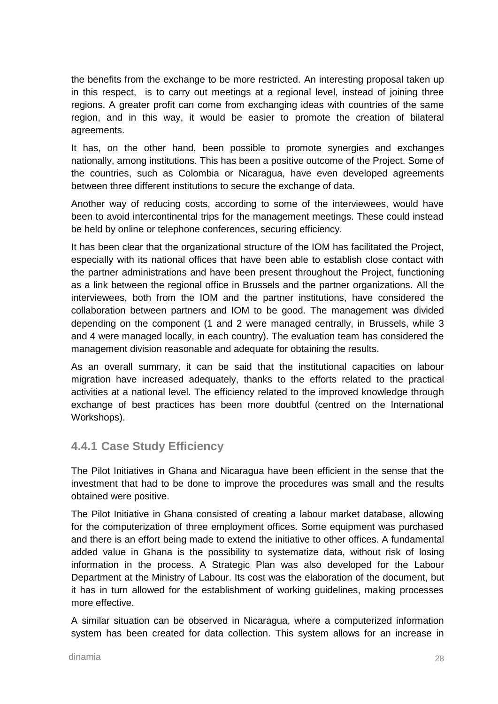the benefits from the exchange to be more restricted. An interesting proposal taken up in this respect, is to carry out meetings at a regional level, instead of joining three regions. A greater profit can come from exchanging ideas with countries of the same region, and in this way, it would be easier to promote the creation of bilateral agreements.

It has, on the other hand, been possible to promote synergies and exchanges nationally, among institutions. This has been a positive outcome of the Project. Some of the countries, such as Colombia or Nicaragua, have even developed agreements between three different institutions to secure the exchange of data.

Another way of reducing costs, according to some of the interviewees, would have been to avoid intercontinental trips for the management meetings. These could instead be held by online or telephone conferences, securing efficiency.

It has been clear that the organizational structure of the IOM has facilitated the Project, especially with its national offices that have been able to establish close contact with the partner administrations and have been present throughout the Project, functioning as a link between the regional office in Brussels and the partner organizations. All the interviewees, both from the IOM and the partner institutions, have considered the collaboration between partners and IOM to be good. The management was divided depending on the component (1 and 2 were managed centrally, in Brussels, while 3 and 4 were managed locally, in each country). The evaluation team has considered the management division reasonable and adequate for obtaining the results.

As an overall summary, it can be said that the institutional capacities on labour migration have increased adequately, thanks to the efforts related to the practical activities at a national level. The efficiency related to the improved knowledge through exchange of best practices has been more doubtful (centred on the International Workshops).

### <span id="page-33-0"></span>**4.4.1 Case Study Efficiency**

The Pilot Initiatives in Ghana and Nicaragua have been efficient in the sense that the investment that had to be done to improve the procedures was small and the results obtained were positive.

The Pilot Initiative in Ghana consisted of creating a labour market database, allowing for the computerization of three employment offices. Some equipment was purchased and there is an effort being made to extend the initiative to other offices. A fundamental added value in Ghana is the possibility to systematize data, without risk of losing information in the process. A Strategic Plan was also developed for the Labour Department at the Ministry of Labour. Its cost was the elaboration of the document, but it has in turn allowed for the establishment of working guidelines, making processes more effective.

A similar situation can be observed in Nicaragua, where a computerized information system has been created for data collection. This system allows for an increase in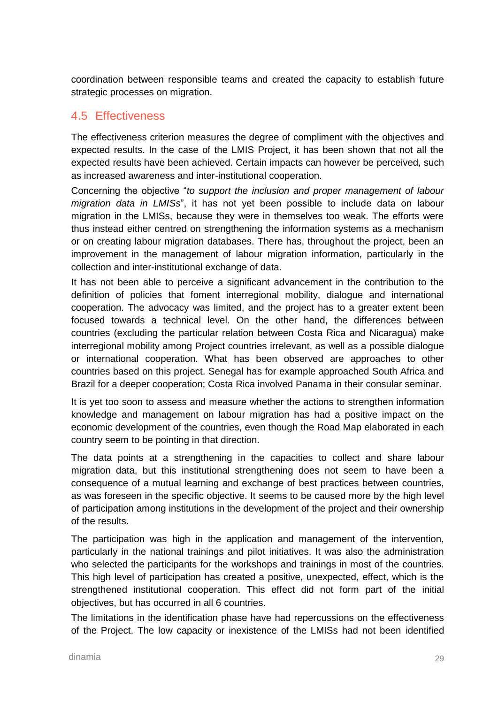coordination between responsible teams and created the capacity to establish future strategic processes on migration.

#### <span id="page-34-0"></span>4.5 Effectiveness

The effectiveness criterion measures the degree of compliment with the objectives and expected results. In the case of the LMIS Project, it has been shown that not all the expected results have been achieved. Certain impacts can however be perceived, such as increased awareness and inter-institutional cooperation.

Concerning the objective "*to support the inclusion and proper management of labour migration data in LMISs*", it has not yet been possible to include data on labour migration in the LMISs, because they were in themselves too weak. The efforts were thus instead either centred on strengthening the information systems as a mechanism or on creating labour migration databases. There has, throughout the project, been an improvement in the management of labour migration information, particularly in the collection and inter-institutional exchange of data.

It has not been able to perceive a significant advancement in the contribution to the definition of policies that foment interregional mobility, dialogue and international cooperation. The advocacy was limited, and the project has to a greater extent been focused towards a technical level. On the other hand, the differences between countries (excluding the particular relation between Costa Rica and Nicaragua) make interregional mobility among Project countries irrelevant, as well as a possible dialogue or international cooperation. What has been observed are approaches to other countries based on this project. Senegal has for example approached South Africa and Brazil for a deeper cooperation; Costa Rica involved Panama in their consular seminar.

It is yet too soon to assess and measure whether the actions to strengthen information knowledge and management on labour migration has had a positive impact on the economic development of the countries, even though the Road Map elaborated in each country seem to be pointing in that direction.

The data points at a strengthening in the capacities to collect and share labour migration data, but this institutional strengthening does not seem to have been a consequence of a mutual learning and exchange of best practices between countries, as was foreseen in the specific objective. It seems to be caused more by the high level of participation among institutions in the development of the project and their ownership of the results.

The participation was high in the application and management of the intervention, particularly in the national trainings and pilot initiatives. It was also the administration who selected the participants for the workshops and trainings in most of the countries. This high level of participation has created a positive, unexpected, effect, which is the strengthened institutional cooperation. This effect did not form part of the initial objectives, but has occurred in all 6 countries.

The limitations in the identification phase have had repercussions on the effectiveness of the Project. The low capacity or inexistence of the LMISs had not been identified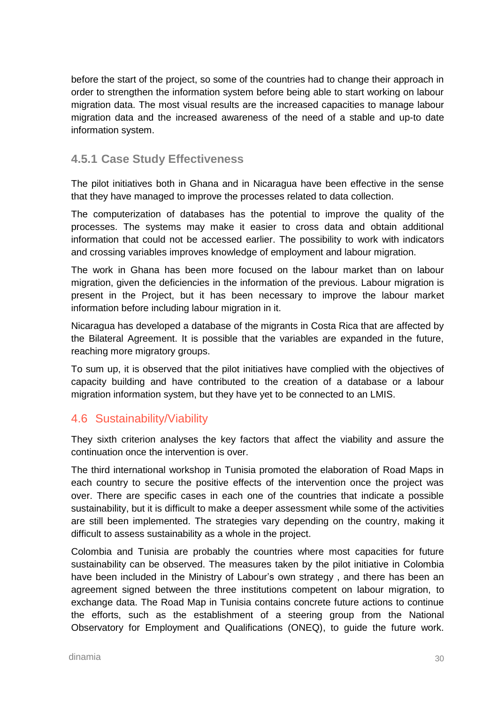before the start of the project, so some of the countries had to change their approach in order to strengthen the information system before being able to start working on labour migration data. The most visual results are the increased capacities to manage labour migration data and the increased awareness of the need of a stable and up-to date information system.

#### <span id="page-35-0"></span>**4.5.1 Case Study Effectiveness**

The pilot initiatives both in Ghana and in Nicaragua have been effective in the sense that they have managed to improve the processes related to data collection.

The computerization of databases has the potential to improve the quality of the processes. The systems may make it easier to cross data and obtain additional information that could not be accessed earlier. The possibility to work with indicators and crossing variables improves knowledge of employment and labour migration.

The work in Ghana has been more focused on the labour market than on labour migration, given the deficiencies in the information of the previous. Labour migration is present in the Project, but it has been necessary to improve the labour market information before including labour migration in it.

Nicaragua has developed a database of the migrants in Costa Rica that are affected by the Bilateral Agreement. It is possible that the variables are expanded in the future, reaching more migratory groups.

To sum up, it is observed that the pilot initiatives have complied with the objectives of capacity building and have contributed to the creation of a database or a labour migration information system, but they have yet to be connected to an LMIS.

#### <span id="page-35-1"></span>4.6 Sustainability/Viability

They sixth criterion analyses the key factors that affect the viability and assure the continuation once the intervention is over.

The third international workshop in Tunisia promoted the elaboration of Road Maps in each country to secure the positive effects of the intervention once the project was over. There are specific cases in each one of the countries that indicate a possible sustainability, but it is difficult to make a deeper assessment while some of the activities are still been implemented. The strategies vary depending on the country, making it difficult to assess sustainability as a whole in the project.

Colombia and Tunisia are probably the countries where most capacities for future sustainability can be observed. The measures taken by the pilot initiative in Colombia have been included in the Ministry of Labour's own strategy , and there has been an agreement signed between the three institutions competent on labour migration, to exchange data. The Road Map in Tunisia contains concrete future actions to continue the efforts, such as the establishment of a steering group from the National Observatory for Employment and Qualifications (ONEQ), to guide the future work.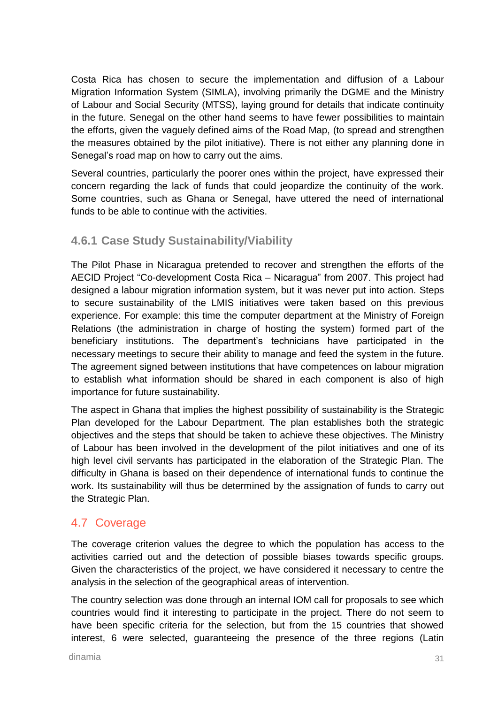Costa Rica has chosen to secure the implementation and diffusion of a Labour Migration Information System (SIMLA), involving primarily the DGME and the Ministry of Labour and Social Security (MTSS), laying ground for details that indicate continuity in the future. Senegal on the other hand seems to have fewer possibilities to maintain the efforts, given the vaguely defined aims of the Road Map, (to spread and strengthen the measures obtained by the pilot initiative). There is not either any planning done in Senegal's road map on how to carry out the aims.

Several countries, particularly the poorer ones within the project, have expressed their concern regarding the lack of funds that could jeopardize the continuity of the work. Some countries, such as Ghana or Senegal, have uttered the need of international funds to be able to continue with the activities.

### **4.6.1 Case Study Sustainability/Viability**

The Pilot Phase in Nicaragua pretended to recover and strengthen the efforts of the AECID Project "Co-development Costa Rica – Nicaragua" from 2007. This project had designed a labour migration information system, but it was never put into action. Steps to secure sustainability of the LMIS initiatives were taken based on this previous experience. For example: this time the computer department at the Ministry of Foreign Relations (the administration in charge of hosting the system) formed part of the beneficiary institutions. The department's technicians have participated in the necessary meetings to secure their ability to manage and feed the system in the future. The agreement signed between institutions that have competences on labour migration to establish what information should be shared in each component is also of high importance for future sustainability.

The aspect in Ghana that implies the highest possibility of sustainability is the Strategic Plan developed for the Labour Department. The plan establishes both the strategic objectives and the steps that should be taken to achieve these objectives. The Ministry of Labour has been involved in the development of the pilot initiatives and one of its high level civil servants has participated in the elaboration of the Strategic Plan. The difficulty in Ghana is based on their dependence of international funds to continue the work. Its sustainability will thus be determined by the assignation of funds to carry out the Strategic Plan.

### 4.7 Coverage

The coverage criterion values the degree to which the population has access to the activities carried out and the detection of possible biases towards specific groups. Given the characteristics of the project, we have considered it necessary to centre the analysis in the selection of the geographical areas of intervention.

The country selection was done through an internal IOM call for proposals to see which countries would find it interesting to participate in the project. There do not seem to have been specific criteria for the selection, but from the 15 countries that showed interest, 6 were selected, guaranteeing the presence of the three regions (Latin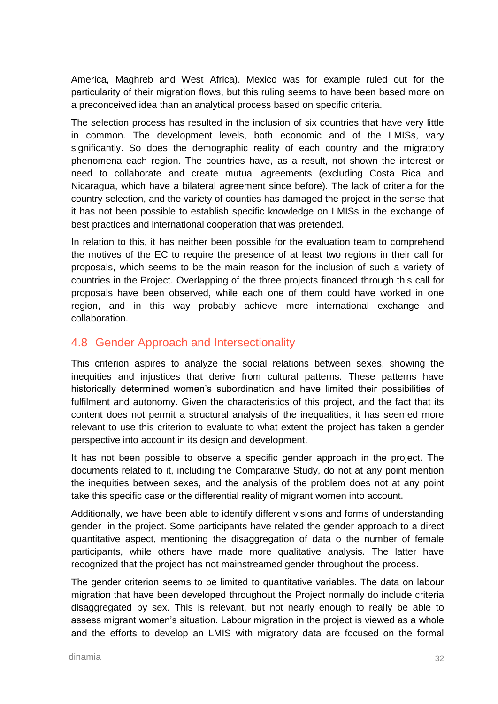America, Maghreb and West Africa). Mexico was for example ruled out for the particularity of their migration flows, but this ruling seems to have been based more on a preconceived idea than an analytical process based on specific criteria.

The selection process has resulted in the inclusion of six countries that have very little in common. The development levels, both economic and of the LMISs, vary significantly. So does the demographic reality of each country and the migratory phenomena each region. The countries have, as a result, not shown the interest or need to collaborate and create mutual agreements (excluding Costa Rica and Nicaragua, which have a bilateral agreement since before). The lack of criteria for the country selection, and the variety of counties has damaged the project in the sense that it has not been possible to establish specific knowledge on LMISs in the exchange of best practices and international cooperation that was pretended.

In relation to this, it has neither been possible for the evaluation team to comprehend the motives of the EC to require the presence of at least two regions in their call for proposals, which seems to be the main reason for the inclusion of such a variety of countries in the Project. Overlapping of the three projects financed through this call for proposals have been observed, while each one of them could have worked in one region, and in this way probably achieve more international exchange and collaboration.

### 4.8 Gender Approach and Intersectionality

This criterion aspires to analyze the social relations between sexes, showing the inequities and injustices that derive from cultural patterns. These patterns have historically determined women's subordination and have limited their possibilities of fulfilment and autonomy. Given the characteristics of this project, and the fact that its content does not permit a structural analysis of the inequalities, it has seemed more relevant to use this criterion to evaluate to what extent the project has taken a gender perspective into account in its design and development.

It has not been possible to observe a specific gender approach in the project. The documents related to it, including the Comparative Study, do not at any point mention the inequities between sexes, and the analysis of the problem does not at any point take this specific case or the differential reality of migrant women into account.

Additionally, we have been able to identify different visions and forms of understanding gender in the project. Some participants have related the gender approach to a direct quantitative aspect, mentioning the disaggregation of data o the number of female participants, while others have made more qualitative analysis. The latter have recognized that the project has not mainstreamed gender throughout the process.

The gender criterion seems to be limited to quantitative variables. The data on labour migration that have been developed throughout the Project normally do include criteria disaggregated by sex. This is relevant, but not nearly enough to really be able to assess migrant women's situation. Labour migration in the project is viewed as a whole and the efforts to develop an LMIS with migratory data are focused on the formal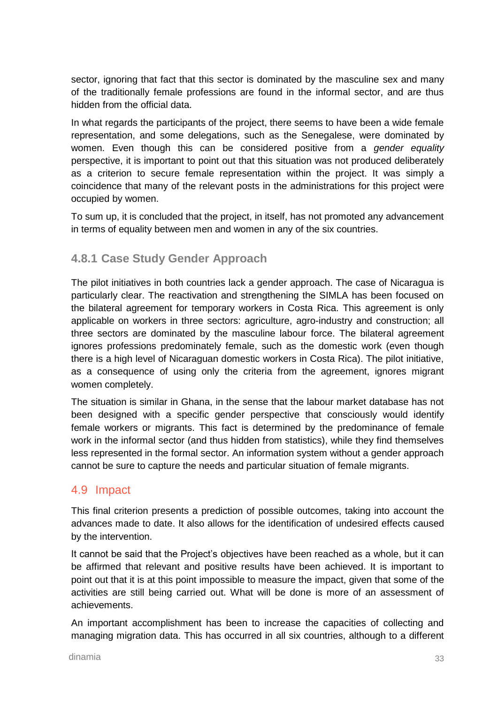sector, ignoring that fact that this sector is dominated by the masculine sex and many of the traditionally female professions are found in the informal sector, and are thus hidden from the official data.

In what regards the participants of the project, there seems to have been a wide female representation, and some delegations, such as the Senegalese, were dominated by women. Even though this can be considered positive from a *gender equality* perspective, it is important to point out that this situation was not produced deliberately as a criterion to secure female representation within the project. It was simply a coincidence that many of the relevant posts in the administrations for this project were occupied by women.

To sum up, it is concluded that the project, in itself, has not promoted any advancement in terms of equality between men and women in any of the six countries.

### **4.8.1 Case Study Gender Approach**

The pilot initiatives in both countries lack a gender approach. The case of Nicaragua is particularly clear. The reactivation and strengthening the SIMLA has been focused on the bilateral agreement for temporary workers in Costa Rica. This agreement is only applicable on workers in three sectors: agriculture, agro-industry and construction; all three sectors are dominated by the masculine labour force. The bilateral agreement ignores professions predominately female, such as the domestic work (even though there is a high level of Nicaraguan domestic workers in Costa Rica). The pilot initiative, as a consequence of using only the criteria from the agreement, ignores migrant women completely.

The situation is similar in Ghana, in the sense that the labour market database has not been designed with a specific gender perspective that consciously would identify female workers or migrants. This fact is determined by the predominance of female work in the informal sector (and thus hidden from statistics), while they find themselves less represented in the formal sector. An information system without a gender approach cannot be sure to capture the needs and particular situation of female migrants.

### 4.9 Impact

This final criterion presents a prediction of possible outcomes, taking into account the advances made to date. It also allows for the identification of undesired effects caused by the intervention.

It cannot be said that the Project's objectives have been reached as a whole, but it can be affirmed that relevant and positive results have been achieved. It is important to point out that it is at this point impossible to measure the impact, given that some of the activities are still being carried out. What will be done is more of an assessment of achievements.

An important accomplishment has been to increase the capacities of collecting and managing migration data. This has occurred in all six countries, although to a different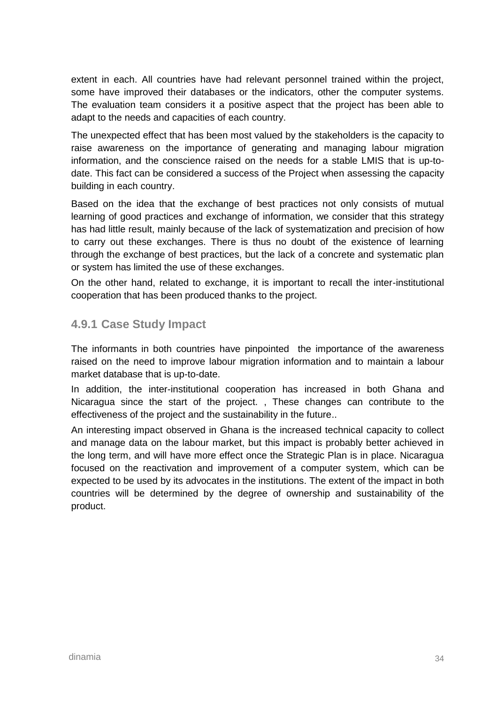extent in each. All countries have had relevant personnel trained within the project, some have improved their databases or the indicators, other the computer systems. The evaluation team considers it a positive aspect that the project has been able to adapt to the needs and capacities of each country.

The unexpected effect that has been most valued by the stakeholders is the capacity to raise awareness on the importance of generating and managing labour migration information, and the conscience raised on the needs for a stable LMIS that is up-todate. This fact can be considered a success of the Project when assessing the capacity building in each country.

Based on the idea that the exchange of best practices not only consists of mutual learning of good practices and exchange of information, we consider that this strategy has had little result, mainly because of the lack of systematization and precision of how to carry out these exchanges. There is thus no doubt of the existence of learning through the exchange of best practices, but the lack of a concrete and systematic plan or system has limited the use of these exchanges.

On the other hand, related to exchange, it is important to recall the inter-institutional cooperation that has been produced thanks to the project.

### **4.9.1 Case Study Impact**

The informants in both countries have pinpointed the importance of the awareness raised on the need to improve labour migration information and to maintain a labour market database that is up-to-date.

In addition, the inter-institutional cooperation has increased in both Ghana and Nicaragua since the start of the project. , These changes can contribute to the effectiveness of the project and the sustainability in the future..

An interesting impact observed in Ghana is the increased technical capacity to collect and manage data on the labour market, but this impact is probably better achieved in the long term, and will have more effect once the Strategic Plan is in place. Nicaragua focused on the reactivation and improvement of a computer system, which can be expected to be used by its advocates in the institutions. The extent of the impact in both countries will be determined by the degree of ownership and sustainability of the product.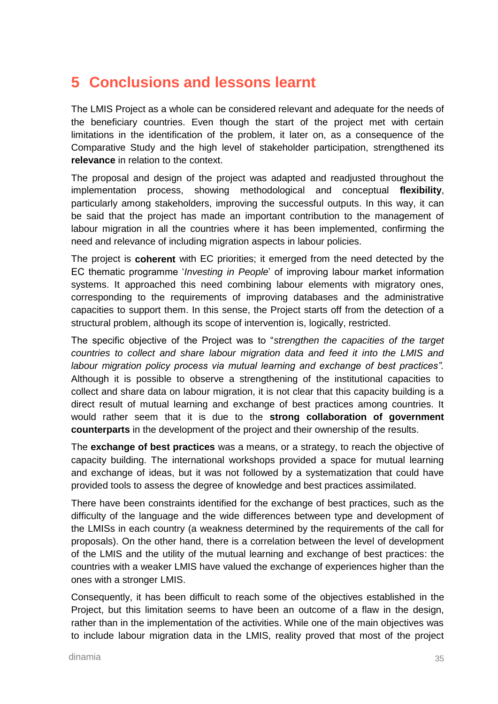# **5 Conclusions and lessons learnt**

The LMIS Project as a whole can be considered relevant and adequate for the needs of the beneficiary countries. Even though the start of the project met with certain limitations in the identification of the problem, it later on, as a consequence of the Comparative Study and the high level of stakeholder participation, strengthened its **relevance** in relation to the context.

The proposal and design of the project was adapted and readjusted throughout the implementation process, showing methodological and conceptual **flexibility**, particularly among stakeholders, improving the successful outputs. In this way, it can be said that the project has made an important contribution to the management of labour migration in all the countries where it has been implemented, confirming the need and relevance of including migration aspects in labour policies.

The project is **coherent** with EC priorities; it emerged from the need detected by the EC thematic programme '*Investing in People*' of improving labour market information systems. It approached this need combining labour elements with migratory ones, corresponding to the requirements of improving databases and the administrative capacities to support them. In this sense, the Project starts off from the detection of a structural problem, although its scope of intervention is, logically, restricted.

The specific objective of the Project was to "*strengthen the capacities of the target countries to collect and share labour migration data and feed it into the LMIS and*  labour migration policy process via mutual learning and exchange of best practices". Although it is possible to observe a strengthening of the institutional capacities to collect and share data on labour migration, it is not clear that this capacity building is a direct result of mutual learning and exchange of best practices among countries. It would rather seem that it is due to the **strong collaboration of government counterparts** in the development of the project and their ownership of the results.

The **exchange of best practices** was a means, or a strategy, to reach the objective of capacity building. The international workshops provided a space for mutual learning and exchange of ideas, but it was not followed by a systematization that could have provided tools to assess the degree of knowledge and best practices assimilated.

There have been constraints identified for the exchange of best practices, such as the difficulty of the language and the wide differences between type and development of the LMISs in each country (a weakness determined by the requirements of the call for proposals). On the other hand, there is a correlation between the level of development of the LMIS and the utility of the mutual learning and exchange of best practices: the countries with a weaker LMIS have valued the exchange of experiences higher than the ones with a stronger LMIS.

Consequently, it has been difficult to reach some of the objectives established in the Project, but this limitation seems to have been an outcome of a flaw in the design, rather than in the implementation of the activities. While one of the main objectives was to include labour migration data in the LMIS, reality proved that most of the project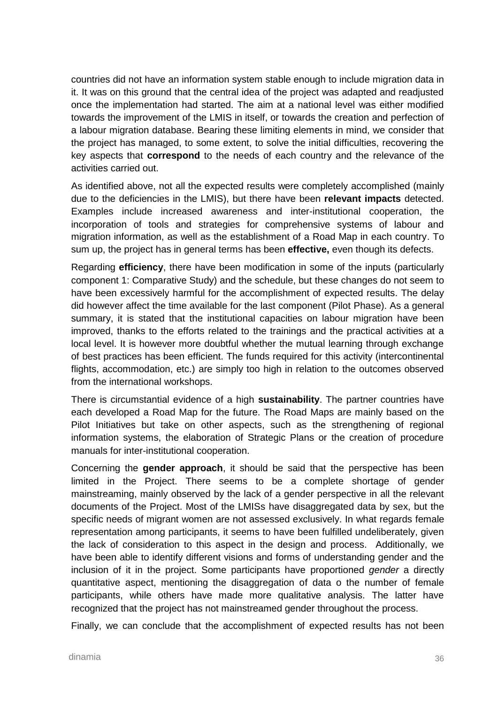countries did not have an information system stable enough to include migration data in it. It was on this ground that the central idea of the project was adapted and readjusted once the implementation had started. The aim at a national level was either modified towards the improvement of the LMIS in itself, or towards the creation and perfection of a labour migration database. Bearing these limiting elements in mind, we consider that the project has managed, to some extent, to solve the initial difficulties, recovering the key aspects that **correspond** to the needs of each country and the relevance of the activities carried out.

As identified above, not all the expected results were completely accomplished (mainly due to the deficiencies in the LMIS), but there have been **relevant impacts** detected. Examples include increased awareness and inter-institutional cooperation, the incorporation of tools and strategies for comprehensive systems of labour and migration information, as well as the establishment of a Road Map in each country. To sum up, the project has in general terms has been **effective,** even though its defects.

Regarding **efficiency**, there have been modification in some of the inputs (particularly component 1: Comparative Study) and the schedule, but these changes do not seem to have been excessively harmful for the accomplishment of expected results. The delay did however affect the time available for the last component (Pilot Phase). As a general summary, it is stated that the institutional capacities on labour migration have been improved, thanks to the efforts related to the trainings and the practical activities at a local level. It is however more doubtful whether the mutual learning through exchange of best practices has been efficient. The funds required for this activity (intercontinental flights, accommodation, etc.) are simply too high in relation to the outcomes observed from the international workshops.

There is circumstantial evidence of a high **sustainability**. The partner countries have each developed a Road Map for the future. The Road Maps are mainly based on the Pilot Initiatives but take on other aspects, such as the strengthening of regional information systems, the elaboration of Strategic Plans or the creation of procedure manuals for inter-institutional cooperation.

Concerning the **gender approach**, it should be said that the perspective has been limited in the Project. There seems to be a complete shortage of gender mainstreaming, mainly observed by the lack of a gender perspective in all the relevant documents of the Project. Most of the LMISs have disaggregated data by sex, but the specific needs of migrant women are not assessed exclusively. In what regards female representation among participants, it seems to have been fulfilled undeliberately, given the lack of consideration to this aspect in the design and process. Additionally, we have been able to identify different visions and forms of understanding gender and the inclusion of it in the project. Some participants have proportioned *gender* a directly quantitative aspect, mentioning the disaggregation of data o the number of female participants, while others have made more qualitative analysis. The latter have recognized that the project has not mainstreamed gender throughout the process.

Finally, we can conclude that the accomplishment of expected results has not been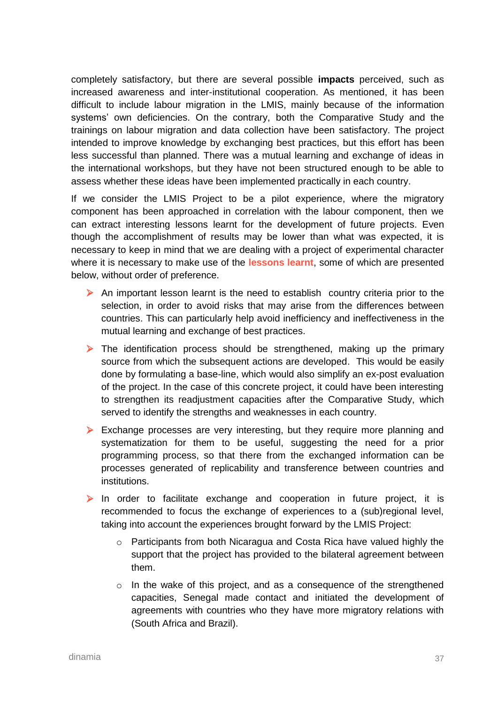completely satisfactory, but there are several possible **impacts** perceived, such as increased awareness and inter-institutional cooperation. As mentioned, it has been difficult to include labour migration in the LMIS, mainly because of the information systems' own deficiencies. On the contrary, both the Comparative Study and the trainings on labour migration and data collection have been satisfactory. The project intended to improve knowledge by exchanging best practices, but this effort has been less successful than planned. There was a mutual learning and exchange of ideas in the international workshops, but they have not been structured enough to be able to assess whether these ideas have been implemented practically in each country.

If we consider the LMIS Project to be a pilot experience, where the migratory component has been approached in correlation with the labour component, then we can extract interesting lessons learnt for the development of future projects. Even though the accomplishment of results may be lower than what was expected, it is necessary to keep in mind that we are dealing with a project of experimental character where it is necessary to make use of the **lessons learnt**, some of which are presented below, without order of preference.

- $\triangleright$  An important lesson learnt is the need to establish country criteria prior to the selection, in order to avoid risks that may arise from the differences between countries. This can particularly help avoid inefficiency and ineffectiveness in the mutual learning and exchange of best practices.
- $\triangleright$  The identification process should be strengthened, making up the primary source from which the subsequent actions are developed. This would be easily done by formulating a base-line, which would also simplify an ex-post evaluation of the project. In the case of this concrete project, it could have been interesting to strengthen its readjustment capacities after the Comparative Study, which served to identify the strengths and weaknesses in each country.
- Exchange processes are very interesting, but they require more planning and systematization for them to be useful, suggesting the need for a prior programming process, so that there from the exchanged information can be processes generated of replicability and transference between countries and institutions.
- $\triangleright$  In order to facilitate exchange and cooperation in future project, it is recommended to focus the exchange of experiences to a (sub)regional level, taking into account the experiences brought forward by the LMIS Project:
	- o Participants from both Nicaragua and Costa Rica have valued highly the support that the project has provided to the bilateral agreement between them.
	- $\circ$  In the wake of this project, and as a consequence of the strengthened capacities, Senegal made contact and initiated the development of agreements with countries who they have more migratory relations with (South Africa and Brazil).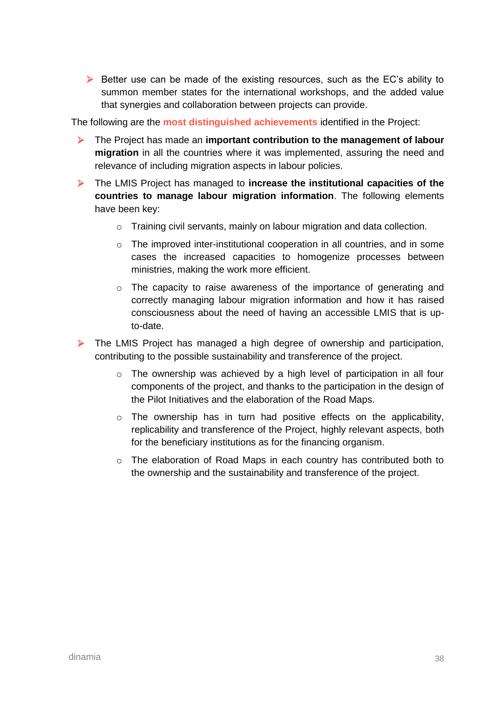$\triangleright$  Better use can be made of the existing resources, such as the EC's ability to summon member states for the international workshops, and the added value that synergies and collaboration between projects can provide.

The following are the **most distinguished achievements** identified in the Project:

- The Project has made an **important contribution to the management of labour migration** in all the countries where it was implemented, assuring the need and relevance of including migration aspects in labour policies.
- The LMIS Project has managed to **increase the institutional capacities of the countries to manage labour migration information**. The following elements have been key:
	- o Training civil servants, mainly on labour migration and data collection.
	- $\circ$  The improved inter-institutional cooperation in all countries, and in some cases the increased capacities to homogenize processes between ministries, making the work more efficient.
	- o The capacity to raise awareness of the importance of generating and correctly managing labour migration information and how it has raised consciousness about the need of having an accessible LMIS that is upto-date.
- $\triangleright$  The LMIS Project has managed a high degree of ownership and participation, contributing to the possible sustainability and transference of the project.
	- $\circ$  The ownership was achieved by a high level of participation in all four components of the project, and thanks to the participation in the design of the Pilot Initiatives and the elaboration of the Road Maps.
	- $\circ$  The ownership has in turn had positive effects on the applicability, replicability and transference of the Project, highly relevant aspects, both for the beneficiary institutions as for the financing organism.
	- $\circ$  The elaboration of Road Maps in each country has contributed both to the ownership and the sustainability and transference of the project.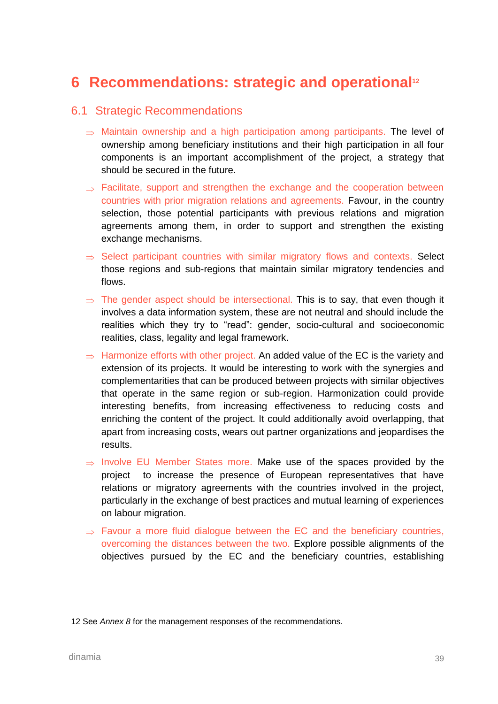# **6 Recommendations: strategic and operational<sup>12</sup>**

#### 6.1 Strategic Recommendations

- $\Rightarrow$  Maintain ownership and a high participation among participants. The level of ownership among beneficiary institutions and their high participation in all four components is an important accomplishment of the project, a strategy that should be secured in the future.
- $\Rightarrow$  Facilitate, support and strengthen the exchange and the cooperation between countries with prior migration relations and agreements. Favour, in the country selection, those potential participants with previous relations and migration agreements among them, in order to support and strengthen the existing exchange mechanisms.
- $\Rightarrow$  Select participant countries with similar migratory flows and contexts. Select those regions and sub-regions that maintain similar migratory tendencies and flows.
- $\Rightarrow$  The gender aspect should be intersectional. This is to say, that even though it involves a data information system, these are not neutral and should include the realities which they try to "read": gender, socio-cultural and socioeconomic realities, class, legality and legal framework.
- $\Rightarrow$  Harmonize efforts with other project. An added value of the EC is the variety and extension of its projects. It would be interesting to work with the synergies and complementarities that can be produced between projects with similar objectives that operate in the same region or sub-region. Harmonization could provide interesting benefits, from increasing effectiveness to reducing costs and enriching the content of the project. It could additionally avoid overlapping, that apart from increasing costs, wears out partner organizations and jeopardises the results.
- $\Rightarrow$  Involve EU Member States more. Make use of the spaces provided by the project to increase the presence of European representatives that have relations or migratory agreements with the countries involved in the project, particularly in the exchange of best practices and mutual learning of experiences on labour migration.
- $\Rightarrow$  Favour a more fluid dialogue between the EC and the beneficiary countries, overcoming the distances between the two. Explore possible alignments of the objectives pursued by the EC and the beneficiary countries, establishing

-

<sup>12</sup> See *Annex 8* for the management responses of the recommendations.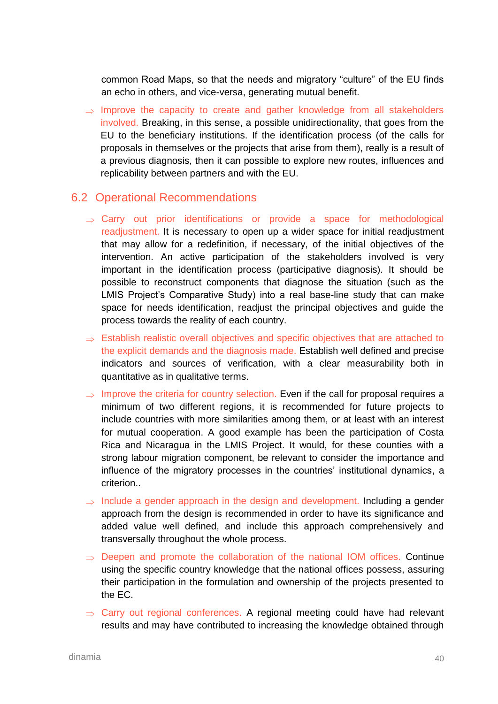common Road Maps, so that the needs and migratory "culture" of the EU finds an echo in others, and vice-versa, generating mutual benefit.

 $\Rightarrow$  Improve the capacity to create and gather knowledge from all stakeholders involved. Breaking, in this sense, a possible unidirectionality, that goes from the EU to the beneficiary institutions. If the identification process (of the calls for proposals in themselves or the projects that arise from them), really is a result of a previous diagnosis, then it can possible to explore new routes, influences and replicability between partners and with the EU.

### 6.2 Operational Recommendations

- $\Rightarrow$  Carry out prior identifications or provide a space for methodological readjustment. It is necessary to open up a wider space for initial readjustment that may allow for a redefinition, if necessary, of the initial objectives of the intervention. An active participation of the stakeholders involved is very important in the identification process (participative diagnosis). It should be possible to reconstruct components that diagnose the situation (such as the LMIS Project's Comparative Study) into a real base-line study that can make space for needs identification, readjust the principal objectives and guide the process towards the reality of each country.
- $\Rightarrow$  Establish realistic overall objectives and specific objectives that are attached to the explicit demands and the diagnosis made. Establish well defined and precise indicators and sources of verification, with a clear measurability both in quantitative as in qualitative terms.
- $\Rightarrow$  Improve the criteria for country selection. Even if the call for proposal requires a minimum of two different regions, it is recommended for future projects to include countries with more similarities among them, or at least with an interest for mutual cooperation. A good example has been the participation of Costa Rica and Nicaragua in the LMIS Project. It would, for these counties with a strong labour migration component, be relevant to consider the importance and influence of the migratory processes in the countries' institutional dynamics, a criterion..
- $\Rightarrow$  Include a gender approach in the design and development. Including a gender approach from the design is recommended in order to have its significance and added value well defined, and include this approach comprehensively and transversally throughout the whole process.
- $\Rightarrow$  Deepen and promote the collaboration of the national IOM offices. Continue using the specific country knowledge that the national offices possess, assuring their participation in the formulation and ownership of the projects presented to the EC.
- $\Rightarrow$  Carry out regional conferences. A regional meeting could have had relevant results and may have contributed to increasing the knowledge obtained through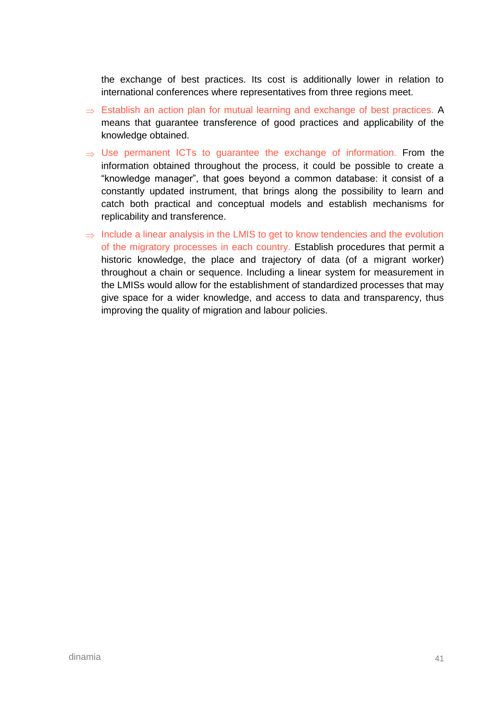the exchange of best practices. Its cost is additionally lower in relation to international conferences where representatives from three regions meet.

- $\Rightarrow$  Establish an action plan for mutual learning and exchange of best practices. A means that guarantee transference of good practices and applicability of the knowledge obtained.
- $\Rightarrow$  Use permanent ICTs to guarantee the exchange of information. From the information obtained throughout the process, it could be possible to create a "knowledge manager", that goes beyond a common database: it consist of a constantly updated instrument, that brings along the possibility to learn and catch both practical and conceptual models and establish mechanisms for replicability and transference.
- $\Rightarrow$  Include a linear analysis in the LMIS to get to know tendencies and the evolution of the migratory processes in each country. Establish procedures that permit a historic knowledge, the place and trajectory of data (of a migrant worker) throughout a chain or sequence. Including a linear system for measurement in the LMISs would allow for the establishment of standardized processes that may give space for a wider knowledge, and access to data and transparency, thus improving the quality of migration and labour policies.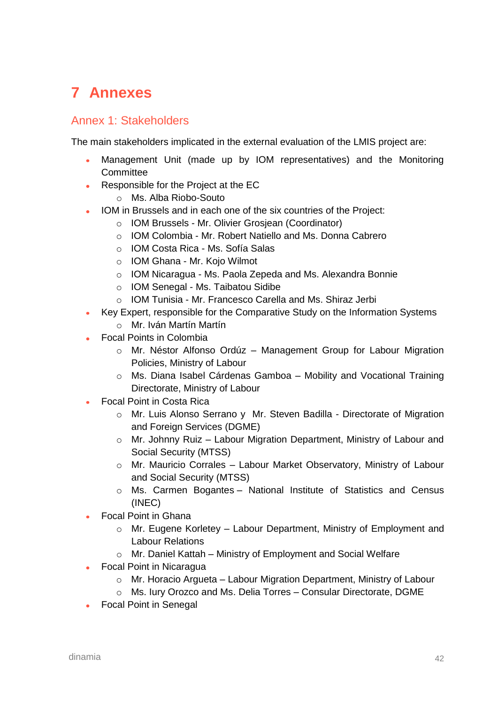# **7 Annexes**

### Annex 1: Stakeholders

The main stakeholders implicated in the external evaluation of the LMIS project are:

- Management Unit (made up by IOM representatives) and the Monitoring **Committee**
- Responsible for the Project at the EC
	- o Ms. Alba Riobo-Souto
- IOM in Brussels and in each one of the six countries of the Project:
	- o IOM Brussels Mr. Olivier Grosjean (Coordinator)
	- o IOM Colombia Mr. Robert Natiello and Ms. Donna Cabrero
	- o IOM Costa Rica Ms. Sofía Salas
	- o IOM Ghana Mr. Kojo Wilmot
	- o IOM Nicaragua Ms. Paola Zepeda and Ms. Alexandra Bonnie
	- o IOM Senegal Ms. Taibatou Sidibe
	- o IOM Tunisia Mr. Francesco Carella and Ms. Shiraz Jerbi
- Key Expert, responsible for the Comparative Study on the Information Systems
	- o Mr. Iván Martín Martín
- Focal Points in Colombia
	- o Mr. Néstor Alfonso Ordúz Management Group for Labour Migration Policies, Ministry of Labour
	- o Ms. Diana Isabel Cárdenas Gamboa Mobility and Vocational Training Directorate, Ministry of Labour
- Focal Point in Costa Rica
	- o Mr. Luis Alonso Serrano y Mr. Steven Badilla Directorate of Migration and Foreign Services (DGME)
	- o Mr. Johnny Ruiz Labour Migration Department, Ministry of Labour and Social Security (MTSS)
	- o Mr. Mauricio Corrales Labour Market Observatory, Ministry of Labour and Social Security (MTSS)
	- o Ms. Carmen Bogantes National Institute of Statistics and Census (INEC)
- Focal Point in Ghana
	- $\circ$  Mr. Eugene Korletey Labour Department, Ministry of Employment and Labour Relations
	- o Mr. Daniel Kattah Ministry of Employment and Social Welfare
- Focal Point in Nicaragua
	- $\circ$  Mr. Horacio Argueta Labour Migration Department, Ministry of Labour
	- o Ms. Iury Orozco and Ms. Delia Torres Consular Directorate, DGME
- Focal Point in Senegal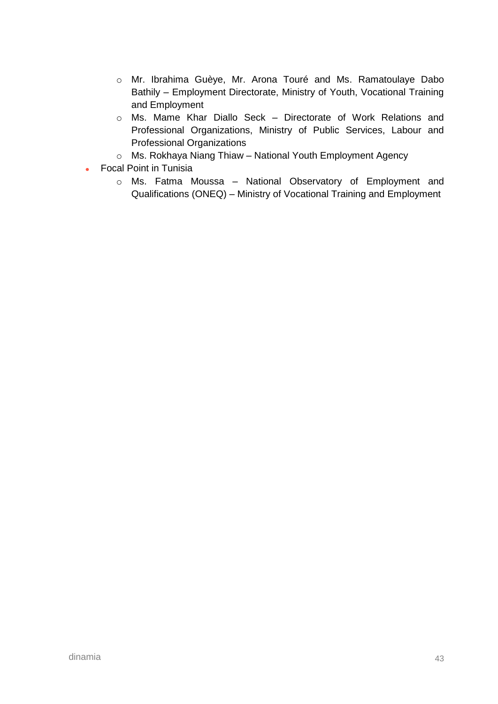- o Mr. Ibrahima Guèye, Mr. Arona Touré and Ms. Ramatoulaye Dabo Bathily – Employment Directorate, Ministry of Youth, Vocational Training and Employment
- o Ms. Mame Khar Diallo Seck Directorate of Work Relations and Professional Organizations, Ministry of Public Services, Labour and Professional Organizations
- o Ms. Rokhaya Niang Thiaw National Youth Employment Agency
- Focal Point in Tunisia  $\bullet$ 
	- o Ms. Fatma Moussa National Observatory of Employment and Qualifications (ONEQ) – Ministry of Vocational Training and Employment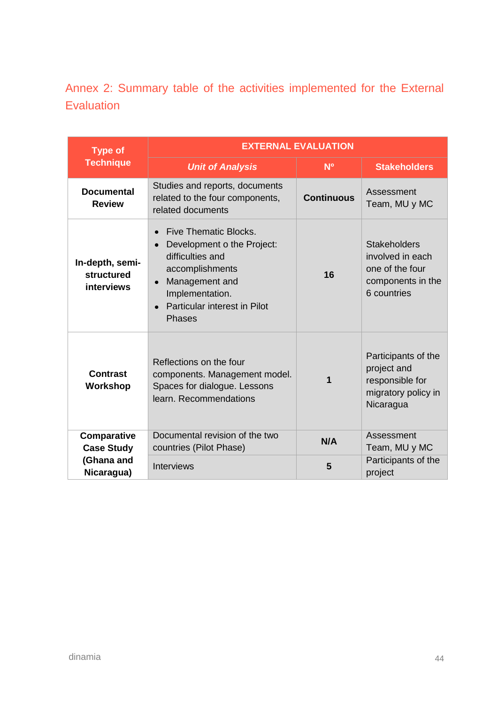Annex 2: Summary table of the activities implemented for the External **Evaluation** 

| <b>Type of</b>                                                                                                                                                                                                                                                   | <b>EXTERNAL EVALUATION</b>                                                                                         |                   |                                                                                                |  |
|------------------------------------------------------------------------------------------------------------------------------------------------------------------------------------------------------------------------------------------------------------------|--------------------------------------------------------------------------------------------------------------------|-------------------|------------------------------------------------------------------------------------------------|--|
| <b>Technique</b>                                                                                                                                                                                                                                                 | <b>Unit of Analysis</b>                                                                                            | N <sup>o</sup>    | <b>Stakeholders</b>                                                                            |  |
| <b>Documental</b><br><b>Review</b>                                                                                                                                                                                                                               | Studies and reports, documents<br>related to the four components,<br>related documents                             | <b>Continuous</b> | Assessment<br>Team, MU y MC                                                                    |  |
| Five Thematic Blocks.<br>Development o the Project:<br>$\bullet$<br>difficulties and<br>In-depth, semi-<br>accomplishments<br>structured<br>Management and<br>$\bullet$<br><b>interviews</b><br>Implementation.<br>Particular interest in Pilot<br><b>Phases</b> |                                                                                                                    | 16                | <b>Stakeholders</b><br>involved in each<br>one of the four<br>components in the<br>6 countries |  |
| <b>Contrast</b><br>Workshop                                                                                                                                                                                                                                      | Reflections on the four<br>components. Management model.<br>Spaces for dialogue. Lessons<br>learn. Recommendations | 1                 | Participants of the<br>project and<br>responsible for<br>migratory policy in<br>Nicaragua      |  |
| Comparative<br><b>Case Study</b>                                                                                                                                                                                                                                 | Documental revision of the two<br>countries (Pilot Phase)                                                          | N/A               | Assessment<br>Team, MU y MC                                                                    |  |
| (Ghana and<br>Nicaragua)                                                                                                                                                                                                                                         | Interviews                                                                                                         | 5                 | Participants of the<br>project                                                                 |  |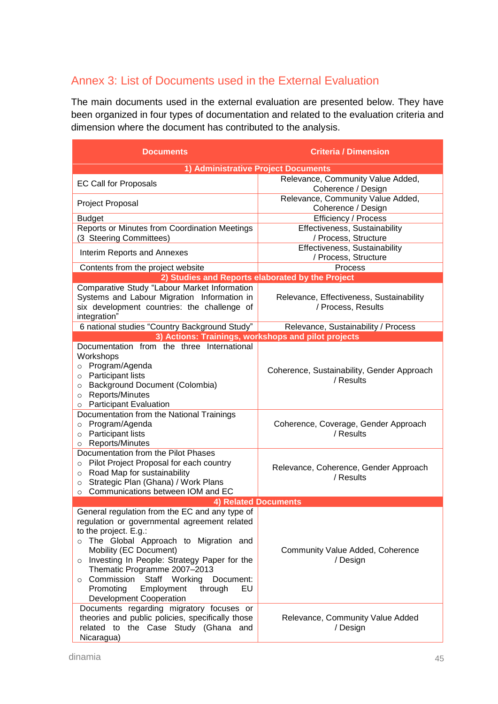## Annex 3: List of Documents used in the External Evaluation

The main documents used in the external evaluation are presented below. They have been organized in four types of documentation and related to the evaluation criteria and dimension where the document has contributed to the analysis.

| Documents                                                                                                                                                                                                                                                                                                                                                                                              | <b>Criteria / Dimension</b>                                    |  |  |
|--------------------------------------------------------------------------------------------------------------------------------------------------------------------------------------------------------------------------------------------------------------------------------------------------------------------------------------------------------------------------------------------------------|----------------------------------------------------------------|--|--|
| 1) Administrative Project Documents                                                                                                                                                                                                                                                                                                                                                                    |                                                                |  |  |
|                                                                                                                                                                                                                                                                                                                                                                                                        | Relevance, Community Value Added,                              |  |  |
| <b>EC Call for Proposals</b>                                                                                                                                                                                                                                                                                                                                                                           | Coherence / Design                                             |  |  |
| Project Proposal                                                                                                                                                                                                                                                                                                                                                                                       | Relevance, Community Value Added,                              |  |  |
|                                                                                                                                                                                                                                                                                                                                                                                                        | Coherence / Design                                             |  |  |
| <b>Budget</b>                                                                                                                                                                                                                                                                                                                                                                                          | Efficiency / Process                                           |  |  |
| Reports or Minutes from Coordination Meetings<br>(3 Steering Committees)                                                                                                                                                                                                                                                                                                                               | Effectiveness, Sustainability<br>/ Process, Structure          |  |  |
| Interim Reports and Annexes                                                                                                                                                                                                                                                                                                                                                                            | Effectiveness, Sustainability<br>/ Process, Structure          |  |  |
| Contents from the project website                                                                                                                                                                                                                                                                                                                                                                      | Process                                                        |  |  |
|                                                                                                                                                                                                                                                                                                                                                                                                        | 2) Studies and Reports elaborated by the Project               |  |  |
| Comparative Study "Labour Market Information<br>Systems and Labour Migration Information in<br>six development countries: the challenge of<br>integration"                                                                                                                                                                                                                                             | Relevance, Effectiveness, Sustainability<br>/ Process, Results |  |  |
| 6 national studies "Country Background Study"                                                                                                                                                                                                                                                                                                                                                          | Relevance, Sustainability / Process                            |  |  |
|                                                                                                                                                                                                                                                                                                                                                                                                        | 3) Actions: Trainings, workshops and pilot projects            |  |  |
| Documentation from the three International<br>Workshops<br>Program/Agenda<br>$\circ$<br>Participant lists<br>$\circ$<br><b>Background Document (Colombia)</b><br>$\circ$<br>Reports/Minutes<br>$\circ$<br>o Participant Evaluation                                                                                                                                                                     | Coherence, Sustainability, Gender Approach<br>/ Results        |  |  |
| Documentation from the National Trainings<br>Program/Agenda<br>$\circ$<br>Participant lists<br>$\circ$<br>Reports/Minutes<br>$\circ$                                                                                                                                                                                                                                                                   | Coherence, Coverage, Gender Approach<br>/ Results              |  |  |
| Documentation from the Pilot Phases<br>Pilot Project Proposal for each country<br>$\circ$<br>Road Map for sustainability<br>$\circ$<br>Strategic Plan (Ghana) / Work Plans<br>$\circ$<br>Communications between IOM and EC<br>$\Omega$                                                                                                                                                                 | Relevance, Coherence, Gender Approach<br>/ Results             |  |  |
|                                                                                                                                                                                                                                                                                                                                                                                                        | <b>4) Related Documents</b>                                    |  |  |
| General regulation from the EC and any type of<br>regulation or governmental agreement related<br>to the project. E.g.:<br>The Global Approach to Migration and<br>Mobility (EC Document)<br>o Investing In People: Strategy Paper for the<br>Thematic Programme 2007-2013<br>○ Commission<br>Staff Working<br>Document:<br>Promoting<br>Employment<br>through<br>EU<br><b>Development Cooperation</b> | Community Value Added, Coherence<br>/ Design                   |  |  |
| Documents regarding migratory focuses or<br>theories and public policies, specifically those<br>related to the Case Study (Ghana and<br>Nicaragua)                                                                                                                                                                                                                                                     | Relevance, Community Value Added<br>/ Design                   |  |  |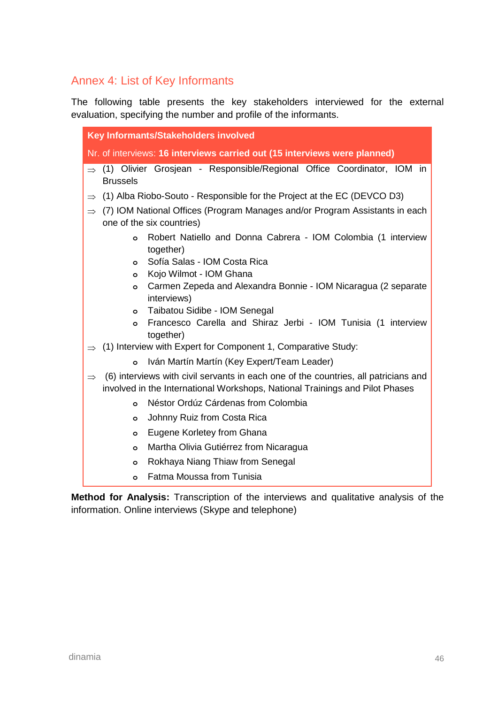## Annex 4: List of Key Informants

The following table presents the key stakeholders interviewed for the external evaluation, specifying the number and profile of the informants.

| Key Informants/Stakeholders involved |                 |                                                                                                          |  |
|--------------------------------------|-----------------|----------------------------------------------------------------------------------------------------------|--|
|                                      |                 | Nr. of interviews: 16 interviews carried out (15 interviews were planned)                                |  |
|                                      | <b>Brussels</b> | $\Rightarrow$ (1) Olivier Grosjean - Responsible/Regional Office Coordinator, IOM in                     |  |
| $\Rightarrow$                        |                 | (1) Alba Riobo-Souto - Responsible for the Project at the EC (DEVCO D3)                                  |  |
| $\Rightarrow$                        |                 | (7) IOM National Offices (Program Manages and/or Program Assistants in each<br>one of the six countries) |  |
|                                      | O               | Robert Natiello and Donna Cabrera - IOM Colombia (1 interview<br>together)                               |  |
|                                      | $\circ$         | Sofía Salas - IOM Costa Rica                                                                             |  |
|                                      | O               | Kojo Wilmot - IOM Ghana                                                                                  |  |
|                                      | $\circ$         | Carmen Zepeda and Alexandra Bonnie - IOM Nicaragua (2 separate<br>interviews)                            |  |
|                                      | $\circ$         | Taibatou Sidibe - IOM Senegal                                                                            |  |
|                                      | $\circ$         | Francesco Carella and Shiraz Jerbi - IOM Tunisia (1 interview<br>together)                               |  |
|                                      |                 | (1) Interview with Expert for Component 1, Comparative Study:                                            |  |
|                                      | $\circ$         | Iván Martín Martín (Key Expert/Team Leader)                                                              |  |
| $\Rightarrow$                        |                 | (6) interviews with civil servants in each one of the countries, all patricians and                      |  |
|                                      |                 | involved in the International Workshops, National Trainings and Pilot Phases                             |  |
|                                      | $\circ$         | Néstor Ordúz Cárdenas from Colombia                                                                      |  |
|                                      | $\circ$         | Johnny Ruiz from Costa Rica                                                                              |  |
|                                      | $\circ$         | Eugene Korletey from Ghana                                                                               |  |
|                                      | $\circ$         | Martha Olivia Gutiérrez from Nicaragua                                                                   |  |
|                                      | $\circ$         | Rokhaya Niang Thiaw from Senegal                                                                         |  |
|                                      | $\circ$         | Fatma Moussa from Tunisia                                                                                |  |

**Method for Analysis:** Transcription of the interviews and qualitative analysis of the information. Online interviews (Skype and telephone)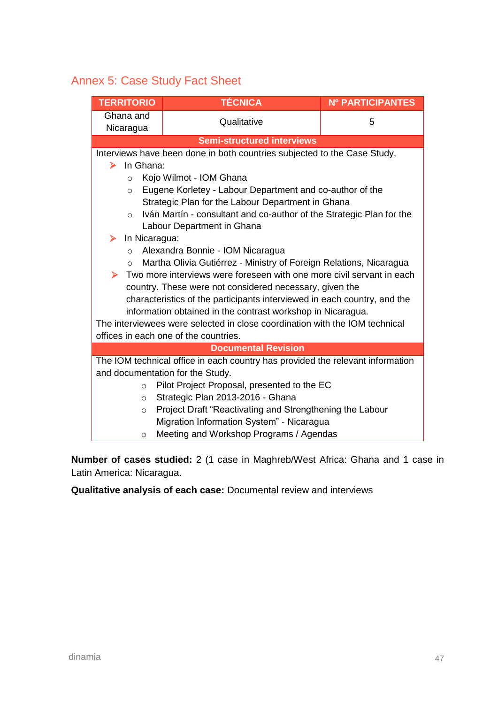## Annex 5: Case Study Fact Sheet

| <b>TERRITORIO</b>      | <b>TÉCNICA</b>                                                                 | <b>Nº PARTICIPANTES</b> |
|------------------------|--------------------------------------------------------------------------------|-------------------------|
| Ghana and<br>Nicaragua | Qualitative                                                                    | 5                       |
|                        | <b>Semi-structured interviews</b>                                              |                         |
|                        | Interviews have been done in both countries subjected to the Case Study,       |                         |
| In Ghana:<br>➤         |                                                                                |                         |
| $\circ$                | Kojo Wilmot - IOM Ghana                                                        |                         |
| $\circ$                | Eugene Korletey - Labour Department and co-author of the                       |                         |
|                        | Strategic Plan for the Labour Department in Ghana                              |                         |
| $\circ$                | Iván Martín - consultant and co-author of the Strategic Plan for the           |                         |
|                        | Labour Department in Ghana                                                     |                         |
| In Nicaragua:<br>➤     |                                                                                |                         |
| $\circ$                | Alexandra Bonnie - IOM Nicaragua                                               |                         |
| $\circ$                | Martha Olivia Gutiérrez - Ministry of Foreign Relations, Nicaragua             |                         |
| ▶                      | Two more interviews were foreseen with one more civil servant in each          |                         |
|                        | country. These were not considered necessary, given the                        |                         |
|                        | characteristics of the participants interviewed in each country, and the       |                         |
|                        | information obtained in the contrast workshop in Nicaragua.                    |                         |
|                        | The interviewees were selected in close coordination with the IOM technical    |                         |
|                        | offices in each one of the countries.                                          |                         |
|                        | <b>Documental Revision</b>                                                     |                         |
|                        | The IOM technical office in each country has provided the relevant information |                         |
|                        | and documentation for the Study.                                               |                         |
| $\circ$                | Pilot Project Proposal, presented to the EC                                    |                         |
| $\circ$                | Strategic Plan 2013-2016 - Ghana                                               |                         |
| $\circ$                | Project Draft "Reactivating and Strengthening the Labour                       |                         |
|                        | Migration Information System" - Nicaragua                                      |                         |
| $\circ$                | Meeting and Workshop Programs / Agendas                                        |                         |

**Number of cases studied:** 2 (1 case in Maghreb/West Africa: Ghana and 1 case in Latin America: Nicaragua.

**Qualitative analysis of each case:** Documental review and interviews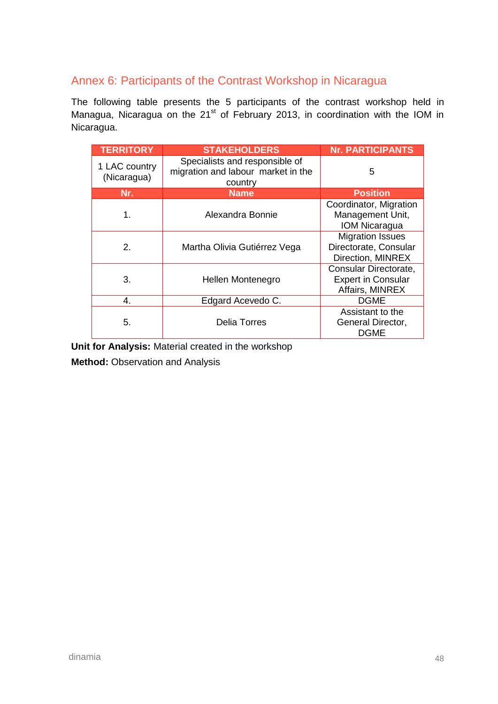## Annex 6: Participants of the Contrast Workshop in Nicaragua

The following table presents the 5 participants of the contrast workshop held in Managua, Nicaragua on the  $21<sup>st</sup>$  of February 2013, in coordination with the IOM in Nicaragua.

| <b>TERRITORY</b>             | <b>STAKEHOLDERS</b>                                                             | <b>Nr. PARTICIPANTS</b>                                               |
|------------------------------|---------------------------------------------------------------------------------|-----------------------------------------------------------------------|
| 1 LAC country<br>(Nicaragua) | Specialists and responsible of<br>migration and labour market in the<br>country | 5                                                                     |
| Nr.                          | <b>Name</b>                                                                     | <b>Position</b>                                                       |
| 1.                           | Alexandra Bonnie                                                                | Coordinator, Migration<br>Management Unit,<br><b>IOM Nicaragua</b>    |
| 2.                           | Martha Olivia Gutiérrez Vega                                                    | <b>Migration Issues</b><br>Directorate, Consular<br>Direction, MINREX |
| 3.                           | Hellen Montenegro                                                               | Consular Directorate,<br><b>Expert in Consular</b><br>Affairs, MINREX |
| 4.                           | Edgard Acevedo C.                                                               | <b>DGME</b>                                                           |
| 5.                           | <b>Delia Torres</b>                                                             | Assistant to the<br>General Director,<br><b>DGME</b>                  |

**Unit for Analysis:** Material created in the workshop

**Method:** Observation and Analysis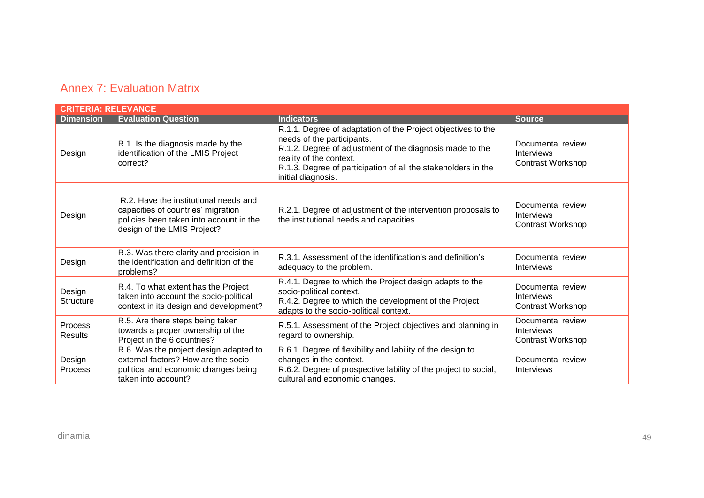### Annex 7: Evaluation Matrix

| <b>CRITERIA: RELEVANCE</b> |                                                                                                                                                       |                                                                                                                                                                                                                                                                          |                                                                    |
|----------------------------|-------------------------------------------------------------------------------------------------------------------------------------------------------|--------------------------------------------------------------------------------------------------------------------------------------------------------------------------------------------------------------------------------------------------------------------------|--------------------------------------------------------------------|
| <b>Dimension</b>           | <b>Evaluation Question</b>                                                                                                                            | Indicators                                                                                                                                                                                                                                                               | <b>Source</b>                                                      |
| Design                     | R.1. Is the diagnosis made by the<br>identification of the LMIS Project<br>correct?                                                                   | R.1.1. Degree of adaptation of the Project objectives to the<br>needs of the participants.<br>R.1.2. Degree of adjustment of the diagnosis made to the<br>reality of the context.<br>R.1.3. Degree of participation of all the stakeholders in the<br>initial diagnosis. | Documental review<br><b>Interviews</b><br><b>Contrast Workshop</b> |
| Design                     | R.2. Have the institutional needs and<br>capacities of countries' migration<br>policies been taken into account in the<br>design of the LMIS Project? | R.2.1. Degree of adjustment of the intervention proposals to<br>the institutional needs and capacities.                                                                                                                                                                  | Documental review<br><b>Interviews</b><br><b>Contrast Workshop</b> |
| Design                     | R.3. Was there clarity and precision in<br>the identification and definition of the<br>problems?                                                      | R.3.1. Assessment of the identification's and definition's<br>adequacy to the problem.                                                                                                                                                                                   | Documental review<br><b>Interviews</b>                             |
| Design<br><b>Structure</b> | R.4. To what extent has the Project<br>taken into account the socio-political<br>context in its design and development?                               | R.4.1. Degree to which the Project design adapts to the<br>socio-political context.<br>R.4.2. Degree to which the development of the Project<br>adapts to the socio-political context.                                                                                   | Documental review<br>Interviews<br><b>Contrast Workshop</b>        |
| Process<br>Results         | R.5. Are there steps being taken<br>towards a proper ownership of the<br>Project in the 6 countries?                                                  | R.5.1. Assessment of the Project objectives and planning in<br>regard to ownership.                                                                                                                                                                                      | Documental review<br>Interviews<br>Contrast Workshop               |
| Design<br>Process          | R.6. Was the project design adapted to<br>external factors? How are the socio-<br>political and economic changes being<br>taken into account?         | R.6.1. Degree of flexibility and lability of the design to<br>changes in the context.<br>R.6.2. Degree of prospective lability of the project to social,<br>cultural and economic changes.                                                                               | Documental review<br>Interviews                                    |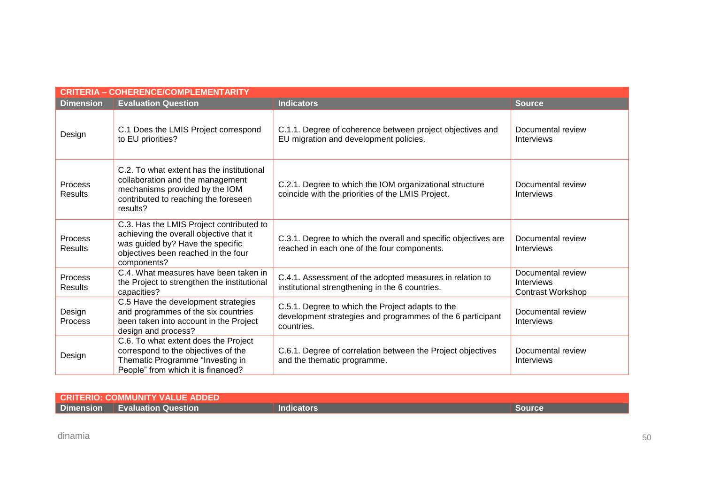| <b>CRITERIA - COHERENCE/COMPLEMENTARITY</b> |                                                                                                                                                                               |                                                                                                                              |                                                      |  |
|---------------------------------------------|-------------------------------------------------------------------------------------------------------------------------------------------------------------------------------|------------------------------------------------------------------------------------------------------------------------------|------------------------------------------------------|--|
| <b>Dimension</b>                            | <b>Evaluation Question</b>                                                                                                                                                    | <b>Indicators</b>                                                                                                            | <b>Source</b>                                        |  |
| Design                                      | C.1 Does the LMIS Project correspond<br>to EU priorities?                                                                                                                     | C.1.1. Degree of coherence between project objectives and<br>EU migration and development policies.                          | Documental review<br>Interviews                      |  |
| <b>Process</b><br><b>Results</b>            | C.2. To what extent has the institutional<br>collaboration and the management<br>mechanisms provided by the IOM<br>contributed to reaching the foreseen<br>results?           | C.2.1. Degree to which the IOM organizational structure<br>coincide with the priorities of the LMIS Project.                 | Documental review<br>Interviews                      |  |
| <b>Process</b><br><b>Results</b>            | C.3. Has the LMIS Project contributed to<br>achieving the overall objective that it<br>was guided by? Have the specific<br>objectives been reached in the four<br>components? | C.3.1. Degree to which the overall and specific objectives are<br>reached in each one of the four components.                | Documental review<br>Interviews                      |  |
| Process<br><b>Results</b>                   | C.4. What measures have been taken in<br>the Project to strengthen the institutional<br>capacities?                                                                           | C.4.1. Assessment of the adopted measures in relation to<br>institutional strengthening in the 6 countries.                  | Documental review<br>Interviews<br>Contrast Workshop |  |
| Design<br><b>Process</b>                    | C.5 Have the development strategies<br>and programmes of the six countries<br>been taken into account in the Project<br>design and process?                                   | C.5.1. Degree to which the Project adapts to the<br>development strategies and programmes of the 6 participant<br>countries. | Documental review<br>Interviews                      |  |
| Design                                      | C.6. To what extent does the Project<br>correspond to the objectives of the<br>Thematic Programme "Investing in<br>People" from which it is financed?                         | C.6.1. Degree of correlation between the Project objectives<br>and the thematic programme.                                   | Documental review<br><b>Interviews</b>               |  |

| <b>CRITERIO: COMMUNITY VALUE ADDED!</b> |                            |                              |  |
|-----------------------------------------|----------------------------|------------------------------|--|
| <b>Dimension</b>                        | <b>Evaluation Question</b> | $\sim$ . The state of $\sim$ |  |

dinamia 50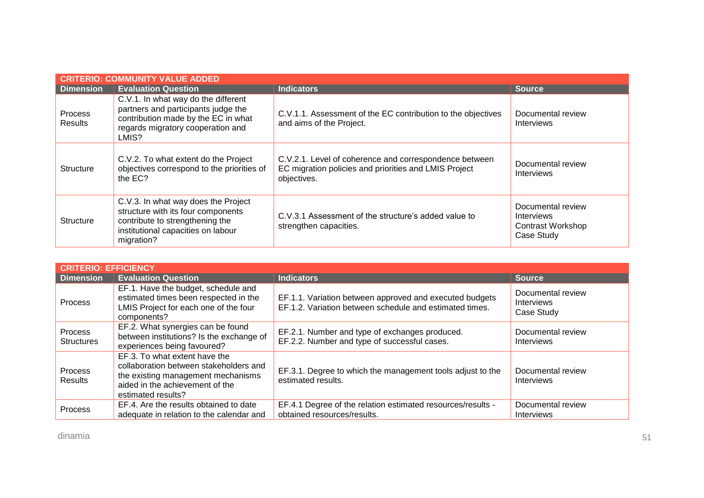| <b>CRITERIO: COMMUNITY VALUE ADDED</b> |                                                                                                                                                                  |                                                                                                                                |                                                                           |  |
|----------------------------------------|------------------------------------------------------------------------------------------------------------------------------------------------------------------|--------------------------------------------------------------------------------------------------------------------------------|---------------------------------------------------------------------------|--|
| <b>Dimension</b>                       | <b>Evaluation Question</b>                                                                                                                                       | <b>Indicators</b>                                                                                                              | <b>Source</b>                                                             |  |
| <b>Process</b><br><b>Results</b>       | C.V.1. In what way do the different<br>partners and participants judge the<br>contribution made by the EC in what<br>regards migratory cooperation and<br>LMIS?  | C.V.1.1. Assessment of the EC contribution to the objectives<br>and aims of the Project.                                       | Documental review<br><b>Interviews</b>                                    |  |
| <b>Structure</b>                       | C.V.2. To what extent do the Project<br>objectives correspond to the priorities of<br>the EC?                                                                    | C.V.2.1. Level of coherence and correspondence between<br>EC migration policies and priorities and LMIS Project<br>objectives. | Documental review<br>Interviews                                           |  |
| <b>Structure</b>                       | C.V.3. In what way does the Project<br>structure with its four components<br>contribute to strengthening the<br>institutional capacities on labour<br>migration? | C.V.3.1 Assessment of the structure's added value to<br>strengthen capacities.                                                 | Documental review<br><b>Interviews</b><br>Contrast Workshop<br>Case Study |  |

| <b>CRITERIO: EFFICIENCY</b>  |                                                                                                                                                                        |                                                                                                                    |                                                      |
|------------------------------|------------------------------------------------------------------------------------------------------------------------------------------------------------------------|--------------------------------------------------------------------------------------------------------------------|------------------------------------------------------|
| <b>Dimension</b>             | <b>Evaluation Question</b>                                                                                                                                             | <b>Indicators</b>                                                                                                  | <b>Source</b>                                        |
| Process                      | EF.1. Have the budget, schedule and<br>estimated times been respected in the<br>LMIS Project for each one of the four<br>components?                                   | EF.1.1. Variation between approved and executed budgets<br>EF.1.2. Variation between schedule and estimated times. | Documental review<br><b>Interviews</b><br>Case Study |
| Process<br><b>Structures</b> | EF.2. What synergies can be found<br>between institutions? Is the exchange of<br>experiences being favoured?                                                           | EF.2.1. Number and type of exchanges produced.<br>EF.2.2. Number and type of successful cases.                     | Documental review<br><b>Interviews</b>               |
| <b>Process</b><br>Results    | EF.3. To what extent have the<br>collaboration between stakeholders and<br>the existing management mechanisms<br>aided in the achievement of the<br>estimated results? | EF.3.1. Degree to which the management tools adjust to the<br>estimated results.                                   | Documental review<br><b>Interviews</b>               |
| <b>Process</b>               | EF.4. Are the results obtained to date<br>adequate in relation to the calendar and                                                                                     | EF.4.1 Degree of the relation estimated resources/results -<br>obtained resources/results.                         | Documental review<br><b>Interviews</b>               |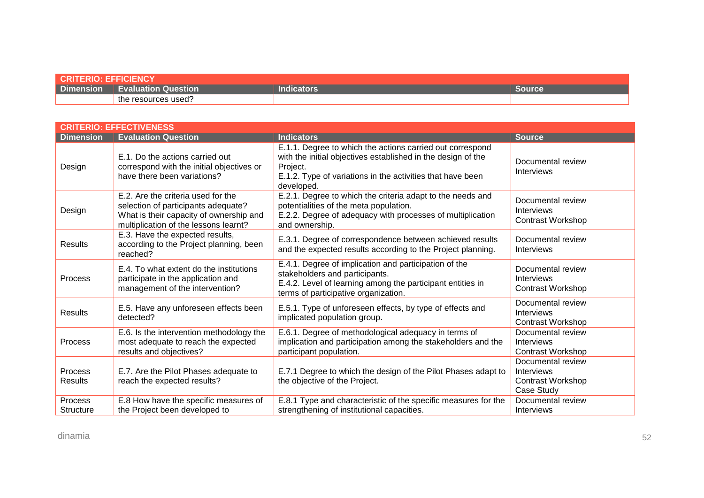| <b>CRITERIO: EFFICIENCY</b> |                                                   |                   |        |  |
|-----------------------------|---------------------------------------------------|-------------------|--------|--|
| <b>Dimension</b>            | $\blacksquare$ Evaluation Question $\blacksquare$ | <b>Indicators</b> | Source |  |
|                             | $\sim$<br>the resources used?                     |                   |        |  |

| <b>CRITERIO: EFFECTIVENESS</b> |                                                                                                                                                               |                                                                                                                                                                                                                   |                                                                           |
|--------------------------------|---------------------------------------------------------------------------------------------------------------------------------------------------------------|-------------------------------------------------------------------------------------------------------------------------------------------------------------------------------------------------------------------|---------------------------------------------------------------------------|
| <b>Dimension</b>               | <b>Evaluation Question</b>                                                                                                                                    | <b>Indicators</b>                                                                                                                                                                                                 | <b>Source</b>                                                             |
| Design                         | E.1. Do the actions carried out<br>correspond with the initial objectives or<br>have there been variations?                                                   | E.1.1. Degree to which the actions carried out correspond<br>with the initial objectives established in the design of the<br>Project.<br>E.1.2. Type of variations in the activities that have been<br>developed. | Documental review<br>Interviews                                           |
| Design                         | E.2. Are the criteria used for the<br>selection of participants adequate?<br>What is their capacity of ownership and<br>multiplication of the lessons learnt? | E.2.1. Degree to which the criteria adapt to the needs and<br>potentialities of the meta population.<br>E.2.2. Degree of adequacy with processes of multiplication<br>and ownership.                              | Documental review<br>Interviews<br><b>Contrast Workshop</b>               |
| <b>Results</b>                 | E.3. Have the expected results,<br>according to the Project planning, been<br>reached?                                                                        | E.3.1. Degree of correspondence between achieved results<br>and the expected results according to the Project planning.                                                                                           | Documental review<br>Interviews                                           |
| Process                        | E.4. To what extent do the institutions<br>participate in the application and<br>management of the intervention?                                              | E.4.1. Degree of implication and participation of the<br>stakeholders and participants.<br>E.4.2. Level of learning among the participant entities in<br>terms of participative organization.                     | Documental review<br>Interviews<br><b>Contrast Workshop</b>               |
| Results                        | E.5. Have any unforeseen effects been<br>detected?                                                                                                            | E.5.1. Type of unforeseen effects, by type of effects and<br>implicated population group.                                                                                                                         | Documental review<br>Interviews<br><b>Contrast Workshop</b>               |
| <b>Process</b>                 | E.6. Is the intervention methodology the<br>most adequate to reach the expected<br>results and objectives?                                                    | E.6.1. Degree of methodological adequacy in terms of<br>implication and participation among the stakeholders and the<br>participant population.                                                                   | Documental review<br><b>Interviews</b><br><b>Contrast Workshop</b>        |
| Process<br><b>Results</b>      | E.7. Are the Pilot Phases adequate to<br>reach the expected results?                                                                                          | E.7.1 Degree to which the design of the Pilot Phases adapt to<br>the objective of the Project.                                                                                                                    | Documental review<br>Interviews<br><b>Contrast Workshop</b><br>Case Study |
| Process<br><b>Structure</b>    | E.8 How have the specific measures of<br>the Project been developed to                                                                                        | E.8.1 Type and characteristic of the specific measures for the<br>strengthening of institutional capacities.                                                                                                      | Documental review<br>Interviews                                           |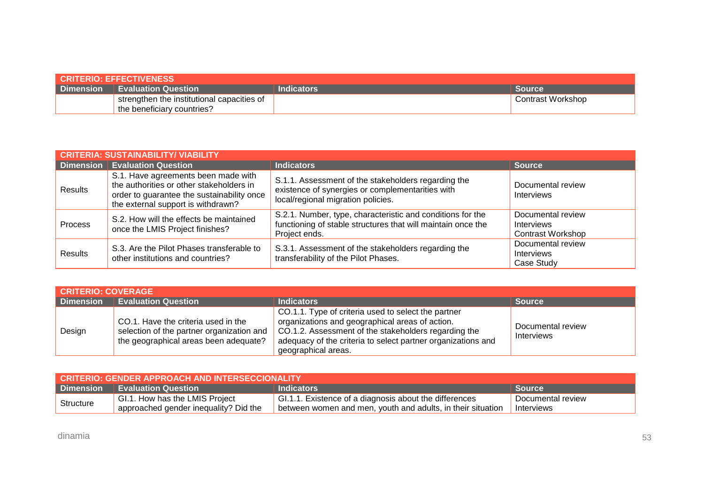| <b>CRITERIO: EFFECTIVENESS</b> |                                            |            |                   |  |  |
|--------------------------------|--------------------------------------------|------------|-------------------|--|--|
|                                | <b>Dimension   Evaluation Question</b>     | Indicators | <b>Source</b>     |  |  |
|                                | strengthen the institutional capacities of |            | Contrast Workshop |  |  |
|                                | the beneficiary countries?                 |            |                   |  |  |

| <b>CRITERIA: SUSTAINABILITY/ VIABILITY</b> |                                                                                                                                                                     |                                                                                                                                               |                                                             |  |  |  |
|--------------------------------------------|---------------------------------------------------------------------------------------------------------------------------------------------------------------------|-----------------------------------------------------------------------------------------------------------------------------------------------|-------------------------------------------------------------|--|--|--|
|                                            | <b>Dimension Evaluation Question</b>                                                                                                                                | <b>Indicators</b>                                                                                                                             | <b>Source</b>                                               |  |  |  |
| <b>Results</b>                             | S.1. Have agreements been made with<br>the authorities or other stakeholders in<br>order to guarantee the sustainability once<br>the external support is withdrawn? | S.1.1. Assessment of the stakeholders regarding the<br>existence of synergies or complementarities with<br>local/regional migration policies. | Documental review<br>Interviews                             |  |  |  |
| Process                                    | S.2. How will the effects be maintained<br>once the LMIS Project finishes?                                                                                          | S.2.1. Number, type, characteristic and conditions for the<br>functioning of stable structures that will maintain once the<br>Project ends.   | Documental review<br>Interviews<br><b>Contrast Workshop</b> |  |  |  |
| <b>Results</b>                             | S.3. Are the Pilot Phases transferable to<br>other institutions and countries?                                                                                      | S.3.1. Assessment of the stakeholders regarding the<br>transferability of the Pilot Phases.                                                   | Documental review<br><b>Interviews</b><br>Case Study        |  |  |  |

| <b>CRITERIO: COVERAGE</b> |                                                                                                                           |                                                                                                                                                                                                                                                       |                                 |  |  |  |  |
|---------------------------|---------------------------------------------------------------------------------------------------------------------------|-------------------------------------------------------------------------------------------------------------------------------------------------------------------------------------------------------------------------------------------------------|---------------------------------|--|--|--|--|
| <b>Dimension</b>          | <b>Evaluation Question</b>                                                                                                | <b>Indicators</b>                                                                                                                                                                                                                                     | <b>Source</b>                   |  |  |  |  |
| Design                    | CO.1. Have the criteria used in the<br>selection of the partner organization and<br>the geographical areas been adequate? | CO.1.1. Type of criteria used to select the partner<br>organizations and geographical areas of action.<br>CO.1.2. Assessment of the stakeholders regarding the<br>adequacy of the criteria to select partner organizations and<br>geographical areas. | Documental review<br>Interviews |  |  |  |  |

| CRITERIO: GENDER APPROACH AND INTERSECCIONALITY |                                       |                                                             |                   |  |  |
|-------------------------------------------------|---------------------------------------|-------------------------------------------------------------|-------------------|--|--|
|                                                 | Dimension Evaluation Question         | <b>Indicators</b>                                           | <b>Source</b>     |  |  |
| Structure                                       | GI.1. How has the LMIS Project        | GI.1.1. Existence of a diagnosis about the differences      | Documental review |  |  |
|                                                 | approached gender inequality? Did the | between women and men, youth and adults, in their situation | Interviews        |  |  |

dinamia 53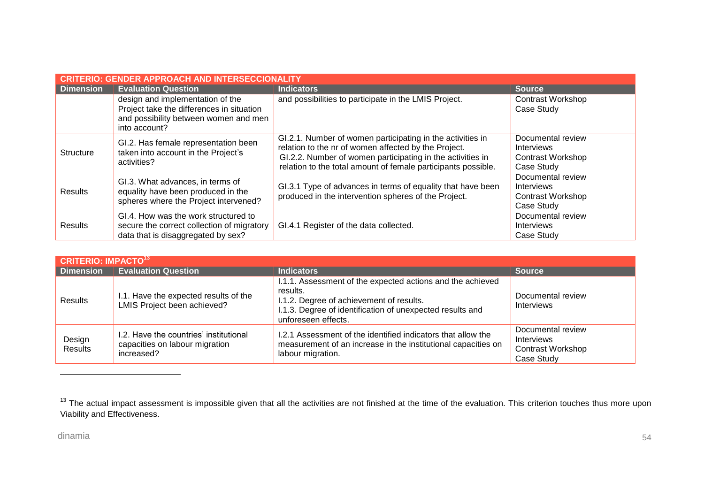| <b>GENDER APPROACH AND INTERSECCIONALITY</b><br><b>CRITERIO:</b> |                                                                                                                                         |                                                                                                                                                                                                                                                   |                                                                           |  |  |  |  |
|------------------------------------------------------------------|-----------------------------------------------------------------------------------------------------------------------------------------|---------------------------------------------------------------------------------------------------------------------------------------------------------------------------------------------------------------------------------------------------|---------------------------------------------------------------------------|--|--|--|--|
| <b>Dimension</b>                                                 | <b>Evaluation Question</b>                                                                                                              | <b>Indicators</b>                                                                                                                                                                                                                                 | <b>Source</b>                                                             |  |  |  |  |
|                                                                  | design and implementation of the<br>Project take the differences in situation<br>and possibility between women and men<br>into account? | and possibilities to participate in the LMIS Project.                                                                                                                                                                                             | <b>Contrast Workshop</b><br>Case Study                                    |  |  |  |  |
| <b>Structure</b>                                                 | GI.2. Has female representation been<br>taken into account in the Project's<br>activities?                                              | GI.2.1. Number of women participating in the activities in<br>relation to the nr of women affected by the Project.<br>GI.2.2. Number of women participating in the activities in<br>relation to the total amount of female participants possible. | Documental review<br><b>Interviews</b><br>Contrast Workshop<br>Case Study |  |  |  |  |
| Results                                                          | GI.3. What advances, in terms of<br>equality have been produced in the<br>spheres where the Project intervened?                         | GI.3.1 Type of advances in terms of equality that have been<br>produced in the intervention spheres of the Project.                                                                                                                               | Documental review<br>Interviews<br>Contrast Workshop<br>Case Study        |  |  |  |  |
| Results                                                          | GI.4. How was the work structured to<br>secure the correct collection of migratory<br>data that is disaggregated by sex?                | GI.4.1 Register of the data collected.                                                                                                                                                                                                            | Documental review<br>Interviews<br>Case Study                             |  |  |  |  |

|                   | <b>CRITERIO: IMPACTO<sup>13</sup></b>                                                  |                                                                                                                                                                                                        |                                                                           |  |  |  |  |
|-------------------|----------------------------------------------------------------------------------------|--------------------------------------------------------------------------------------------------------------------------------------------------------------------------------------------------------|---------------------------------------------------------------------------|--|--|--|--|
| <b>Dimension</b>  | <b>Evaluation Question</b>                                                             | <b>Indicators</b>                                                                                                                                                                                      | <b>Source</b>                                                             |  |  |  |  |
| Results           | I.1. Have the expected results of the<br>LMIS Project been achieved?                   | 1.1.1. Assessment of the expected actions and the achieved<br>results.<br>I.1.2. Degree of achievement of results.<br>I.1.3. Degree of identification of unexpected results and<br>unforeseen effects. | Documental review<br><b>Interviews</b>                                    |  |  |  |  |
| Design<br>Results | I.2. Have the countries' institutional<br>capacities on labour migration<br>increased? | 1.2.1 Assessment of the identified indicators that allow the<br>measurement of an increase in the institutional capacities on<br>labour migration.                                                     | Documental review<br>Interviews<br><b>Contrast Workshop</b><br>Case Study |  |  |  |  |

-

<sup>&</sup>lt;sup>13</sup> The actual impact assessment is impossible given that all the activities are not finished at the time of the evaluation. This criterion touches thus more upon Viability and Effectiveness.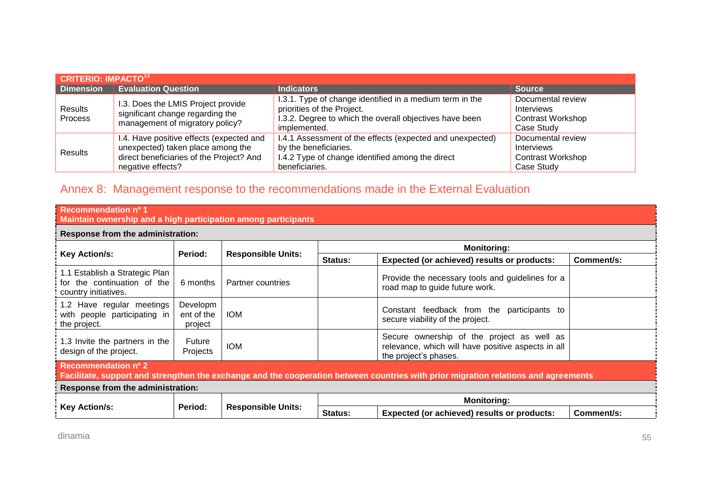| <b>CRITERIO: IMPACTO<sup>13</sup></b> |                                                                                                                                                |                                                                                                                                                                   |                                                                           |  |  |  |  |
|---------------------------------------|------------------------------------------------------------------------------------------------------------------------------------------------|-------------------------------------------------------------------------------------------------------------------------------------------------------------------|---------------------------------------------------------------------------|--|--|--|--|
| <b>Dimension</b>                      | <b>Evaluation Question</b>                                                                                                                     | <b>Indicators</b>                                                                                                                                                 | <b>Source</b>                                                             |  |  |  |  |
| Results<br>Process                    | I.3. Does the LMIS Project provide<br>significant change regarding the<br>management of migratory policy?                                      | I.3.1. Type of change identified in a medium term in the<br>priorities of the Project.<br>I.3.2. Degree to which the overall objectives have been<br>implemented. | Documental review<br>Interviews<br><b>Contrast Workshop</b><br>Case Study |  |  |  |  |
| <b>Results</b>                        | I.4. Have positive effects (expected and<br>unexpected) taken place among the<br>direct beneficiaries of the Project? And<br>negative effects? | I.4.1 Assessment of the effects (expected and unexpected)<br>by the beneficiaries.<br>I.4.2 Type of change identified among the direct<br>beneficiaries.          | Documental review<br>Interviews<br><b>Contrast Workshop</b><br>Case Study |  |  |  |  |

## Annex 8: Management response to the recommendations made in the External Evaluation

| Recommendation nº 1<br>Maintain ownership and a high participation among participants                                                                      |                                   |                           |                    |                                                                                                                           |            |  |  |
|------------------------------------------------------------------------------------------------------------------------------------------------------------|-----------------------------------|---------------------------|--------------------|---------------------------------------------------------------------------------------------------------------------------|------------|--|--|
| Response from the administration:                                                                                                                          |                                   |                           |                    |                                                                                                                           |            |  |  |
|                                                                                                                                                            |                                   |                           | <b>Monitoring:</b> |                                                                                                                           |            |  |  |
| <b>Key Action/s:</b>                                                                                                                                       | Period:                           | <b>Responsible Units:</b> | <b>Status:</b>     | Expected (or achieved) results or products:                                                                               | Comment/s: |  |  |
| 1.1 Establish a Strategic Plan<br>for the continuation of the<br>country initiatives.                                                                      | 6 months                          | <b>Partner countries</b>  |                    | Provide the necessary tools and guidelines for a<br>road map to guide future work.                                        |            |  |  |
| 1.2 Have regular meetings<br>with people participating in<br>the project.                                                                                  | Developm<br>ent of the<br>project | <b>IOM</b>                |                    | Constant feedback from the participants to<br>secure viability of the project.                                            |            |  |  |
| 1.3 Invite the partners in the<br>design of the project.                                                                                                   | Future<br>Projects                | <b>IOM</b>                |                    | Secure ownership of the project as well as<br>relevance, which will have positive aspects in all<br>the project's phases. |            |  |  |
| Recommendation nº 2<br>Facilitate, support and strengthen the exchange and the cooperation between countries with prior migration relations and agreements |                                   |                           |                    |                                                                                                                           |            |  |  |
| Response from the administration:                                                                                                                          |                                   |                           |                    |                                                                                                                           |            |  |  |
|                                                                                                                                                            |                                   |                           |                    | <b>Monitoring:</b>                                                                                                        |            |  |  |
| <b>Key Action/s:</b>                                                                                                                                       | Period:                           | <b>Responsible Units:</b> | Status:            | Expected (or achieved) results or products:                                                                               | Comment/s: |  |  |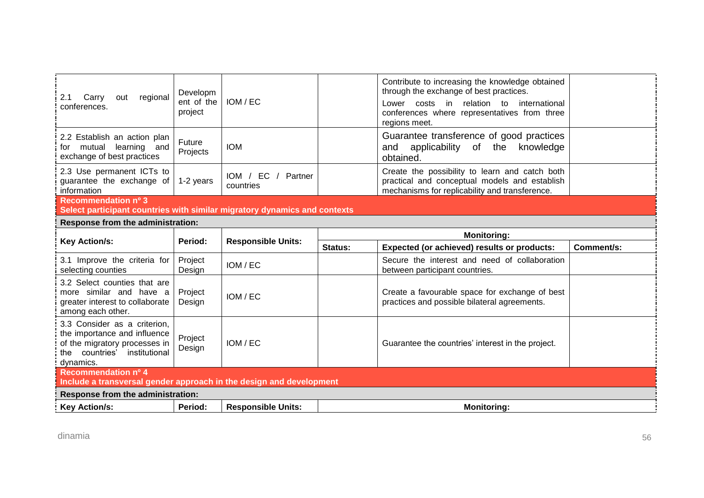| regional<br>Carry<br>out<br>2.1<br>conferences.                                                                                            | Developm<br>ent of the<br>project | IOM / EC                           |         | Contribute to increasing the knowledge obtained<br>through the exchange of best practices.<br>Lower costs in relation to<br>international<br>conferences where representatives from three<br>regions meet. |            |  |
|--------------------------------------------------------------------------------------------------------------------------------------------|-----------------------------------|------------------------------------|---------|------------------------------------------------------------------------------------------------------------------------------------------------------------------------------------------------------------|------------|--|
| 2.2 Establish an action plan<br>for mutual<br>learning<br>and<br>exchange of best practices                                                | Future<br>Projects                | <b>IOM</b>                         |         | Guarantee transference of good practices<br>applicability of the<br>knowledge<br>and<br>obtained.                                                                                                          |            |  |
| 2.3 Use permanent ICTs to<br>guarantee the exchange of<br>information                                                                      | 1-2 years                         | IOM / EC /<br>Partner<br>countries |         | Create the possibility to learn and catch both<br>practical and conceptual models and establish<br>mechanisms for replicability and transference.                                                          |            |  |
| Recommendation nº 3<br>Select participant countries with similar migratory dynamics and contexts                                           |                                   |                                    |         |                                                                                                                                                                                                            |            |  |
| Response from the administration:                                                                                                          |                                   |                                    |         |                                                                                                                                                                                                            |            |  |
| <b>Monitoring:</b>                                                                                                                         |                                   |                                    |         |                                                                                                                                                                                                            |            |  |
| <b>Key Action/s:</b>                                                                                                                       | Period:                           | <b>Responsible Units:</b>          | Status: | Expected (or achieved) results or products:                                                                                                                                                                | Comment/s: |  |
| 3.1 Improve the criteria for<br>selecting counties                                                                                         | Project<br>Design                 | IOM / EC                           |         | Secure the interest and need of collaboration<br>between participant countries.                                                                                                                            |            |  |
| 3.2 Select counties that are<br>more similar and have a<br>greater interest to collaborate<br>among each other.                            | Project<br>Design                 | IOM / EC                           |         | Create a favourable space for exchange of best<br>practices and possible bilateral agreements.                                                                                                             |            |  |
| 3.3 Consider as a criterion,<br>the importance and influence<br>of the migratory processes in<br>the countries' institutional<br>dynamics. | Project<br>Design                 | IOM / EC                           |         | Guarantee the countries' interest in the project.                                                                                                                                                          |            |  |
| Recommendation nº 4                                                                                                                        |                                   |                                    |         |                                                                                                                                                                                                            |            |  |
| Include a transversal gender approach in the design and development                                                                        |                                   |                                    |         |                                                                                                                                                                                                            |            |  |
| Response from the administration:                                                                                                          |                                   |                                    |         |                                                                                                                                                                                                            |            |  |
| <b>Key Action/s:</b>                                                                                                                       | Period:                           | <b>Responsible Units:</b>          |         | <b>Monitoring:</b>                                                                                                                                                                                         |            |  |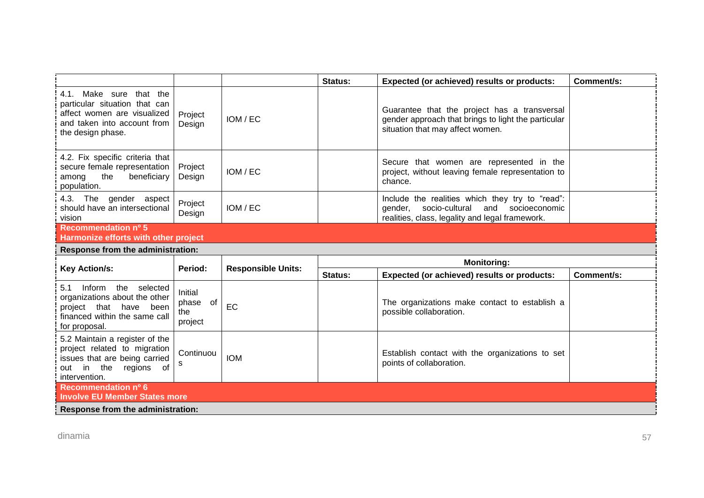|                                                                                                                                                |                                       |                           | Status: | Expected (or achieved) results or products:                                                                                                       | Comment/s: |  |  |
|------------------------------------------------------------------------------------------------------------------------------------------------|---------------------------------------|---------------------------|---------|---------------------------------------------------------------------------------------------------------------------------------------------------|------------|--|--|
| Make sure that the<br>4.1.<br>particular situation that can<br>affect women are visualized<br>and taken into account from<br>the design phase. | Project<br>Design                     | IOM / EC                  |         | Guarantee that the project has a transversal<br>gender approach that brings to light the particular<br>situation that may affect women.           |            |  |  |
| 4.2. Fix specific criteria that<br>secure female representation<br>the<br>beneficiary<br>among<br>population.                                  | Project<br>Design                     | IOM / EC                  |         | Secure that women are represented in the<br>project, without leaving female representation to<br>chance.                                          |            |  |  |
| 4.3. The gender aspect<br>should have an intersectional<br>vision                                                                              | Project<br>Design                     | IOM / EC                  |         | Include the realities which they try to "read":<br>gender, socio-cultural<br>and socioeconomic<br>realities, class, legality and legal framework. |            |  |  |
| Recommendation nº 5<br>Harmonize efforts with other project                                                                                    |                                       |                           |         |                                                                                                                                                   |            |  |  |
| Response from the administration:                                                                                                              |                                       |                           |         |                                                                                                                                                   |            |  |  |
|                                                                                                                                                |                                       |                           |         | <b>Monitoring:</b>                                                                                                                                |            |  |  |
| <b>Key Action/s:</b>                                                                                                                           | Period:                               | <b>Responsible Units:</b> | Status: | Expected (or achieved) results or products:                                                                                                       | Comment/s: |  |  |
| Inform the selected<br>5.1<br>organizations about the other<br>project that have been<br>financed within the same call<br>for proposal.        | Initial<br>phase of<br>the<br>project | EC                        |         | The organizations make contact to establish a<br>possible collaboration.                                                                          |            |  |  |
| 5.2 Maintain a register of the<br>project related to migration<br>issues that are being carried<br>out in the regions<br>of<br>intervention.   | Continuou<br>s                        | <b>IOM</b>                |         | Establish contact with the organizations to set<br>points of collaboration.                                                                       |            |  |  |
| Recommendation nº 6<br><b>Involve EU Member States more</b>                                                                                    |                                       |                           |         |                                                                                                                                                   |            |  |  |
| Response from the administration:                                                                                                              |                                       |                           |         |                                                                                                                                                   |            |  |  |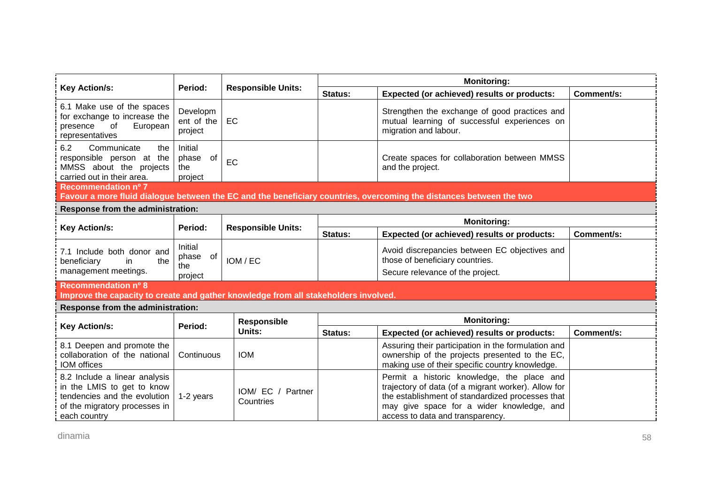|                                                                                                                                                          |                                       |                                   | <b>Monitoring:</b> |                                                                                                                                                                                                                                        |            |  |
|----------------------------------------------------------------------------------------------------------------------------------------------------------|---------------------------------------|-----------------------------------|--------------------|----------------------------------------------------------------------------------------------------------------------------------------------------------------------------------------------------------------------------------------|------------|--|
| <b>Key Action/s:</b>                                                                                                                                     | Period:                               | <b>Responsible Units:</b>         | <b>Status:</b>     | Expected (or achieved) results or products:                                                                                                                                                                                            | Comment/s: |  |
| 6.1 Make use of the spaces<br>for exchange to increase the<br>presence<br>of<br>European<br>representatives                                              | Developm<br>ent of the<br>project     | EC                                |                    | Strengthen the exchange of good practices and<br>mutual learning of successful experiences on<br>migration and labour.                                                                                                                 |            |  |
| 6.2<br>Communicate<br>the<br>responsible person at the<br>MMSS about the projects<br>carried out in their area.                                          | Initial<br>phase of<br>the<br>project | EC                                |                    | Create spaces for collaboration between MMSS<br>and the project.                                                                                                                                                                       |            |  |
| Recommendation nº 7                                                                                                                                      |                                       |                                   |                    |                                                                                                                                                                                                                                        |            |  |
| Favour a more fluid dialogue between the EC and the beneficiary countries, overcoming the distances between the two<br>Response from the administration: |                                       |                                   |                    |                                                                                                                                                                                                                                        |            |  |
|                                                                                                                                                          |                                       |                                   | <b>Monitoring:</b> |                                                                                                                                                                                                                                        |            |  |
| <b>Key Action/s:</b>                                                                                                                                     | Period:                               | <b>Responsible Units:</b>         | Status:            | Expected (or achieved) results or products:                                                                                                                                                                                            | Comment/s: |  |
| 7.1 Include both donor and<br>beneficiary<br>the<br>in<br>management meetings.                                                                           | Initial<br>phase of<br>the<br>project | IOM / EC                          |                    | Avoid discrepancies between EC objectives and<br>those of beneficiary countries.<br>Secure relevance of the project.                                                                                                                   |            |  |
| Recommendation nº 8                                                                                                                                      |                                       |                                   |                    |                                                                                                                                                                                                                                        |            |  |
| Improve the capacity to create and gather knowledge from all stakeholders involved.<br>Response from the administration:                                 |                                       |                                   |                    |                                                                                                                                                                                                                                        |            |  |
|                                                                                                                                                          |                                       | Responsible                       |                    | <b>Monitoring:</b>                                                                                                                                                                                                                     |            |  |
| <b>Key Action/s:</b>                                                                                                                                     | Period:                               | Units:                            | <b>Status:</b>     | Expected (or achieved) results or products:                                                                                                                                                                                            | Comment/s: |  |
| 8.1 Deepen and promote the<br>collaboration of the national<br><b>IOM</b> offices                                                                        | Continuous                            | <b>IOM</b>                        |                    | Assuring their participation in the formulation and<br>ownership of the projects presented to the EC,<br>making use of their specific country knowledge.                                                                               |            |  |
| 8.2 Include a linear analysis<br>in the LMIS to get to know<br>tendencies and the evolution<br>of the migratory processes in<br>each country             | 1-2 years                             | IOM/ EC /<br>Partner<br>Countries |                    | Permit a historic knowledge, the place and<br>trajectory of data (of a migrant worker). Allow for<br>the establishment of standardized processes that<br>may give space for a wider knowledge, and<br>access to data and transparency. |            |  |

dinamia 58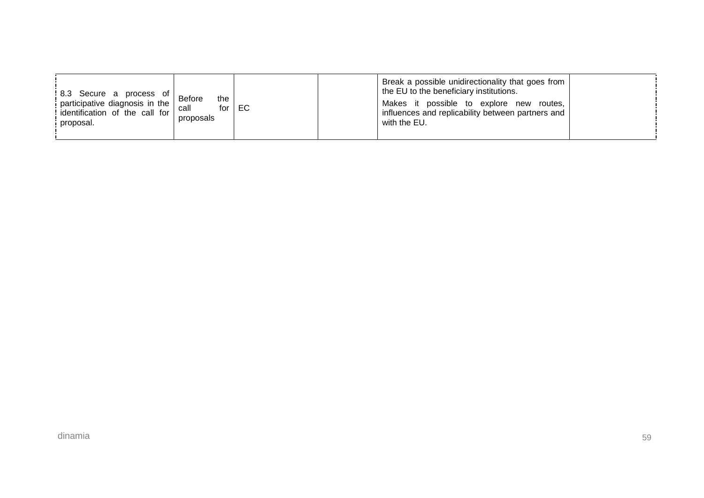| $\begin{array}{c c} \n   8.3 \quad \text{Secure} \quad a \quad \text{process} \quad \text{of} \n   \text{Before} \n   \text{participative diagnosis in the} \n \end{array}$<br>identification of the call for<br>proposal. | the<br>call<br>for I<br>proposals | EC |  | Break a possible unidirectionality that goes from<br>the EU to the beneficiary institutions.<br>Makes it possible to explore new<br>* routes.<br>influences and replicability between partners and<br>with the EU. |  |
|----------------------------------------------------------------------------------------------------------------------------------------------------------------------------------------------------------------------------|-----------------------------------|----|--|--------------------------------------------------------------------------------------------------------------------------------------------------------------------------------------------------------------------|--|
|----------------------------------------------------------------------------------------------------------------------------------------------------------------------------------------------------------------------------|-----------------------------------|----|--|--------------------------------------------------------------------------------------------------------------------------------------------------------------------------------------------------------------------|--|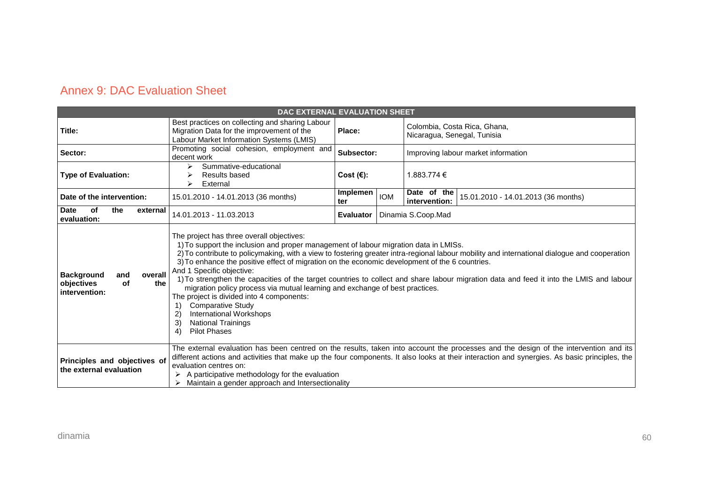## Annex 9: DAC Evaluation Sheet

| DAC EXTERNAL EVALUATION SHEET                                                                                                                                                                                                                                                                                                                                                                                                                                                                                                                                                                                                                                                                                                                                                                                                                                                                                           |                                                                                                                                                                                                                                                                                                                                                                                                                       |                     |            |                                                                     |
|-------------------------------------------------------------------------------------------------------------------------------------------------------------------------------------------------------------------------------------------------------------------------------------------------------------------------------------------------------------------------------------------------------------------------------------------------------------------------------------------------------------------------------------------------------------------------------------------------------------------------------------------------------------------------------------------------------------------------------------------------------------------------------------------------------------------------------------------------------------------------------------------------------------------------|-----------------------------------------------------------------------------------------------------------------------------------------------------------------------------------------------------------------------------------------------------------------------------------------------------------------------------------------------------------------------------------------------------------------------|---------------------|------------|---------------------------------------------------------------------|
| Title:                                                                                                                                                                                                                                                                                                                                                                                                                                                                                                                                                                                                                                                                                                                                                                                                                                                                                                                  | Best practices on collecting and sharing Labour<br>Migration Data for the improvement of the<br>Labour Market Information Systems (LMIS)                                                                                                                                                                                                                                                                              | Place:              |            | Colombia, Costa Rica, Ghana,<br>Nicaragua, Senegal, Tunisia         |
| Sector:                                                                                                                                                                                                                                                                                                                                                                                                                                                                                                                                                                                                                                                                                                                                                                                                                                                                                                                 | Promoting social cohesion, employment and<br>decent work                                                                                                                                                                                                                                                                                                                                                              | Subsector:          |            | Improving labour market information                                 |
| <b>Type of Evaluation:</b>                                                                                                                                                                                                                                                                                                                                                                                                                                                                                                                                                                                                                                                                                                                                                                                                                                                                                              | Summative-educational<br>⋗<br>Results based<br>External                                                                                                                                                                                                                                                                                                                                                               | Cost $(\epsilon)$ : |            | 1.883.774 €                                                         |
| Date of the intervention:                                                                                                                                                                                                                                                                                                                                                                                                                                                                                                                                                                                                                                                                                                                                                                                                                                                                                               | 15.01.2010 - 14.01.2013 (36 months)                                                                                                                                                                                                                                                                                                                                                                                   | Implemen<br>ter     | <b>IOM</b> | Date of the<br>15.01.2010 - 14.01.2013 (36 months)<br>intervention: |
| <b>Date</b><br><b>of</b><br>the<br>external<br>evaluation:                                                                                                                                                                                                                                                                                                                                                                                                                                                                                                                                                                                                                                                                                                                                                                                                                                                              | 14.01.2013 - 11.03.2013                                                                                                                                                                                                                                                                                                                                                                                               | Evaluator           |            | Dinamia S.Coop.Mad                                                  |
| The project has three overall objectives:<br>1) To support the inclusion and proper management of labour migration data in LMISs.<br>2) To contribute to policymaking, with a view to fostering greater intra-regional labour mobility and international dialogue and cooperation<br>3) To enhance the positive effect of migration on the economic development of the 6 countries.<br>And 1 Specific objective:<br>overall<br><b>Background</b><br>and<br>1) To strengthen the capacities of the target countries to collect and share labour migration data and feed it into the LMIS and labour<br>objectives<br>the<br>of<br>migration policy process via mutual learning and exchange of best practices.<br>intervention:<br>The project is divided into 4 components:<br><b>Comparative Study</b><br>International Workshops<br>$\mathbf{2}$<br>3)<br><b>National Trainings</b><br><b>Pilot Phases</b><br>$\vert$ |                                                                                                                                                                                                                                                                                                                                                                                                                       |                     |            |                                                                     |
| Principles and objectives of<br>the external evaluation                                                                                                                                                                                                                                                                                                                                                                                                                                                                                                                                                                                                                                                                                                                                                                                                                                                                 | The external evaluation has been centred on the results, taken into account the processes and the design of the intervention and its<br>different actions and activities that make up the four components. It also looks at their interaction and synergies. As basic principles, the<br>evaluation centres on:<br>A participative methodology for the evaluation<br>Maintain a gender approach and Intersectionality |                     |            |                                                                     |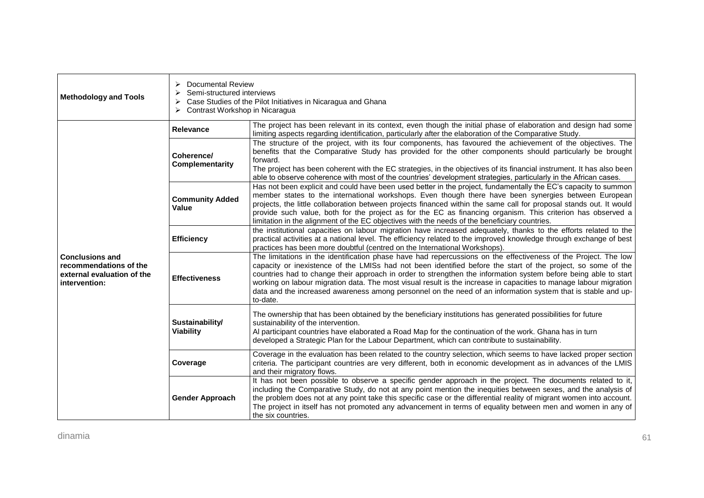| <b>Methodology and Tools</b>                                                                    | <b>Documental Review</b><br>⋗<br>Semi-structured interviews<br>➤<br>Case Studies of the Pilot Initiatives in Nicaragua and Ghana<br>➤<br>Contrast Workshop in Nicaragua |                                                                                                                                                                                                                                                                                                                                                                                                                                                                                                                                                                                                     |  |
|-------------------------------------------------------------------------------------------------|-------------------------------------------------------------------------------------------------------------------------------------------------------------------------|-----------------------------------------------------------------------------------------------------------------------------------------------------------------------------------------------------------------------------------------------------------------------------------------------------------------------------------------------------------------------------------------------------------------------------------------------------------------------------------------------------------------------------------------------------------------------------------------------------|--|
|                                                                                                 | Relevance                                                                                                                                                               | The project has been relevant in its context, even though the initial phase of elaboration and design had some<br>limiting aspects regarding identification, particularly after the elaboration of the Comparative Study.                                                                                                                                                                                                                                                                                                                                                                           |  |
| <b>Conclusions and</b><br>recommendations of the<br>external evaluation of the<br>intervention: | Coherence/<br><b>Complementarity</b>                                                                                                                                    | The structure of the project, with its four components, has favoured the achievement of the objectives. The<br>benefits that the Comparative Study has provided for the other components should particularly be brought<br>forward.<br>The project has been coherent with the EC strategies, in the objectives of its financial instrument. It has also been<br>able to observe coherence with most of the countries' development strategies, particularly in the African cases.                                                                                                                    |  |
|                                                                                                 | <b>Community Added</b><br>Value                                                                                                                                         | Has not been explicit and could have been used better in the project, fundamentally the EC's capacity to summon<br>member states to the international workshops. Even though there have been synergies between European<br>projects, the little collaboration between projects financed within the same call for proposal stands out. It would<br>provide such value, both for the project as for the EC as financing organism. This criterion has observed a<br>limitation in the alignment of the EC objectives with the needs of the beneficiary countries.                                      |  |
|                                                                                                 | <b>Efficiency</b>                                                                                                                                                       | the institutional capacities on labour migration have increased adequately, thanks to the efforts related to the<br>practical activities at a national level. The efficiency related to the improved knowledge through exchange of best<br>practices has been more doubtful (centred on the International Workshops).                                                                                                                                                                                                                                                                               |  |
|                                                                                                 | <b>Effectiveness</b>                                                                                                                                                    | The limitations in the identification phase have had repercussions on the effectiveness of the Project. The low<br>capacity or inexistence of the LMISs had not been identified before the start of the project, so some of the<br>countries had to change their approach in order to strengthen the information system before being able to start<br>working on labour migration data. The most visual result is the increase in capacities to manage labour migration<br>data and the increased awareness among personnel on the need of an information system that is stable and up-<br>to-date. |  |
|                                                                                                 | Sustainability/<br><b>Viability</b>                                                                                                                                     | The ownership that has been obtained by the beneficiary institutions has generated possibilities for future<br>sustainability of the intervention.<br>Al participant countries have elaborated a Road Map for the continuation of the work. Ghana has in turn<br>developed a Strategic Plan for the Labour Department, which can contribute to sustainability.                                                                                                                                                                                                                                      |  |
|                                                                                                 | Coverage                                                                                                                                                                | Coverage in the evaluation has been related to the country selection, which seems to have lacked proper section<br>criteria. The participant countries are very different, both in economic development as in advances of the LMIS<br>and their migratory flows.                                                                                                                                                                                                                                                                                                                                    |  |
|                                                                                                 | <b>Gender Approach</b>                                                                                                                                                  | It has not been possible to observe a specific gender approach in the project. The documents related to it,<br>including the Comparative Study, do not at any point mention the inequities between sexes, and the analysis of<br>the problem does not at any point take this specific case or the differential reality of migrant women into account.<br>The project in itself has not promoted any advancement in terms of equality between men and women in any of<br>the six countries.                                                                                                          |  |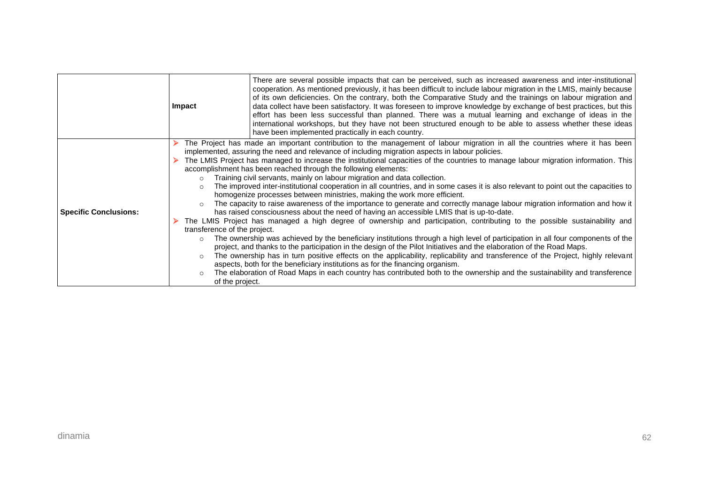|                              | Impact                                                                                                                                                                                                                                                                                                                                                                                                                                                                                                                                                                                                                                                                                                                                                                                                                                                                                                                                                                                                                                                                                                                                                                                                                                                                                                                                                                                                                                                                                                                                                                                                                                                                                                                                                                                                                             | There are several possible impacts that can be perceived, such as increased awareness and inter-institutional<br>cooperation. As mentioned previously, it has been difficult to include labour migration in the LMIS, mainly because<br>of its own deficiencies. On the contrary, both the Comparative Study and the trainings on labour migration and<br>data collect have been satisfactory. It was foreseen to improve knowledge by exchange of best practices, but this<br>effort has been less successful than planned. There was a mutual learning and exchange of ideas in the<br>international workshops, but they have not been structured enough to be able to assess whether these ideas<br>have been implemented practically in each country. |
|------------------------------|------------------------------------------------------------------------------------------------------------------------------------------------------------------------------------------------------------------------------------------------------------------------------------------------------------------------------------------------------------------------------------------------------------------------------------------------------------------------------------------------------------------------------------------------------------------------------------------------------------------------------------------------------------------------------------------------------------------------------------------------------------------------------------------------------------------------------------------------------------------------------------------------------------------------------------------------------------------------------------------------------------------------------------------------------------------------------------------------------------------------------------------------------------------------------------------------------------------------------------------------------------------------------------------------------------------------------------------------------------------------------------------------------------------------------------------------------------------------------------------------------------------------------------------------------------------------------------------------------------------------------------------------------------------------------------------------------------------------------------------------------------------------------------------------------------------------------------|-----------------------------------------------------------------------------------------------------------------------------------------------------------------------------------------------------------------------------------------------------------------------------------------------------------------------------------------------------------------------------------------------------------------------------------------------------------------------------------------------------------------------------------------------------------------------------------------------------------------------------------------------------------------------------------------------------------------------------------------------------------|
| <b>Specific Conclusions:</b> | The Project has made an important contribution to the management of labour migration in all the countries where it has been<br>implemented, assuring the need and relevance of including migration aspects in labour policies.<br>The LMIS Project has managed to increase the institutional capacities of the countries to manage labour migration information. This<br>accomplishment has been reached through the following elements:<br>Training civil servants, mainly on labour migration and data collection.<br>$\circ$<br>The improved inter-institutional cooperation in all countries, and in some cases it is also relevant to point out the capacities to<br>$\circ$<br>homogenize processes between ministries, making the work more efficient.<br>The capacity to raise awareness of the importance to generate and correctly manage labour migration information and how it<br>$\Omega$<br>has raised consciousness about the need of having an accessible LMIS that is up-to-date.<br>The LMIS Project has managed a high degree of ownership and participation, contributing to the possible sustainability and<br>transference of the project.<br>The ownership was achieved by the beneficiary institutions through a high level of participation in all four components of the<br>$\circ$<br>project, and thanks to the participation in the design of the Pilot Initiatives and the elaboration of the Road Maps.<br>The ownership has in turn positive effects on the applicability, replicability and transference of the Project, highly relevant<br>$\circ$<br>aspects, both for the beneficiary institutions as for the financing organism.<br>The elaboration of Road Maps in each country has contributed both to the ownership and the sustainability and transference<br>$\circ$<br>of the project. |                                                                                                                                                                                                                                                                                                                                                                                                                                                                                                                                                                                                                                                                                                                                                           |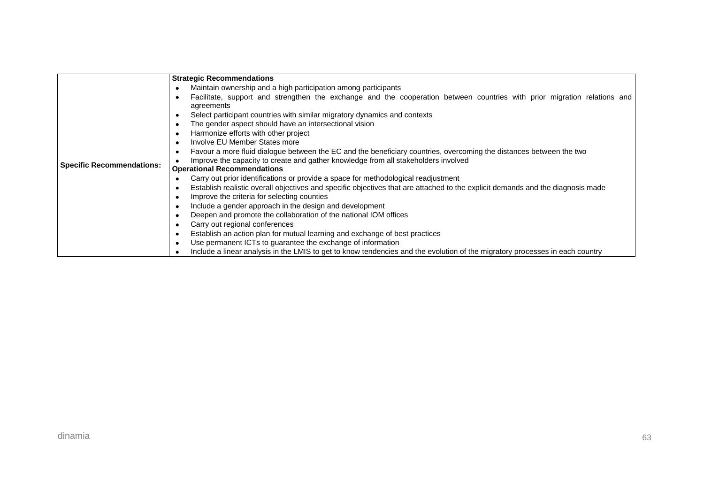|                                  | <b>Strategic Recommendations</b>                                                                                                                    |
|----------------------------------|-----------------------------------------------------------------------------------------------------------------------------------------------------|
|                                  | Maintain ownership and a high participation among participants<br>٠                                                                                 |
|                                  | Facilitate, support and strengthen the exchange and the cooperation between countries with prior migration relations and<br>$\bullet$<br>agreements |
|                                  | Select participant countries with similar migratory dynamics and contexts<br>٠                                                                      |
|                                  | The gender aspect should have an intersectional vision<br>$\bullet$                                                                                 |
|                                  | Harmonize efforts with other project<br>$\bullet$                                                                                                   |
|                                  | Involve EU Member States more<br>٠                                                                                                                  |
|                                  | Favour a more fluid dialogue between the EC and the beneficiary countries, overcoming the distances between the two<br>$\bullet$                    |
|                                  | Improve the capacity to create and gather knowledge from all stakeholders involved                                                                  |
| <b>Specific Recommendations:</b> | <b>Operational Recommendations</b>                                                                                                                  |
|                                  | Carry out prior identifications or provide a space for methodological readjustment<br>٠                                                             |
|                                  | Establish realistic overall objectives and specific objectives that are attached to the explicit demands and the diagnosis made<br>$\bullet$        |
|                                  | Improve the criteria for selecting counties<br>٠                                                                                                    |
|                                  | Include a gender approach in the design and development<br>٠                                                                                        |
|                                  | Deepen and promote the collaboration of the national IOM offices<br>$\bullet$                                                                       |
|                                  | Carry out regional conferences<br>$\bullet$                                                                                                         |
|                                  | Establish an action plan for mutual learning and exchange of best practices<br>٠                                                                    |
|                                  | Use permanent ICTs to guarantee the exchange of information<br>٠                                                                                    |
|                                  | Include a linear analysis in the LMIS to get to know tendencies and the evolution of the migratory processes in each country<br>$\bullet$           |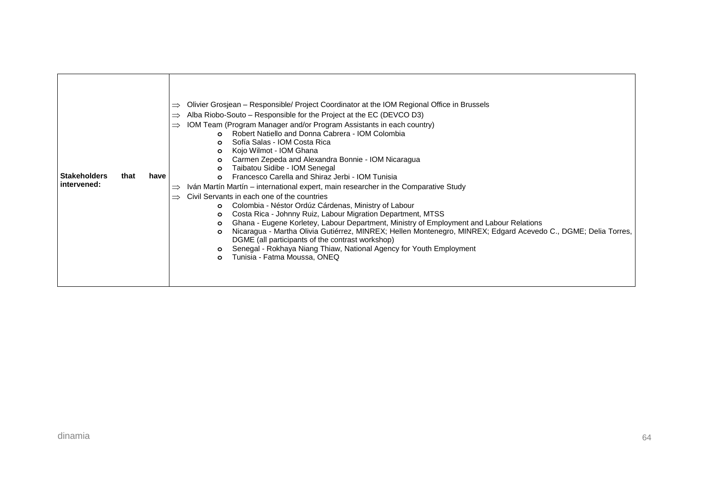| <b>Stakeholders</b><br>intervened: | that | have | Olivier Grosjean - Responsible/ Project Coordinator at the IOM Regional Office in Brussels<br>$\Rightarrow$<br>Alba Riobo-Souto – Responsible for the Project at the EC (DEVCO D3)<br>$\Rightarrow$<br>IOM Team (Program Manager and/or Program Assistants in each country)<br>$\Rightarrow$<br>Robert Natiello and Donna Cabrera - IOM Colombia<br>Sofía Salas - IOM Costa Rica<br>Kojo Wilmot - IOM Ghana<br>$\circ$<br>Carmen Zepeda and Alexandra Bonnie - IOM Nicaragua<br>$\circ$<br>Taibatou Sidibe - IOM Senegal<br>$\circ$<br>Francesco Carella and Shiraz Jerbi - IOM Tunisia<br>$\Omega$<br>Iván Martín Martín – international expert, main researcher in the Comparative Study<br>$\Rightarrow$<br>Civil Servants in each one of the countries<br>$\Rightarrow$<br>Colombia - Néstor Ordúz Cárdenas, Ministry of Labour<br>$\Omega$<br>Costa Rica - Johnny Ruiz, Labour Migration Department, MTSS<br>$\circ$<br>Ghana - Eugene Korletey, Labour Department, Ministry of Employment and Labour Relations<br>$\circ$<br>Nicaragua - Martha Olivia Gutiérrez, MINREX; Hellen Montenegro, MINREX; Edgard Acevedo C., DGME; Delia Torres,<br>$\circ$<br>DGME (all participants of the contrast workshop)<br>Senegal - Rokhaya Niang Thiaw, National Agency for Youth Employment<br>Tunisia - Fatma Moussa, ONEQ<br>$\Omega$ |
|------------------------------------|------|------|-------------------------------------------------------------------------------------------------------------------------------------------------------------------------------------------------------------------------------------------------------------------------------------------------------------------------------------------------------------------------------------------------------------------------------------------------------------------------------------------------------------------------------------------------------------------------------------------------------------------------------------------------------------------------------------------------------------------------------------------------------------------------------------------------------------------------------------------------------------------------------------------------------------------------------------------------------------------------------------------------------------------------------------------------------------------------------------------------------------------------------------------------------------------------------------------------------------------------------------------------------------------------------------------------------------------------------------|
|------------------------------------|------|------|-------------------------------------------------------------------------------------------------------------------------------------------------------------------------------------------------------------------------------------------------------------------------------------------------------------------------------------------------------------------------------------------------------------------------------------------------------------------------------------------------------------------------------------------------------------------------------------------------------------------------------------------------------------------------------------------------------------------------------------------------------------------------------------------------------------------------------------------------------------------------------------------------------------------------------------------------------------------------------------------------------------------------------------------------------------------------------------------------------------------------------------------------------------------------------------------------------------------------------------------------------------------------------------------------------------------------------------|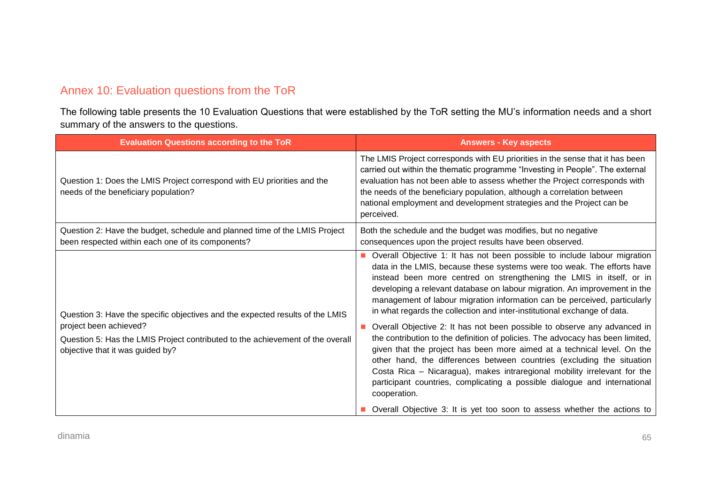## Annex 10: Evaluation questions from the ToR

The following table presents the 10 Evaluation Questions that were established by the ToR setting the MU's information needs and a short summary of the answers to the questions.

| <b>Evaluation Questions according to the ToR</b>                                                                                                                                                                              | <b>Answers - Key aspects</b>                                                                                                                                                                                                                                                                                                                                                                                                                                                                                                                                                                                                                                                                                                                                                                                                                                                                                                                                   |
|-------------------------------------------------------------------------------------------------------------------------------------------------------------------------------------------------------------------------------|----------------------------------------------------------------------------------------------------------------------------------------------------------------------------------------------------------------------------------------------------------------------------------------------------------------------------------------------------------------------------------------------------------------------------------------------------------------------------------------------------------------------------------------------------------------------------------------------------------------------------------------------------------------------------------------------------------------------------------------------------------------------------------------------------------------------------------------------------------------------------------------------------------------------------------------------------------------|
| Question 1: Does the LMIS Project correspond with EU priorities and the<br>needs of the beneficiary population?                                                                                                               | The LMIS Project corresponds with EU priorities in the sense that it has been<br>carried out within the thematic programme "Investing in People". The external<br>evaluation has not been able to assess whether the Project corresponds with<br>the needs of the beneficiary population, although a correlation between<br>national employment and development strategies and the Project can be<br>perceived.                                                                                                                                                                                                                                                                                                                                                                                                                                                                                                                                                |
| Question 2: Have the budget, schedule and planned time of the LMIS Project<br>been respected within each one of its components?                                                                                               | Both the schedule and the budget was modifies, but no negative<br>consequences upon the project results have been observed.                                                                                                                                                                                                                                                                                                                                                                                                                                                                                                                                                                                                                                                                                                                                                                                                                                    |
| Question 3: Have the specific objectives and the expected results of the LMIS<br>project been achieved?<br>Question 5: Has the LMIS Project contributed to the achievement of the overall<br>objective that it was guided by? | Overall Objective 1: It has not been possible to include labour migration<br>data in the LMIS, because these systems were too weak. The efforts have<br>instead been more centred on strengthening the LMIS in itself, or in<br>developing a relevant database on labour migration. An improvement in the<br>management of labour migration information can be perceived, particularly<br>in what regards the collection and inter-institutional exchange of data.<br>Overall Objective 2: It has not been possible to observe any advanced in<br>the contribution to the definition of policies. The advocacy has been limited,<br>given that the project has been more aimed at a technical level. On the<br>other hand, the differences between countries (excluding the situation<br>Costa Rica - Nicaragua), makes intraregional mobility irrelevant for the<br>participant countries, complicating a possible dialogue and international<br>cooperation. |
|                                                                                                                                                                                                                               | Overall Objective 3: It is yet too soon to assess whether the actions to                                                                                                                                                                                                                                                                                                                                                                                                                                                                                                                                                                                                                                                                                                                                                                                                                                                                                       |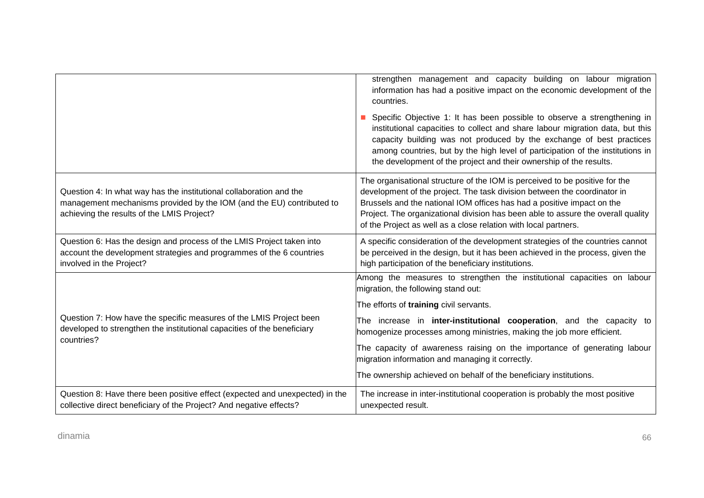|                                                                                                                                                                                            | strengthen management and capacity building on labour migration<br>information has had a positive impact on the economic development of the<br>countries.                                                                                                                                                                                                                                 |  |  |
|--------------------------------------------------------------------------------------------------------------------------------------------------------------------------------------------|-------------------------------------------------------------------------------------------------------------------------------------------------------------------------------------------------------------------------------------------------------------------------------------------------------------------------------------------------------------------------------------------|--|--|
|                                                                                                                                                                                            | Specific Objective 1: It has been possible to observe a strengthening in<br>institutional capacities to collect and share labour migration data, but this<br>capacity building was not produced by the exchange of best practices<br>among countries, but by the high level of participation of the institutions in<br>the development of the project and their ownership of the results. |  |  |
| Question 4: In what way has the institutional collaboration and the<br>management mechanisms provided by the IOM (and the EU) contributed to<br>achieving the results of the LMIS Project? | The organisational structure of the IOM is perceived to be positive for the<br>development of the project. The task division between the coordinator in<br>Brussels and the national IOM offices has had a positive impact on the<br>Project. The organizational division has been able to assure the overall quality<br>of the Project as well as a close relation with local partners.  |  |  |
| Question 6: Has the design and process of the LMIS Project taken into<br>account the development strategies and programmes of the 6 countries<br>involved in the Project?                  | A specific consideration of the development strategies of the countries cannot<br>be perceived in the design, but it has been achieved in the process, given the<br>high participation of the beneficiary institutions.                                                                                                                                                                   |  |  |
|                                                                                                                                                                                            | Among the measures to strengthen the institutional capacities on labour<br>migration, the following stand out:                                                                                                                                                                                                                                                                            |  |  |
|                                                                                                                                                                                            | The efforts of training civil servants.                                                                                                                                                                                                                                                                                                                                                   |  |  |
| Question 7: How have the specific measures of the LMIS Project been<br>developed to strengthen the institutional capacities of the beneficiary<br>countries?                               | The increase in inter-institutional cooperation, and the capacity to<br>homogenize processes among ministries, making the job more efficient.                                                                                                                                                                                                                                             |  |  |
|                                                                                                                                                                                            | The capacity of awareness raising on the importance of generating labour<br>migration information and managing it correctly.                                                                                                                                                                                                                                                              |  |  |
|                                                                                                                                                                                            | The ownership achieved on behalf of the beneficiary institutions.                                                                                                                                                                                                                                                                                                                         |  |  |
| Question 8: Have there been positive effect (expected and unexpected) in the<br>collective direct beneficiary of the Project? And negative effects?                                        | The increase in inter-institutional cooperation is probably the most positive<br>unexpected result.                                                                                                                                                                                                                                                                                       |  |  |